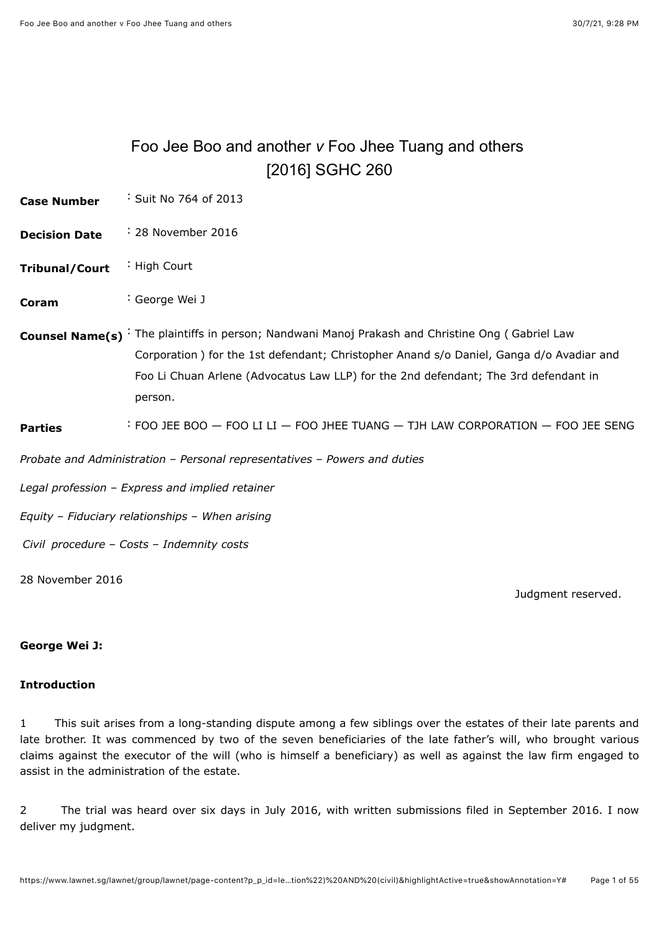# <span id="page-0-0"></span>Foo Jee Boo and another *v* Foo Jhee Tuang and others [\[2016\] SGHC 260](javascript:viewPageContent()

| Suit No 764 of 2013 |
|---------------------|
|                     |

- **Decision Date** : 28 November 2016
- **Tribunal/Court** : High Court
- **Coram** : [George Wei J](javascript:actionFiltering()
- **Counsel Name(s)** : The plaintiffs in person; Nandwani Manoj Prakash and Christine Ong ( Gabriel Law Corporation ) for the 1st defendant; Christopher Anand s/o Daniel, Ganga d/o Avadiar and Foo Li Chuan Arlene (Advocatus Law LLP) for the 2nd defendant; The 3rd defendant in person.

### **Parties** : FOO JEE BOO — FOO LI LI — FOO JHEE TUANG — TJH LAW CORPORATION — FOO JEE SENG

*Probate and Administration* – *Personal representatives* – *Powers and duties*

*Legal profession* – *Express and implied retainer*

*Equity* – *Fiduciary relationships* – *When arising*

*Civil procedure* – *Costs* – *Indemnity costs*

28 November 2016

Judgment reserved.

### **George Wei J:**

### **Introduction**

1 This suit arises from a long-standing dispute among a few siblings over the estates of their late parents and late brother. It was commenced by two of the seven beneficiaries of the late father's will, who brought various claims against the executor of the will (who is himself a beneficiary) as well as against the law firm engaged to assist in the administration of the estate.

2 The trial was heard over six days in July 2016, with written submissions filed in September 2016. I now deliver my judgment.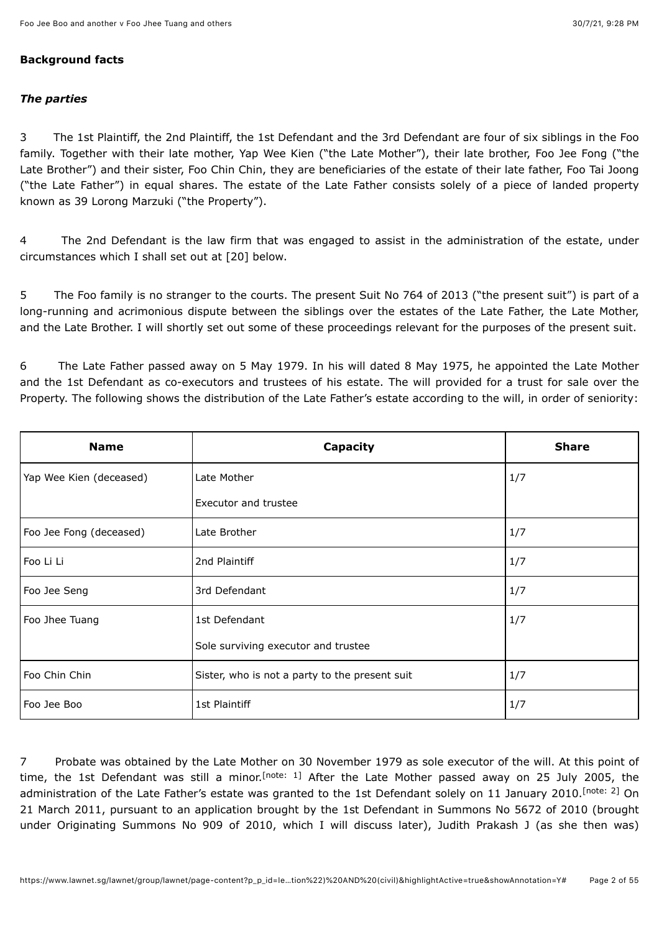### **Background facts**

### *The parties*

3 The 1st Plaintiff, the 2nd Plaintiff, the 1st Defendant and the 3rd Defendant are four of six siblings in the Foo family. Together with their late mother, Yap Wee Kien ("the Late Mother"), their late brother, Foo Jee Fong ("the Late Brother") and their sister, Foo Chin Chin, they are beneficiaries of the estate of their late father, Foo Tai Joong ("the Late Father") in equal shares. The estate of the Late Father consists solely of a piece of landed property known as 39 Lorong Marzuki ("the Property").

4 The 2nd Defendant is the law firm that was engaged to assist in the administration of the estate, under circumstances which I shall set out at [20] below.

5 The Foo family is no stranger to the courts. The present Suit No 764 of 2013 ("the present suit") is part of a long-running and acrimonious dispute between the siblings over the estates of the Late Father, the Late Mother, and the Late Brother. I will shortly set out some of these proceedings relevant for the purposes of the present suit.

6 The Late Father passed away on 5 May 1979. In his will dated 8 May 1975, he appointed the Late Mother and the 1st Defendant as co-executors and trustees of his estate. The will provided for a trust for sale over the Property. The following shows the distribution of the Late Father's estate according to the will, in order of seniority:

| <b>Name</b>             | Capacity                                       | <b>Share</b> |
|-------------------------|------------------------------------------------|--------------|
| Yap Wee Kien (deceased) | Late Mother                                    | 1/7          |
|                         | <b>Executor and trustee</b>                    |              |
| Foo Jee Fong (deceased) | Late Brother                                   | 1/7          |
| Foo Li Li               | 2nd Plaintiff                                  | 1/7          |
| Foo Jee Seng            | 3rd Defendant                                  | 1/7          |
| Foo Jhee Tuang          | 1st Defendant                                  | 1/7          |
|                         | Sole surviving executor and trustee            |              |
| Foo Chin Chin           | Sister, who is not a party to the present suit | 1/7          |
| Foo Jee Boo             | 1st Plaintiff                                  | 1/7          |

<span id="page-1-1"></span><span id="page-1-0"></span>7 Probate was obtained by the Late Mother on 30 November 1979 as sole executor of the will. At this point of time, the 1st Defendant was still a minor.<sup>[note: 1]</sup> After the Late Mother passed away on 25 July 2005, the administration of the Late Father's estate was granted to the 1st Defendant solely on 11 January 2010.<sup>[note: 2]</sup> On 21 March 2011, pursuant to an application brought by the 1st Defendant in Summons No 5672 of 2010 (brought under Originating Summons No 909 of 2010, which I will discuss later), Judith Prakash J (as she then was)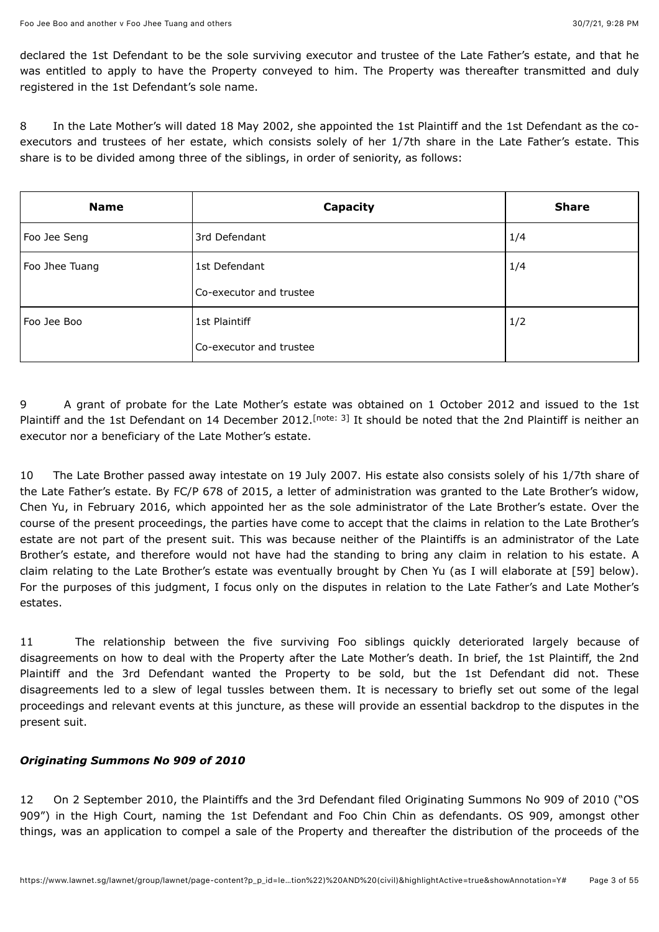declared the 1st Defendant to be the sole surviving executor and trustee of the Late Father's estate, and that he was entitled to apply to have the Property conveyed to him. The Property was thereafter transmitted and duly registered in the 1st Defendant's sole name.

8 In the Late Mother's will dated 18 May 2002, she appointed the 1st Plaintiff and the 1st Defendant as the coexecutors and trustees of her estate, which consists solely of her 1/7th share in the Late Father's estate. This share is to be divided among three of the siblings, in order of seniority, as follows:

| <b>Name</b>    | Capacity                | <b>Share</b> |
|----------------|-------------------------|--------------|
| Foo Jee Seng   | 3rd Defendant           | 1/4          |
| Foo Jhee Tuang | 1st Defendant           | 1/4          |
|                | Co-executor and trustee |              |
| Foo Jee Boo    | 1st Plaintiff           | 1/2          |
|                | Co-executor and trustee |              |

<span id="page-2-0"></span>9 A grant of probate for the Late Mother's estate was obtained on 1 October 2012 and issued to the 1st Plaintiff and the 1st Defendant on 14 December 2012.<sup>[note: 3]</sup> It should be noted that the 2nd Plaintiff is neither an executor nor a beneficiary of the Late Mother's estate.

10 The Late Brother passed away intestate on 19 July 2007. His estate also consists solely of his 1/7th share of the Late Father's estate. By FC/P 678 of 2015, a letter of administration was granted to the Late Brother's widow, Chen Yu, in February 2016, which appointed her as the sole administrator of the Late Brother's estate. Over the course of the present proceedings, the parties have come to accept that the claims in relation to the Late Brother's estate are not part of the present suit. This was because neither of the Plaintiffs is an administrator of the Late Brother's estate, and therefore would not have had the standing to bring any claim in relation to his estate. A claim relating to the Late Brother's estate was eventually brought by Chen Yu (as I will elaborate at [59] below). For the purposes of this judgment, I focus only on the disputes in relation to the Late Father's and Late Mother's estates.

11 The relationship between the five surviving Foo siblings quickly deteriorated largely because of disagreements on how to deal with the Property after the Late Mother's death. In brief, the 1st Plaintiff, the 2nd Plaintiff and the 3rd Defendant wanted the Property to be sold, but the 1st Defendant did not. These disagreements led to a slew of legal tussles between them. It is necessary to briefly set out some of the legal proceedings and relevant events at this juncture, as these will provide an essential backdrop to the disputes in the present suit.

### *Originating Summons No 909 of 2010*

12 On 2 September 2010, the Plaintiffs and the 3rd Defendant filed Originating Summons No 909 of 2010 ("OS 909") in the High Court, naming the 1st Defendant and Foo Chin Chin as defendants. OS 909, amongst other things, was an application to compel a sale of the Property and thereafter the distribution of the proceeds of the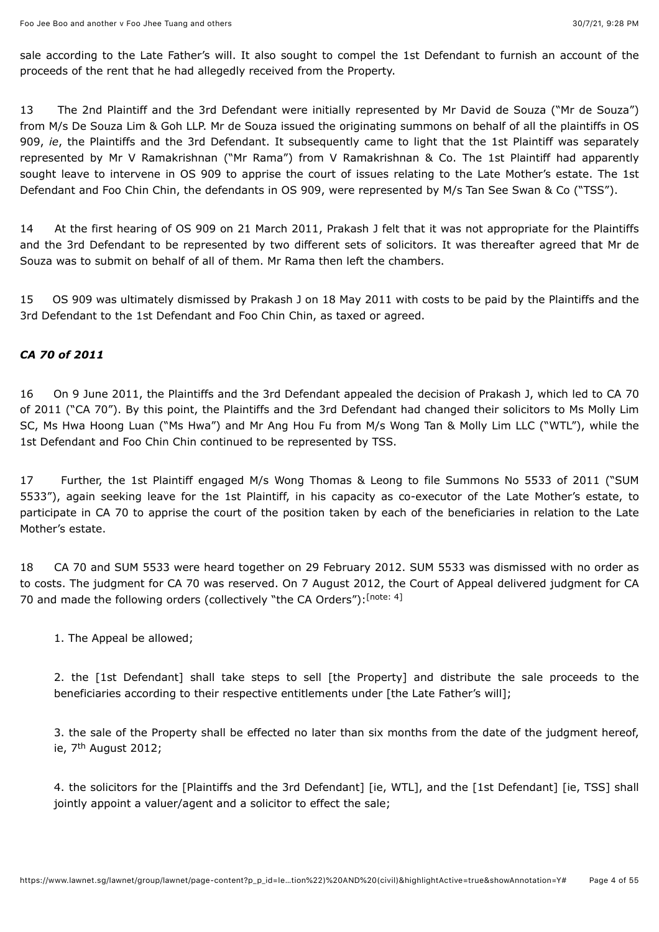sale according to the Late Father's will. It also sought to compel the 1st Defendant to furnish an account of the proceeds of the rent that he had allegedly received from the Property.

13 The 2nd Plaintiff and the 3rd Defendant were initially represented by Mr David de Souza ("Mr de Souza") from M/s De Souza Lim & Goh LLP. Mr de Souza issued the originating summons on behalf of all the plaintiffs in OS 909, *ie*, the Plaintiffs and the 3rd Defendant. It subsequently came to light that the 1st Plaintiff was separately represented by Mr V Ramakrishnan ("Mr Rama") from V Ramakrishnan & Co. The 1st Plaintiff had apparently sought leave to intervene in OS 909 to apprise the court of issues relating to the Late Mother's estate. The 1st Defendant and Foo Chin Chin, the defendants in OS 909, were represented by M/s Tan See Swan & Co ("TSS").

14 At the first hearing of OS 909 on 21 March 2011, Prakash J felt that it was not appropriate for the Plaintiffs and the 3rd Defendant to be represented by two different sets of solicitors. It was thereafter agreed that Mr de Souza was to submit on behalf of all of them. Mr Rama then left the chambers.

15 OS 909 was ultimately dismissed by Prakash J on 18 May 2011 with costs to be paid by the Plaintiffs and the 3rd Defendant to the 1st Defendant and Foo Chin Chin, as taxed or agreed.

### *CA 70 of 2011*

16 On 9 June 2011, the Plaintiffs and the 3rd Defendant appealed the decision of Prakash J, which led to CA 70 of 2011 ("CA 70"). By this point, the Plaintiffs and the 3rd Defendant had changed their solicitors to Ms Molly Lim SC, Ms Hwa Hoong Luan ("Ms Hwa") and Mr Ang Hou Fu from M/s Wong Tan & Molly Lim LLC ("WTL"), while the 1st Defendant and Foo Chin Chin continued to be represented by TSS.

17 Further, the 1st Plaintiff engaged M/s Wong Thomas & Leong to file Summons No 5533 of 2011 ("SUM 5533"), again seeking leave for the 1st Plaintiff, in his capacity as co-executor of the Late Mother's estate, to participate in CA 70 to apprise the court of the position taken by each of the beneficiaries in relation to the Late Mother's estate.

18 CA 70 and SUM 5533 were heard together on 29 February 2012. SUM 5533 was dismissed with no order as to costs. The judgment for CA 70 was reserved. On 7 August 2012, the Court of Appeal delivered judgment for CA 70 and made the following orders (collectively "the CA Orders"): [\[note: 4\]](#page-48-3)

<span id="page-3-0"></span>1. The Appeal be allowed;

2. the [1st Defendant] shall take steps to sell [the Property] and distribute the sale proceeds to the beneficiaries according to their respective entitlements under [the Late Father's will];

3. the sale of the Property shall be effected no later than six months from the date of the judgment hereof, ie, 7<sup>th</sup> August 2012;

4. the solicitors for the [Plaintiffs and the 3rd Defendant] [ie, WTL], and the [1st Defendant] [ie, TSS] shall jointly appoint a valuer/agent and a solicitor to effect the sale;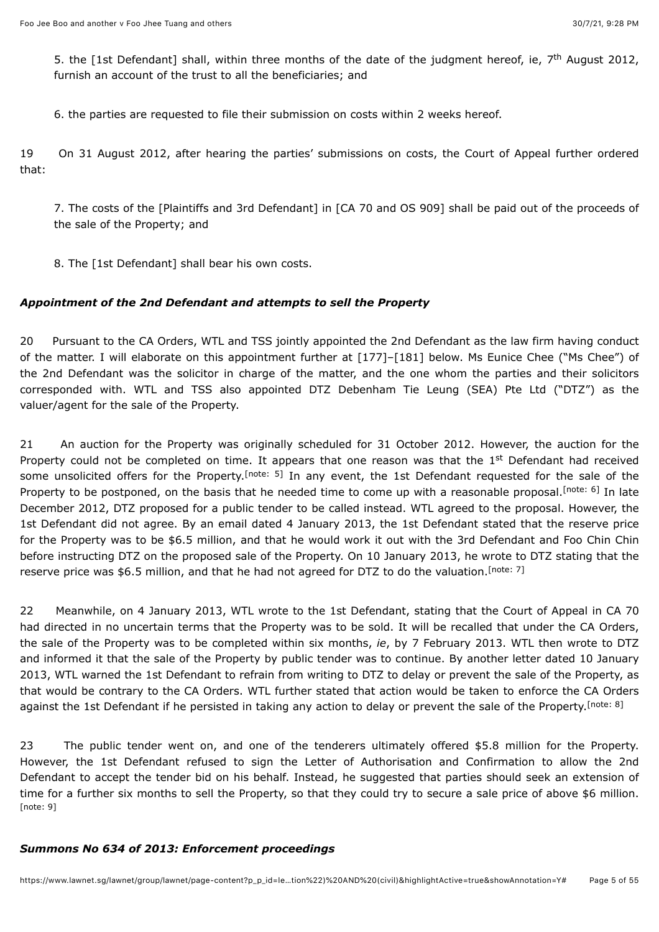5. the [1st Defendant] shall, within three months of the date of the judgment hereof, ie, 7<sup>th</sup> August 2012, furnish an account of the trust to all the beneficiaries; and

6. the parties are requested to file their submission on costs within 2 weeks hereof.

19 On 31 August 2012, after hearing the parties' submissions on costs, the Court of Appeal further ordered that:

7. The costs of the [Plaintiffs and 3rd Defendant] in [CA 70 and OS 909] shall be paid out of the proceeds of the sale of the Property; and

8. The [1st Defendant] shall bear his own costs.

### *Appointment of the 2nd Defendant and attempts to sell the Property*

20 Pursuant to the CA Orders, WTL and TSS jointly appointed the 2nd Defendant as the law firm having conduct of the matter. I will elaborate on this appointment further at [177]–[181] below. Ms Eunice Chee ("Ms Chee") of the 2nd Defendant was the solicitor in charge of the matter, and the one whom the parties and their solicitors corresponded with. WTL and TSS also appointed DTZ Debenham Tie Leung (SEA) Pte Ltd ("DTZ") as the valuer/agent for the sale of the Property.

<span id="page-4-1"></span><span id="page-4-0"></span>21 An auction for the Property was originally scheduled for 31 October 2012. However, the auction for the Property could not be completed on time. It appears that one reason was that the 1<sup>st</sup> Defendant had received someunsolicited offers for the Property.<sup>[note: 5]</sup> In any event, the 1st Defendant requested for the sale of the Property to be postponed, on the basis that he needed time to come up with a reasonable proposal[.](#page-48-5)<sup>[note: 6]</sup> In late December 2012, DTZ proposed for a public tender to be called instead. WTL agreed to the proposal. However, the 1st Defendant did not agree. By an email dated 4 January 2013, the 1st Defendant stated that the reserve price for the Property was to be \$6.5 million, and that he would work it out with the 3rd Defendant and Foo Chin Chin before instructing DTZ on the proposed sale of the Property. On 10 January 2013, he wrote to DTZ stating that the reserve price was \$6.5 million, and that he had not agreed for DTZ to do the valuation.<sup>[\[note: 7\]](#page-48-6)</sup>

<span id="page-4-2"></span>22 Meanwhile, on 4 January 2013, WTL wrote to the 1st Defendant, stating that the Court of Appeal in CA 70 had directed in no uncertain terms that the Property was to be sold. It will be recalled that under the CA Orders, the sale of the Property was to be completed within six months, *ie*, by 7 February 2013. WTL then wrote to DTZ and informed it that the sale of the Property by public tender was to continue. By another letter dated 10 January 2013, WTL warned the 1st Defendant to refrain from writing to DTZ to delay or prevent the sale of the Property, as that would be contrary to the CA Orders. WTL further stated that action would be taken to enforce the CA Orders against the 1st Defendant if he persisted in taking any action to delay or prevent the sale of the Property.<sup>[\[note: 8\]](#page-48-7)</sup>

<span id="page-4-3"></span>23 The public tender went on, and one of the tenderers ultimately offered \$5.8 million for the Property. However, the 1st Defendant refused to sign the Letter of Authorisation and Confirmation to allow the 2nd Defendant to accept the tender bid on his behalf. Instead, he suggested that parties should seek an extension of time for a further six months to sell the Property, so that they could try to secure a sale price of above \$6 million. [\[note: 9\]](#page-48-8)

#### <span id="page-4-4"></span>*Summons No 634 of 2013: Enforcement proceedings*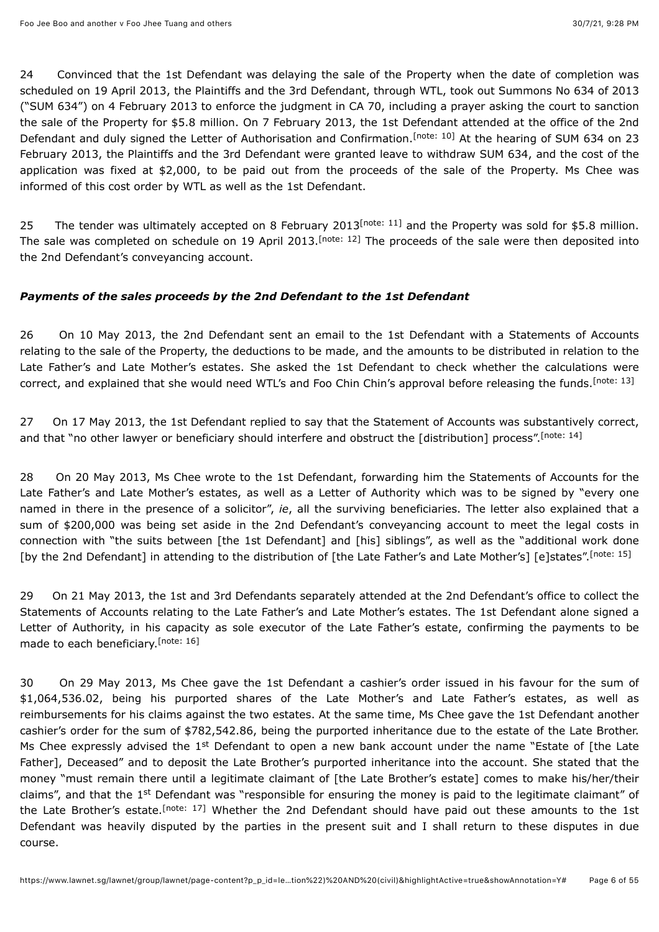<span id="page-5-0"></span>24 Convinced that the 1st Defendant was delaying the sale of the Property when the date of completion was scheduled on 19 April 2013, the Plaintiffs and the 3rd Defendant, through WTL, took out Summons No 634 of 2013 ("SUM 634") on 4 February 2013 to enforce the judgment in CA 70, including a prayer asking the court to sanction the sale of the Property for \$5.8 million. On 7 February 2013, the 1st Defendant attended at the office of the 2nd Defendantand duly signed the Letter of Authorisation and Confirmation.<sup>[note: 10]</sup> At the hearing of SUM 634 on 23 February 2013, the Plaintiffs and the 3rd Defendant were granted leave to withdraw SUM 634, and the cost of the application was fixed at \$2,000, to be paid out from the proceeds of the sale of the Property. Ms Chee was informed of this cost order by WTL as well as the 1st Defendant.

<span id="page-5-2"></span><span id="page-5-1"></span>25The tender was ultimately accepted on 8 February 2013<sup>[note: 11]</sup> and the Property was sold for \$5.8 million. Thesale was completed on schedule on 19 April 2013.<sup>[note: 12]</sup> The proceeds of the sale were then deposited into the 2nd Defendant's conveyancing account.

### *Payments of the sales proceeds by the 2nd Defendant to the 1st Defendant*

<span id="page-5-3"></span>26 On 10 May 2013, the 2nd Defendant sent an email to the 1st Defendant with a Statements of Accounts relating to the sale of the Property, the deductions to be made, and the amounts to be distributed in relation to the Late Father's and Late Mother's estates. She asked the 1st Defendant to check whether the calculations were correct, and explained that she would need WTL's and Foo Chin Chin's approval before releasing the funds.<sup>[\[note: 13\]](#page-49-1)</sup>

<span id="page-5-4"></span>27 On 17 May 2013, the 1st Defendant replied to say that the Statement of Accounts was substantively correct, and that "no other lawyer or beneficiary should interfere and obstruct the [distribution] process".<sup>[\[note: 14\]](#page-49-2)</sup>

28 On 20 May 2013, Ms Chee wrote to the 1st Defendant, forwarding him the Statements of Accounts for the Late Father's and Late Mother's estates, as well as a Letter of Authority which was to be signed by "every one named in there in the presence of a solicitor", *ie*, all the surviving beneficiaries. The letter also explained that a sum of \$200,000 was being set aside in the 2nd Defendant's conveyancing account to meet the legal costs in connection with "the suits between [the 1st Defendant] and [his] siblings", as well as the "additional work done [by the 2nd Defendant] in attending to the distribution of [the Late Father's and Late Mother's] [e]states".<sup>[\[note: 15\]](#page-49-3)</sup>

<span id="page-5-6"></span><span id="page-5-5"></span>29 On 21 May 2013, the 1st and 3rd Defendants separately attended at the 2nd Defendant's office to collect the Statements of Accounts relating to the Late Father's and Late Mother's estates. The 1st Defendant alone signed a Letter of Authority, in his capacity as sole executor of the Late Father's estate, confirming the payments to be made to each beneficiary.<sup>[\[note: 16\]](#page-49-4)</sup>

<span id="page-5-7"></span>30 On 29 May 2013, Ms Chee gave the 1st Defendant a cashier's order issued in his favour for the sum of \$1,064,536.02, being his purported shares of the Late Mother's and Late Father's estates, as well as reimbursements for his claims against the two estates. At the same time, Ms Chee gave the 1st Defendant another cashier's order for the sum of \$782,542.86, being the purported inheritance due to the estate of the Late Brother. Ms Chee expressly advised the 1<sup>st</sup> Defendant to open a new bank account under the name "Estate of [the Late Father], Deceased" and to deposit the Late Brother's purported inheritance into the account. She stated that the money "must remain there until a legitimate claimant of [the Late Brother's estate] comes to make his/her/their claims", and that the 1st Defendant was "responsible for ensuring the money is paid to the legitimate claimant" of the Late Brother's estate.<sup>[note: 17]</sup> Whether the 2nd Defendant should have paid out these amounts to the 1st Defendant was heavily disputed by the parties in the present suit and I shall return to these disputes in due course.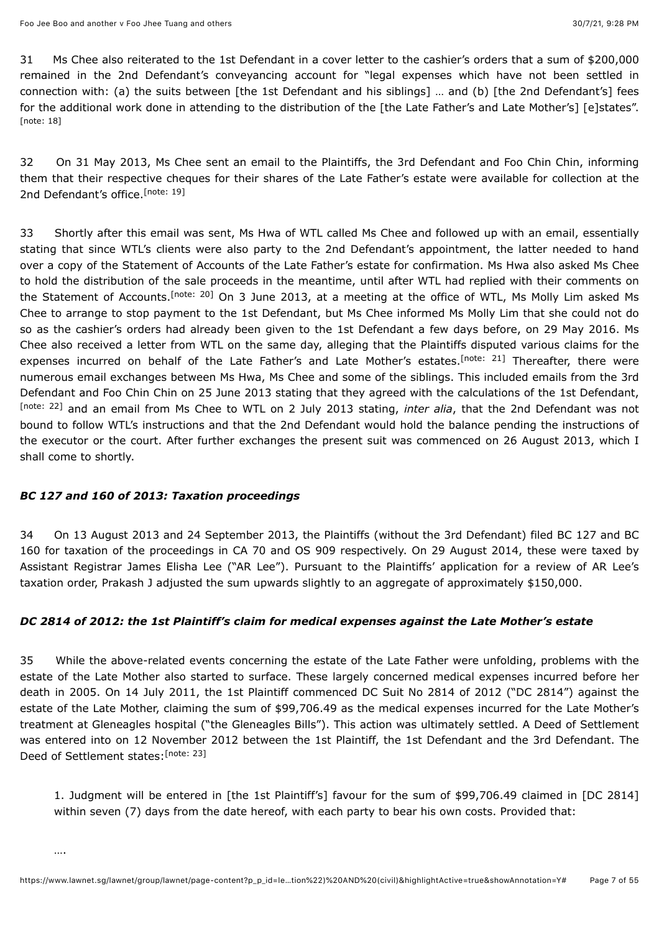31 Ms Chee also reiterated to the 1st Defendant in a cover letter to the cashier's orders that a sum of \$200,000 remained in the 2nd Defendant's conveyancing account for "legal expenses which have not been settled in connection with: (a) the suits between [the 1st Defendant and his siblings] … and (b) [the 2nd Defendant's] fees for the additional work done in attending to the distribution of the [the Late Father's and Late Mother's] [e]states". [\[note: 18\]](#page-49-6)

<span id="page-6-1"></span><span id="page-6-0"></span>32 On 31 May 2013, Ms Chee sent an email to the Plaintiffs, the 3rd Defendant and Foo Chin Chin, informing them that their respective cheques for their shares of the Late Father's estate were available for collection at the 2nd Defendant's office.<sup>[\[note: 19\]](#page-49-7)</sup>

<span id="page-6-3"></span><span id="page-6-2"></span>33 Shortly after this email was sent, Ms Hwa of WTL called Ms Chee and followed up with an email, essentially stating that since WTL's clients were also party to the 2nd Defendant's appointment, the latter needed to hand over a copy of the Statement of Accounts of the Late Father's estate for confirmation. Ms Hwa also asked Ms Chee to hold the distribution of the sale proceeds in the meantime, until after WTL had replied with their comments on the Statement of Accounts.<sup>[note: 20]</sup> On 3 June 2013, at a meeting at the office of WTL, Ms Molly Lim asked Ms Chee to arrange to stop payment to the 1st Defendant, but Ms Chee informed Ms Molly Lim that she could not do so as the cashier's orders had already been given to the 1st Defendant a few days before, on 29 May 2016. Ms Chee also received a letter from WTL on the same day, alleging that the Plaintiffs disputed various claims for the expenses incurred on behalf of the Late Father's and Late Mother's estates.<sup>[note: 21]</sup> Thereafter, there were numerous email exchanges between Ms Hwa, Ms Chee and some of the siblings. This included emails from the 3rd Defendant and Foo Chin Chin on 25 June 2013 stating that they agreed with the calculations of the 1st Defendant, <sup>[\[note: 22\]](#page-49-10)</sup> and an email from Ms Chee to WTL on 2 July 2013 stating, *inter alia*, that the 2nd Defendant was not bound to follow WTL's instructions and that the 2nd Defendant would hold the balance pending the instructions of the executor or the court. After further exchanges the present suit was commenced on 26 August 2013, which I shall come to shortly.

### <span id="page-6-4"></span>*BC 127 and 160 of 2013: Taxation proceedings*

34 On 13 August 2013 and 24 September 2013, the Plaintiffs (without the 3rd Defendant) filed BC 127 and BC 160 for taxation of the proceedings in CA 70 and OS 909 respectively. On 29 August 2014, these were taxed by Assistant Registrar James Elisha Lee ("AR Lee"). Pursuant to the Plaintiffs' application for a review of AR Lee's taxation order, Prakash J adjusted the sum upwards slightly to an aggregate of approximately \$150,000.

## *DC 2814 of 2012: the 1st Plaintiff's claim for medical expenses against the Late Mother's estate*

35 While the above-related events concerning the estate of the Late Father were unfolding, problems with the estate of the Late Mother also started to surface. These largely concerned medical expenses incurred before her death in 2005. On 14 July 2011, the 1st Plaintiff commenced DC Suit No 2814 of 2012 ("DC 2814") against the estate of the Late Mother, claiming the sum of \$99,706.49 as the medical expenses incurred for the Late Mother's treatment at Gleneagles hospital ("the Gleneagles Bills"). This action was ultimately settled. A Deed of Settlement was entered into on 12 November 2012 between the 1st Plaintiff, the 1st Defendant and the 3rd Defendant. The Deed of Settlement states: [\[note: 23\]](#page-49-11)

<span id="page-6-5"></span>1. Judgment will be entered in [the 1st Plaintiff's] favour for the sum of \$99,706.49 claimed in [DC 2814] within seven (7) days from the date hereof, with each party to bear his own costs. Provided that: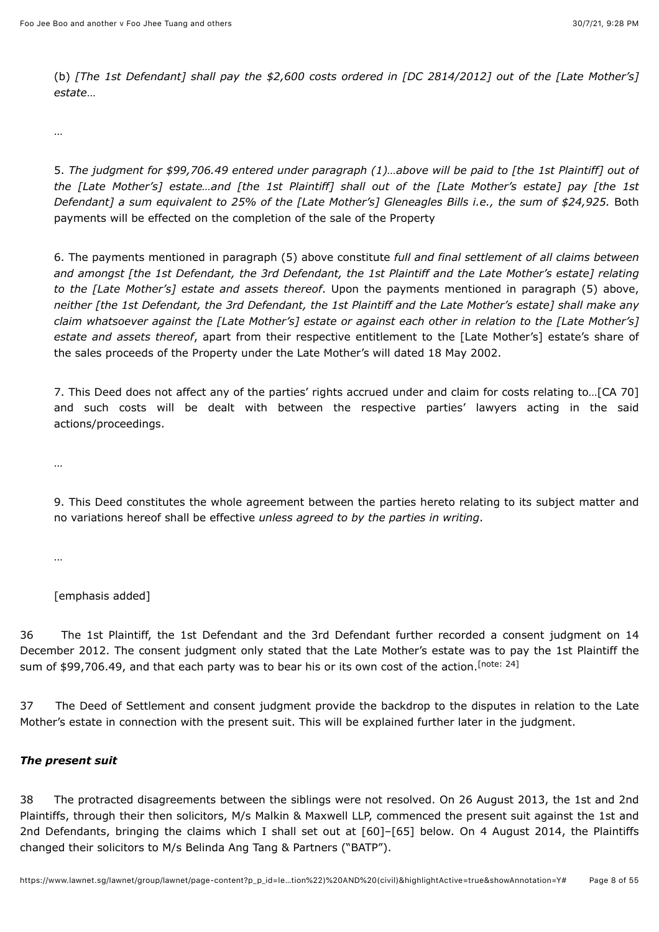(b) *[The 1st Defendant] shall pay the \$2,600 costs ordered in [DC 2814/2012] out of the [Late Mother's] estate*…

…

5. *The judgment for \$99,706.49 entered under paragraph (1)…above will be paid to [the 1st Plaintiff] out of the [Late Mother's] estate…and [the 1st Plaintiff] shall out of the [Late Mother's estate] pay [the 1st Defendant] a sum equivalent to 25% of the [Late Mother's] Gleneagles Bills i.e., the sum of \$24,925.* Both payments will be effected on the completion of the sale of the Property

6. The payments mentioned in paragraph (5) above constitute *full and final settlement of all claims between and amongst [the 1st Defendant, the 3rd Defendant, the 1st Plaintiff and the Late Mother's estate] relating to the [Late Mother's] estate and assets thereof*. Upon the payments mentioned in paragraph (5) above, *neither [the 1st Defendant, the 3rd Defendant, the 1st Plaintiff and the Late Mother's estate] shall make any claim whatsoever against the [Late Mother's] estate or against each other in relation to the [Late Mother's] estate and assets thereof*, apart from their respective entitlement to the [Late Mother's] estate's share of the sales proceeds of the Property under the Late Mother's will dated 18 May 2002.

7. This Deed does not affect any of the parties' rights accrued under and claim for costs relating to…[CA 70] and such costs will be dealt with between the respective parties' lawyers acting in the said actions/proceedings.

…

9. This Deed constitutes the whole agreement between the parties hereto relating to its subject matter and no variations hereof shall be effective *unless agreed to by the parties in writing*.

…

<span id="page-7-0"></span>[emphasis added]

36 The 1st Plaintiff, the 1st Defendant and the 3rd Defendant further recorded a consent judgment on 14 December 2012. The consent judgment only stated that the Late Mother's estate was to pay the 1st Plaintiff the sum of \$99,706.49, and that each party was to bear his or its own cost of the action.[\[note: 24\]](#page-49-12)

37 The Deed of Settlement and consent judgment provide the backdrop to the disputes in relation to the Late Mother's estate in connection with the present suit. This will be explained further later in the judgment.

### *The present suit*

38 The protracted disagreements between the siblings were not resolved. On 26 August 2013, the 1st and 2nd Plaintiffs, through their then solicitors, M/s Malkin & Maxwell LLP, commenced the present suit against the 1st and 2nd Defendants, bringing the claims which I shall set out at [60]–[65] below. On 4 August 2014, the Plaintiffs changed their solicitors to M/s Belinda Ang Tang & Partners ("BATP").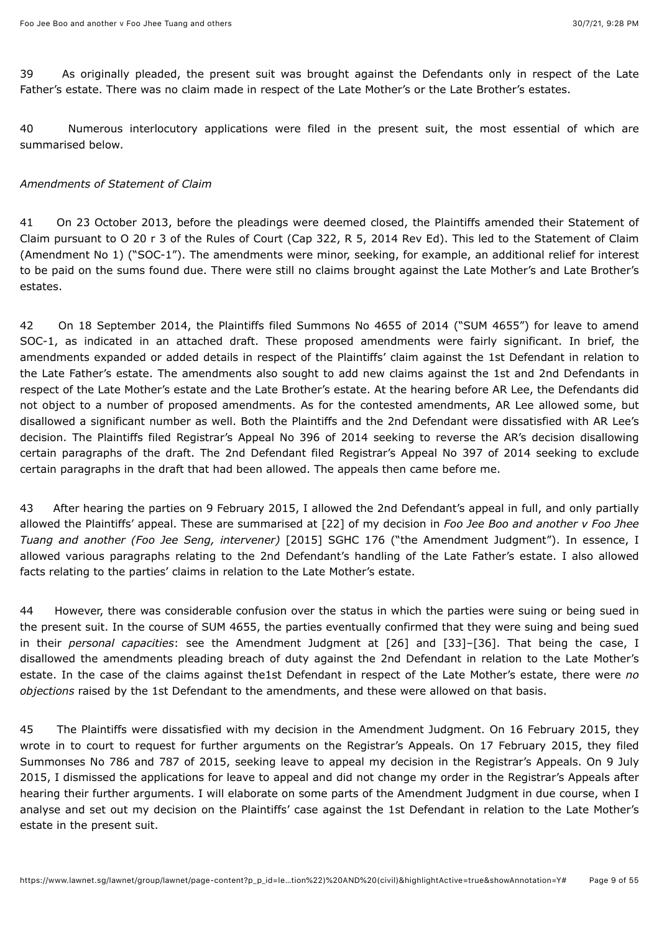39 As originally pleaded, the present suit was brought against the Defendants only in respect of the Late Father's estate. There was no claim made in respect of the Late Mother's or the Late Brother's estates.

40 Numerous interlocutory applications were filed in the present suit, the most essential of which are summarised below.

### *Amendments of Statement of Claim*

41 On 23 October 2013, before the pleadings were deemed closed, the Plaintiffs amended their Statement of Claim pursuant to O 20 r 3 of the Rules of Court (Cap 322, R 5, 2014 Rev Ed). This led to the Statement of Claim (Amendment No 1) ("SOC-1"). The amendments were minor, seeking, for example, an additional relief for interest to be paid on the sums found due. There were still no claims brought against the Late Mother's and Late Brother's estates.

42 On 18 September 2014, the Plaintiffs filed Summons No 4655 of 2014 ("SUM 4655") for leave to amend SOC-1, as indicated in an attached draft. These proposed amendments were fairly significant. In brief, the amendments expanded or added details in respect of the Plaintiffs' claim against the 1st Defendant in relation to the Late Father's estate. The amendments also sought to add new claims against the 1st and 2nd Defendants in respect of the Late Mother's estate and the Late Brother's estate. At the hearing before AR Lee, the Defendants did not object to a number of proposed amendments. As for the contested amendments, AR Lee allowed some, but disallowed a significant number as well. Both the Plaintiffs and the 2nd Defendant were dissatisfied with AR Lee's decision. The Plaintiffs filed Registrar's Appeal No 396 of 2014 seeking to reverse the AR's decision disallowing certain paragraphs of the draft. The 2nd Defendant filed Registrar's Appeal No 397 of 2014 seeking to exclude certain paragraphs in the draft that had been allowed. The appeals then came before me.

43 After hearing the parties on 9 February 2015, I allowed the 2nd Defendant's appeal in full, and only partially allowed the Plaintiffs' appeal. These are summarised at [22] of my decision in *Foo Jee Boo and another v Foo Jhee Tuang and another (Foo Jee Seng, intervener)* [\[2015\] SGHC 176](javascript:viewPageContent() ("the Amendment Judgment"). In essence, I allowed various paragraphs relating to the 2nd Defendant's handling of the Late Father's estate. I also allowed facts relating to the parties' claims in relation to the Late Mother's estate.

44 However, there was considerable confusion over the status in which the parties were suing or being sued in the present suit. In the course of SUM 4655, the parties eventually confirmed that they were suing and being sued in their *personal capacities*: see the Amendment Judgment at [26] and [33]–[36]. That being the case, I disallowed the amendments pleading breach of duty against the 2nd Defendant in relation to the Late Mother's estate. In the case of the claims against the1st Defendant in respect of the Late Mother's estate, there were *no objections* raised by the 1st Defendant to the amendments, and these were allowed on that basis.

45 The Plaintiffs were dissatisfied with my decision in the Amendment Judgment. On 16 February 2015, they wrote in to court to request for further arguments on the Registrar's Appeals. On 17 February 2015, they filed Summonses No 786 and 787 of 2015, seeking leave to appeal my decision in the Registrar's Appeals. On 9 July 2015, I dismissed the applications for leave to appeal and did not change my order in the Registrar's Appeals after hearing their further arguments. I will elaborate on some parts of the Amendment Judgment in due course, when I analyse and set out my decision on the Plaintiffs' case against the 1st Defendant in relation to the Late Mother's estate in the present suit.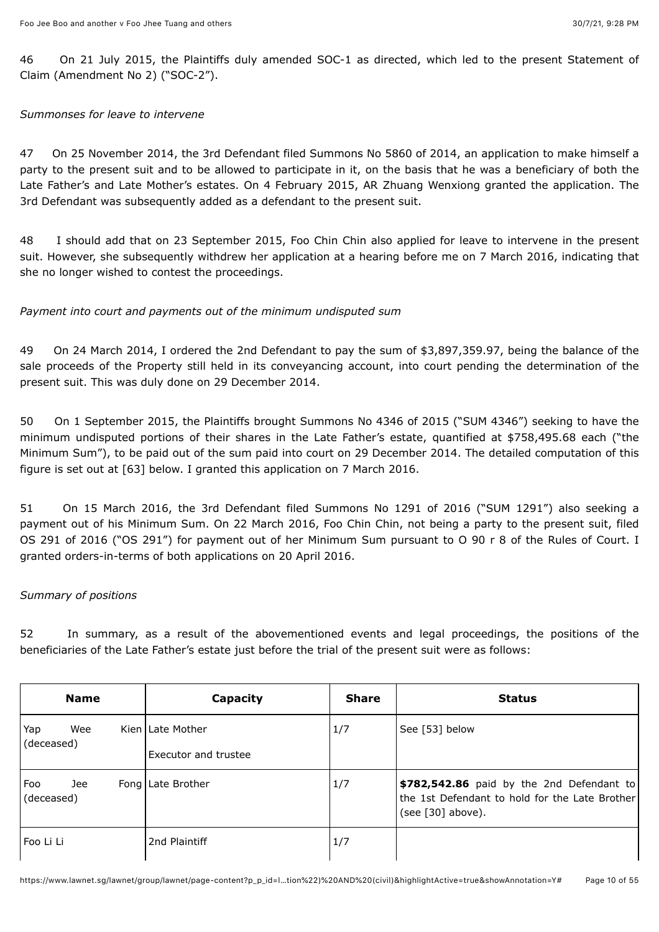46 On 21 July 2015, the Plaintiffs duly amended SOC-1 as directed, which led to the present Statement of Claim (Amendment No 2) ("SOC-2").

### *Summonses for leave to intervene*

47 On 25 November 2014, the 3rd Defendant filed Summons No 5860 of 2014, an application to make himself a party to the present suit and to be allowed to participate in it, on the basis that he was a beneficiary of both the Late Father's and Late Mother's estates. On 4 February 2015, AR Zhuang Wenxiong granted the application. The 3rd Defendant was subsequently added as a defendant to the present suit.

48 I should add that on 23 September 2015, Foo Chin Chin also applied for leave to intervene in the present suit. However, she subsequently withdrew her application at a hearing before me on 7 March 2016, indicating that she no longer wished to contest the proceedings.

### *Payment into court and payments out of the minimum undisputed sum*

49 On 24 March 2014, I ordered the 2nd Defendant to pay the sum of \$3,897,359.97, being the balance of the sale proceeds of the Property still held in its conveyancing account, into court pending the determination of the present suit. This was duly done on 29 December 2014.

50 On 1 September 2015, the Plaintiffs brought Summons No 4346 of 2015 ("SUM 4346") seeking to have the minimum undisputed portions of their shares in the Late Father's estate, quantified at \$758,495.68 each ("the Minimum Sum"), to be paid out of the sum paid into court on 29 December 2014. The detailed computation of this figure is set out at [63] below. I granted this application on 7 March 2016.

51 On 15 March 2016, the 3rd Defendant filed Summons No 1291 of 2016 ("SUM 1291") also seeking a payment out of his Minimum Sum. On 22 March 2016, Foo Chin Chin, not being a party to the present suit, filed OS 291 of 2016 ("OS 291") for payment out of her Minimum Sum pursuant to O 90 r 8 of the Rules of Court. I granted orders-in-terms of both applications on 20 April 2016.

### *Summary of positions*

52 In summary, as a result of the abovementioned events and legal proceedings, the positions of the beneficiaries of the Late Father's estate just before the trial of the present suit were as follows:

|                   | <b>Name</b> | Capacity                                        | <b>Share</b> | <b>Status</b>                                                                                                    |
|-------------------|-------------|-------------------------------------------------|--------------|------------------------------------------------------------------------------------------------------------------|
| Yap<br>(deceased) | Wee         | Kien Late Mother<br><b>Executor and trustee</b> | 1/7          | See [53] below                                                                                                   |
| Foo<br>(deceased) | Jee         | Fong   Late Brother                             | 1/7          | \$782,542.86 paid by the 2nd Defendant to<br>the 1st Defendant to hold for the Late Brother<br>(see [30] above). |
| Foo Li Li         |             | 2nd Plaintiff                                   | 1/7          |                                                                                                                  |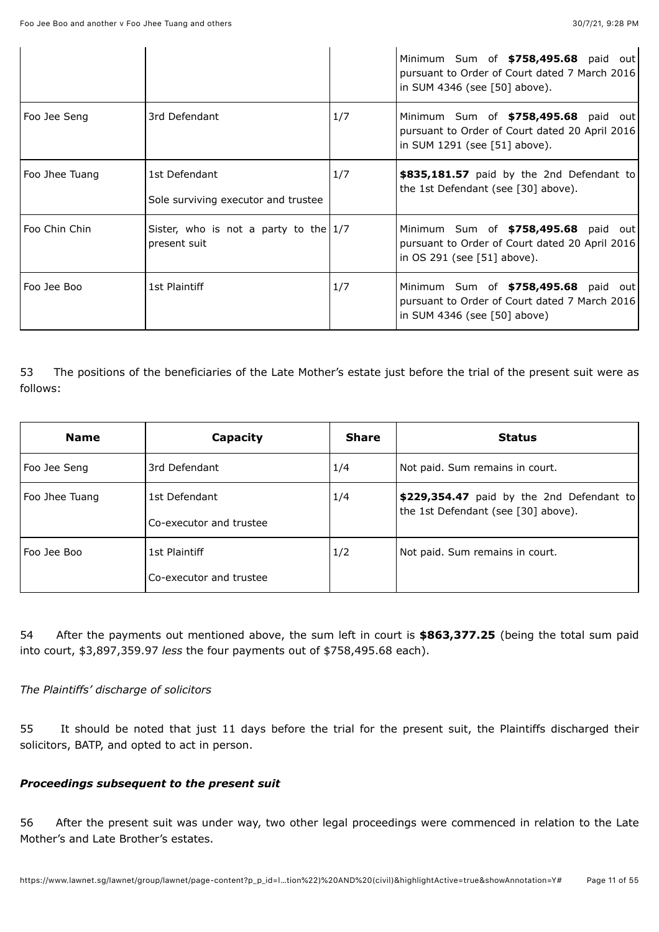|                 |                                                         |     | Minimum Sum of \$758,495.68 paid out<br>pursuant to Order of Court dated 7 March 2016<br>in SUM 4346 (see [50] above).  |
|-----------------|---------------------------------------------------------|-----|-------------------------------------------------------------------------------------------------------------------------|
| Foo Jee Seng    | 3rd Defendant                                           | 1/7 | Minimum Sum of \$758,495.68 paid out<br>pursuant to Order of Court dated 20 April 2016<br>in SUM 1291 (see [51] above). |
| Foo Jhee Tuang  | 1st Defendant<br>Sole surviving executor and trustee    | 1/7 | \$835,181.57 paid by the 2nd Defendant to<br>the 1st Defendant (see [30] above).                                        |
| l Foo Chin Chin | Sister, who is not a party to the $1/7$<br>present suit |     | Minimum Sum of \$758,495.68 paid out<br>pursuant to Order of Court dated 20 April 2016<br>in OS 291 (see [51] above).   |
| Foo Jee Boo     | 1st Plaintiff                                           | 1/7 | Minimum Sum of \$758,495.68 paid out<br>pursuant to Order of Court dated 7 March 2016<br>in SUM 4346 (see [50] above)   |

53 The positions of the beneficiaries of the Late Mother's estate just before the trial of the present suit were as follows:

| <b>Name</b>    | Capacity                                 | <b>Share</b> | <b>Status</b>                                                                    |
|----------------|------------------------------------------|--------------|----------------------------------------------------------------------------------|
| Foo Jee Seng   | 3rd Defendant                            | 1/4          | Not paid. Sum remains in court.                                                  |
| Foo Jhee Tuang | 1st Defendant<br>Co-executor and trustee | 1/4          | \$229,354.47 paid by the 2nd Defendant to<br>the 1st Defendant (see [30] above). |
| Foo Jee Boo    | 1st Plaintiff<br>Co-executor and trustee | 1/2          | Not paid. Sum remains in court.                                                  |

54 After the payments out mentioned above, the sum left in court is **\$863,377.25** (being the total sum paid into court, \$3,897,359.97 *less* the four payments out of \$758,495.68 each).

### *The Plaintiffs' discharge of solicitors*

55 It should be noted that just 11 days before the trial for the present suit, the Plaintiffs discharged their solicitors, BATP, and opted to act in person.

### *Proceedings subsequent to the present suit*

56 After the present suit was under way, two other legal proceedings were commenced in relation to the Late Mother's and Late Brother's estates.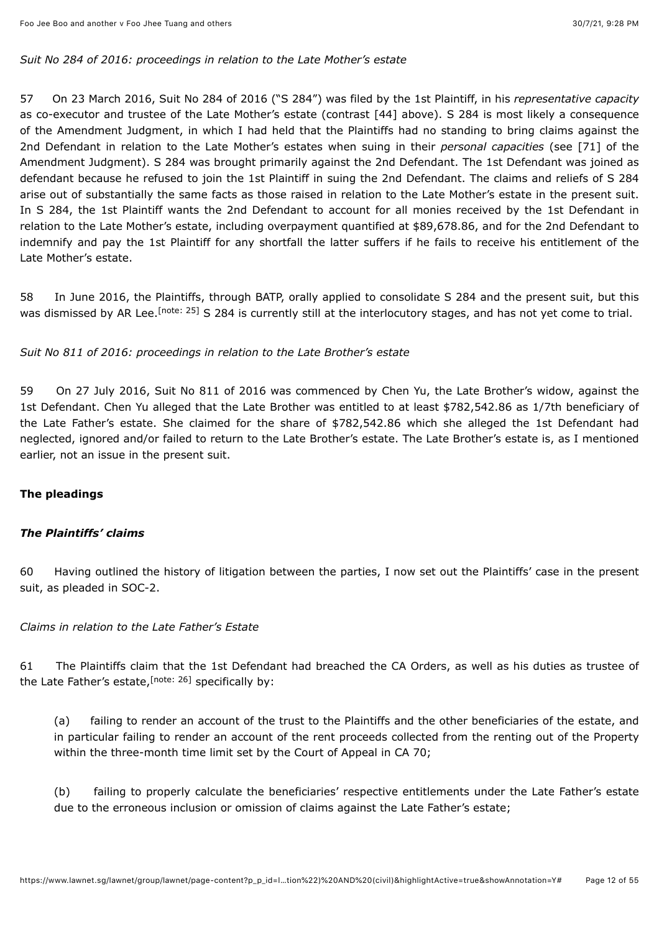#### *Suit No 284 of 2016: proceedings in relation to the Late Mother's estate*

57 On 23 March 2016, Suit No 284 of 2016 ("S 284") was filed by the 1st Plaintiff, in his *representative capacity* as co-executor and trustee of the Late Mother's estate (contrast [44] above). S 284 is most likely a consequence of the Amendment Judgment, in which I had held that the Plaintiffs had no standing to bring claims against the 2nd Defendant in relation to the Late Mother's estates when suing in their *personal capacities* (see [71] of the Amendment Judgment). S 284 was brought primarily against the 2nd Defendant. The 1st Defendant was joined as defendant because he refused to join the 1st Plaintiff in suing the 2nd Defendant. The claims and reliefs of S 284 arise out of substantially the same facts as those raised in relation to the Late Mother's estate in the present suit. In S 284, the 1st Plaintiff wants the 2nd Defendant to account for all monies received by the 1st Defendant in relation to the Late Mother's estate, including overpayment quantified at \$89,678.86, and for the 2nd Defendant to indemnify and pay the 1st Plaintiff for any shortfall the latter suffers if he fails to receive his entitlement of the Late Mother's estate.

<span id="page-11-0"></span>58 In June 2016, the Plaintiffs, through BATP, orally applied to consolidate S 284 and the present suit, but this was dismissed by AR Lee.<sup>[note: 25]</sup> S 284 is currently still at the interlocutory stages, and has not yet come to trial.

*Suit No 811 of 2016: proceedings in relation to the Late Brother's estate*

59 On 27 July 2016, Suit No 811 of 2016 was commenced by Chen Yu, the Late Brother's widow, against the 1st Defendant. Chen Yu alleged that the Late Brother was entitled to at least \$782,542.86 as 1/7th beneficiary of the Late Father's estate. She claimed for the share of \$782,542.86 which she alleged the 1st Defendant had neglected, ignored and/or failed to return to the Late Brother's estate. The Late Brother's estate is, as I mentioned earlier, not an issue in the present suit.

### **The pleadings**

### *The Plaintiffs' claims*

60 Having outlined the history of litigation between the parties, I now set out the Plaintiffs' case in the present suit, as pleaded in SOC-2.

#### *Claims in relation to the Late Father's Estate*

61 The Plaintiffs claim that the 1st Defendant had breached the CA Orders, as well as his duties as trustee of the Late Father's estate,<sup>[note: 26]</sup> specifically by:

<span id="page-11-1"></span>(a) failing to render an account of the trust to the Plaintiffs and the other beneficiaries of the estate, and in particular failing to render an account of the rent proceeds collected from the renting out of the Property within the three-month time limit set by the Court of Appeal in CA 70;

(b) failing to properly calculate the beneficiaries' respective entitlements under the Late Father's estate due to the erroneous inclusion or omission of claims against the Late Father's estate;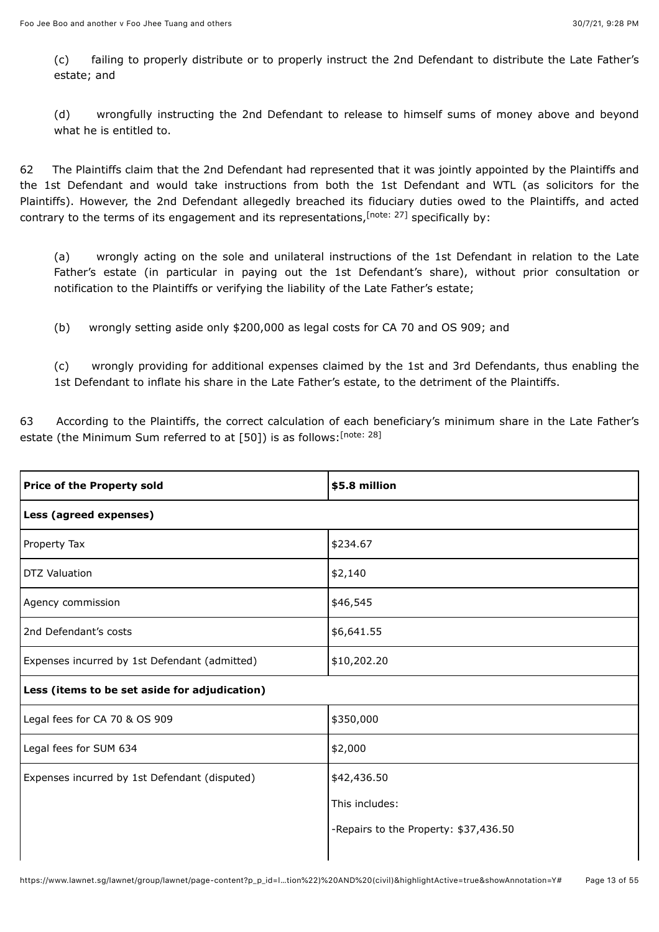(c) failing to properly distribute or to properly instruct the 2nd Defendant to distribute the Late Father's estate; and

(d) wrongfully instructing the 2nd Defendant to release to himself sums of money above and beyond what he is entitled to.

62 The Plaintiffs claim that the 2nd Defendant had represented that it was jointly appointed by the Plaintiffs and the 1st Defendant and would take instructions from both the 1st Defendant and WTL (as solicitors for the Plaintiffs). However, the 2nd Defendant allegedly breached its fiduciary duties owed to the Plaintiffs, and acted contrary to the terms of its engagement and its representations, [note: 27] specifically by:

<span id="page-12-0"></span>(a) wrongly acting on the sole and unilateral instructions of the 1st Defendant in relation to the Late Father's estate (in particular in paying out the 1st Defendant's share), without prior consultation or notification to the Plaintiffs or verifying the liability of the Late Father's estate;

(b) wrongly setting aside only \$200,000 as legal costs for CA 70 and OS 909; and

<span id="page-12-1"></span>(c) wrongly providing for additional expenses claimed by the 1st and 3rd Defendants, thus enabling the 1st Defendant to inflate his share in the Late Father's estate, to the detriment of the Plaintiffs.

63 According to the Plaintiffs, the correct calculation of each beneficiary's minimum share in the Late Father's estate (the Minimum Sum referred to at [50]) is as follows:<sup>[\[note: 28\]](#page-49-16)</sup>

| <b>Price of the Property sold</b>             | \$5.8 million                         |  |
|-----------------------------------------------|---------------------------------------|--|
| Less (agreed expenses)                        |                                       |  |
| Property Tax                                  | \$234.67                              |  |
| <b>DTZ Valuation</b>                          | \$2,140                               |  |
| Agency commission                             | \$46,545                              |  |
| 2nd Defendant's costs                         | \$6,641.55                            |  |
| Expenses incurred by 1st Defendant (admitted) | \$10,202.20                           |  |
| Less (items to be set aside for adjudication) |                                       |  |
| Legal fees for CA 70 & OS 909                 | \$350,000                             |  |
| Legal fees for SUM 634                        | \$2,000                               |  |
| Expenses incurred by 1st Defendant (disputed) | \$42,436.50                           |  |
|                                               | This includes:                        |  |
|                                               | -Repairs to the Property: \$37,436.50 |  |
|                                               |                                       |  |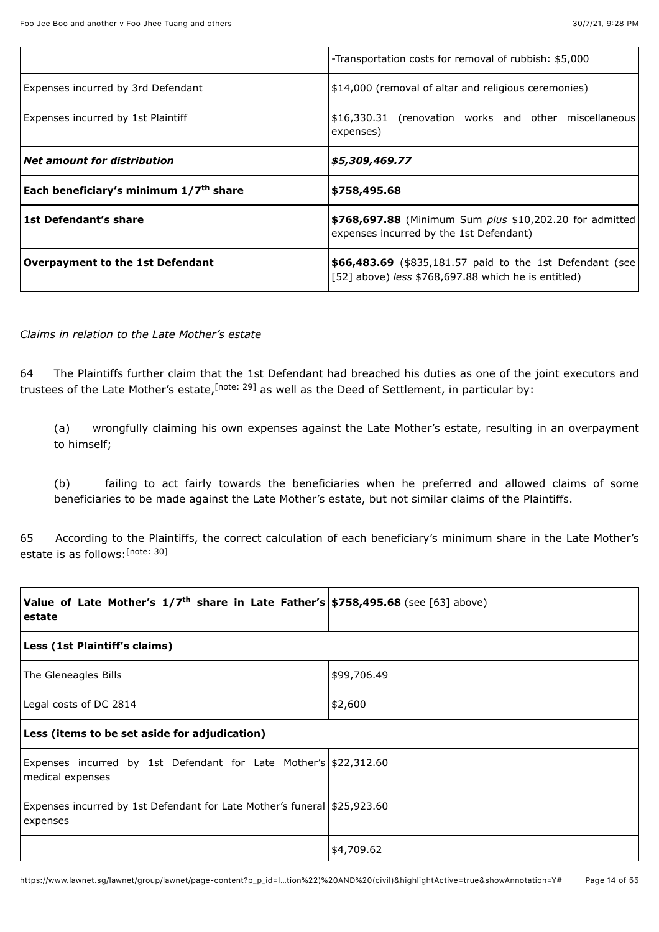|                                                    | -Transportation costs for removal of rubbish: \$5,000                                                           |
|----------------------------------------------------|-----------------------------------------------------------------------------------------------------------------|
| Expenses incurred by 3rd Defendant                 | \$14,000 (removal of altar and religious ceremonies)                                                            |
| Expenses incurred by 1st Plaintiff                 | \$16,330.31 (renovation works and other miscellaneous)<br>expenses)                                             |
| Net amount for distribution                        | \$5,309,469.77                                                                                                  |
| Each beneficiary's minimum 1/7 <sup>th</sup> share | \$758,495.68                                                                                                    |
| l 1st Defendant's share                            | \$768,697.88 (Minimum Sum plus \$10,202.20 for admitted<br>expenses incurred by the 1st Defendant)              |
| Overpayment to the 1st Defendant                   | \$66,483.69 (\$835,181.57 paid to the 1st Defendant (see<br>[52] above) less \$768,697.88 which he is entitled) |

#### *Claims in relation to the Late Mother's estate*

64 The Plaintiffs further claim that the 1st Defendant had breached his duties as one of the joint executors and trustees of the Late Mother's estate, <sup>[note: 29]</sup> as well as the Deed of Settlement, in particular by:

<span id="page-13-0"></span>(a) wrongfully claiming his own expenses against the Late Mother's estate, resulting in an overpayment to himself;

<span id="page-13-1"></span>(b) failing to act fairly towards the beneficiaries when he preferred and allowed claims of some beneficiaries to be made against the Late Mother's estate, but not similar claims of the Plaintiffs.

65 According to the Plaintiffs, the correct calculation of each beneficiary's minimum share in the Late Mother's estate is as follows: [\[note: 30\]](#page-49-18)

| Value of Late Mother's $1/7^{th}$ share in Late Father's \$758,495.68 (see [63] above)<br>estate |             |
|--------------------------------------------------------------------------------------------------|-------------|
| Less (1st Plaintiff's claims)                                                                    |             |
| The Gleneagles Bills                                                                             | \$99,706.49 |
| Legal costs of DC 2814                                                                           | \$2,600     |
| Less (items to be set aside for adjudication)                                                    |             |
| Expenses incurred by 1st Defendant for Late Mother's \$22,312.60<br>medical expenses             |             |
| Expenses incurred by 1st Defendant for Late Mother's funeral \$25,923.60<br>expenses             |             |
|                                                                                                  | \$4,709.62  |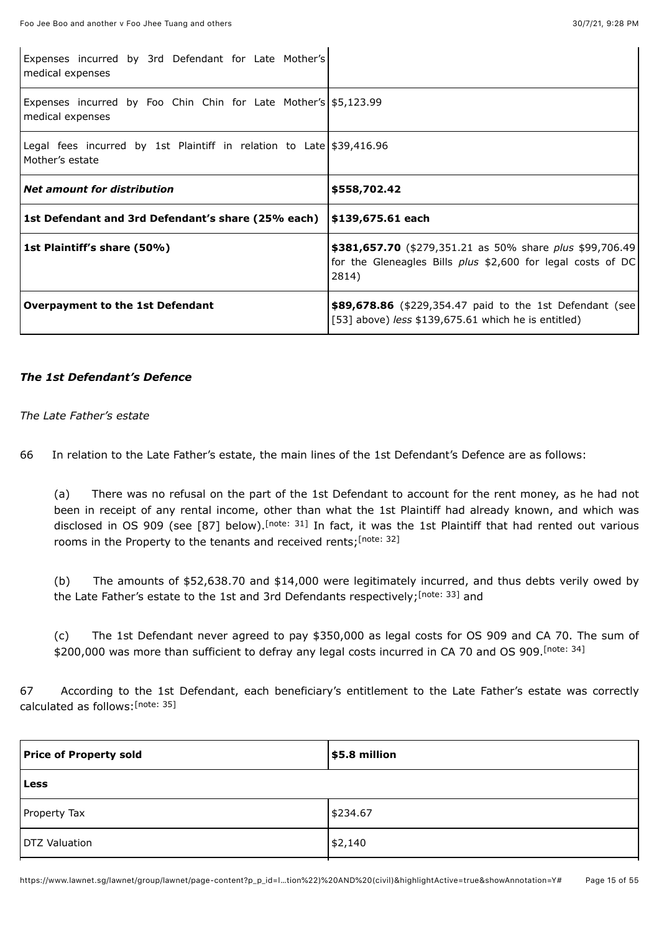| Expenses incurred by 3rd Defendant for Late Mother's<br>medical expenses                 |                                                                                                                                          |
|------------------------------------------------------------------------------------------|------------------------------------------------------------------------------------------------------------------------------------------|
| Expenses incurred by Foo Chin Chin for Late Mother's \$5,123.99<br>medical expenses      |                                                                                                                                          |
| Legal fees incurred by 1st Plaintiff in relation to Late $$39,416.96$<br>Mother's estate |                                                                                                                                          |
| <b>Net amount for distribution</b>                                                       | \$558,702.42                                                                                                                             |
| 1st Defendant and 3rd Defendant's share (25% each)   \$139,675.61 each                   |                                                                                                                                          |
| 1st Plaintiff's share (50%)                                                              | \$381,657.70 (\$279,351.21 as 50% share plus \$99,706.49)<br>for the Gleneagles Bills <i>plus</i> \$2,600 for legal costs of DC<br>2814) |
| <b>Overpayment to the 1st Defendant</b>                                                  | \$89,678.86 (\$229,354.47 paid to the 1st Defendant (see<br>[53] above) less $$139,675.61$ which he is entitled)                         |

#### *The 1st Defendant's Defence*

#### *The Late Father's estate*

66 In relation to the Late Father's estate, the main lines of the 1st Defendant's Defence are as follows:

<span id="page-14-1"></span><span id="page-14-0"></span>(a) There was no refusal on the part of the 1st Defendant to account for the rent money, as he had not been in receipt of any rental income, other than what the 1st Plaintiff had already known, and which was disclosed in OS 909 (see [87] below)[.](#page-49-19)<sup>[note: 31]</sup> In fact, it was the 1st Plaintiff that had rented out various rooms in the Property to the tenants and received rents;<sup>[\[note: 32\]](#page-49-20)</sup>

<span id="page-14-2"></span>(b) The amounts of \$52,638.70 and \$14,000 were legitimately incurred, and thus debts verily owed by the Late Father's estate to the 1st and 3rd Defendants respectively[;](#page-49-21)<sup>[note: 33]</sup> and

<span id="page-14-4"></span><span id="page-14-3"></span>(c) The 1st Defendant never agreed to pay \$350,000 as legal costs for OS 909 and CA 70. The sum of \$200,000 was more than sufficient to defray any legal costs incurred in CA 70 and OS 909. [\[note: 34\]](#page-49-22)

67 According to the 1st Defendant, each beneficiary's entitlement to the Late Father's estate was correctly calculated as follows:<sup>[\[note: 35\]](#page-49-23)</sup>

| <b>Price of Property sold</b> | \$5.8 million |
|-------------------------------|---------------|
| Less                          |               |
| Property Tax                  | \$234.67      |
| <b>DTZ Valuation</b>          | \$2,140       |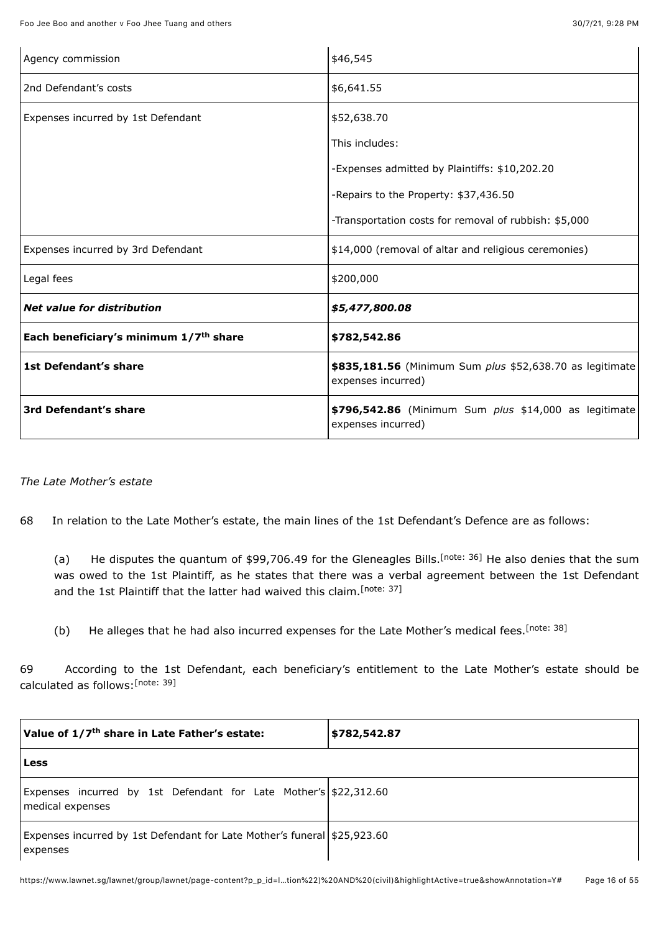| Agency commission                                  | \$46,545                                                                       |
|----------------------------------------------------|--------------------------------------------------------------------------------|
| 2nd Defendant's costs                              | \$6,641.55                                                                     |
| Expenses incurred by 1st Defendant                 | \$52,638.70                                                                    |
|                                                    | This includes:                                                                 |
|                                                    | -Expenses admitted by Plaintiffs: \$10,202.20                                  |
|                                                    | -Repairs to the Property: \$37,436.50                                          |
|                                                    | -Transportation costs for removal of rubbish: \$5,000                          |
| Expenses incurred by 3rd Defendant                 | \$14,000 (removal of altar and religious ceremonies)                           |
| Legal fees                                         | \$200,000                                                                      |
| <b>Net value for distribution</b>                  | \$5,477,800.08                                                                 |
| Each beneficiary's minimum 1/7 <sup>th</sup> share | \$782,542.86                                                                   |
| 1st Defendant's share                              | \$835,181.56 (Minimum Sum plus \$52,638.70 as legitimate<br>expenses incurred) |
| 3rd Defendant's share                              | \$796,542.86 (Minimum Sum plus \$14,000 as legitimate<br>expenses incurred)    |

#### *The Late Mother's estate*

68 In relation to the Late Mother's estate, the main lines of the 1st Defendant's Defence are as follows:

<span id="page-15-1"></span><span id="page-15-0"></span>(a) He disputes the quantum of \$99,706.49 for the Gleneagles Bills.<sup>[note: 36]</sup> He also denies that the sum was owed to the 1st Plaintiff, as he states that there was a verbal agreement between the 1st Defendant and the 1st Plaintiff that the latter had waived this claim.<sup>[\[note: 37\]](#page-49-25)</sup>

<span id="page-15-3"></span><span id="page-15-2"></span>(b) He alleges that he had also incurred expenses for the Late Mother's medical fees. [\[note: 38\]](#page-49-26)

69 According to the 1st Defendant, each beneficiary's entitlement to the Late Mother's estate should be calculated as follows: [\[note: 39\]](#page-49-27)

| Value of 1/7 <sup>th</sup> share in Late Father's estate:                            | \$782,542.87 |
|--------------------------------------------------------------------------------------|--------------|
| <b>Less</b>                                                                          |              |
| Expenses incurred by 1st Defendant for Late Mother's \$22,312.60<br>medical expenses |              |
| Expenses incurred by 1st Defendant for Late Mother's funeral \$25,923.60<br>expenses |              |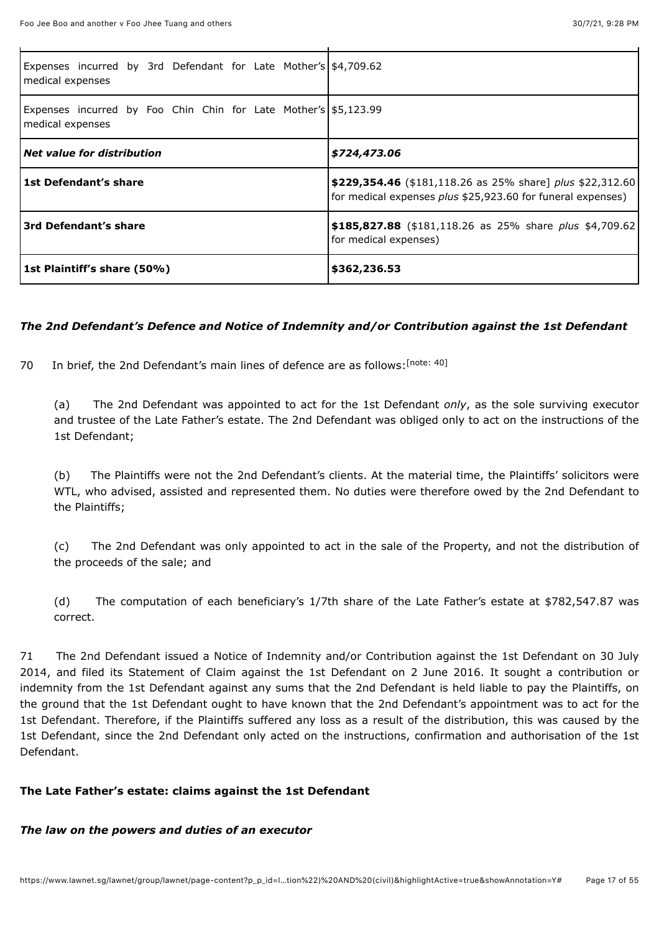| Expenses incurred by 3rd Defendant for Late Mother's \$4,709.62<br>medical expenses |                                                                                                                          |  |
|-------------------------------------------------------------------------------------|--------------------------------------------------------------------------------------------------------------------------|--|
| Expenses incurred by Foo Chin Chin for Late Mother's \$5,123.99<br>medical expenses |                                                                                                                          |  |
| <i>Net value for distribution</i>                                                   | \$724,473.06                                                                                                             |  |
| l 1st Defendant's share                                                             | \$229,354.46 (\$181,118.26 as 25% share] plus \$22,312.60<br>for medical expenses plus \$25,923.60 for funeral expenses) |  |
| <b>Srd Defendant's share</b>                                                        | \$185,827.88 (\$181,118.26 as 25% share plus \$4,709.62)<br>for medical expenses)                                        |  |
| <b>Star-</b> Plaintiff's share (50%)                                                | \$362,236.53                                                                                                             |  |

### *The 2nd Defendant's Defence and Notice of Indemnity and/or Contribution against the 1st Defendant*

70 In brief, the 2nd Defendant's main lines of defence are as follows: [\[note: 40\]](#page-49-28)

<span id="page-16-0"></span>(a) The 2nd Defendant was appointed to act for the 1st Defendant *only*, as the sole surviving executor and trustee of the Late Father's estate. The 2nd Defendant was obliged only to act on the instructions of the 1st Defendant;

(b) The Plaintiffs were not the 2nd Defendant's clients. At the material time, the Plaintiffs' solicitors were WTL, who advised, assisted and represented them. No duties were therefore owed by the 2nd Defendant to the Plaintiffs;

(c) The 2nd Defendant was only appointed to act in the sale of the Property, and not the distribution of the proceeds of the sale; and

(d) The computation of each beneficiary's 1/7th share of the Late Father's estate at \$782,547.87 was correct.

71 The 2nd Defendant issued a Notice of Indemnity and/or Contribution against the 1st Defendant on 30 July 2014, and filed its Statement of Claim against the 1st Defendant on 2 June 2016. It sought a contribution or indemnity from the 1st Defendant against any sums that the 2nd Defendant is held liable to pay the Plaintiffs, on the ground that the 1st Defendant ought to have known that the 2nd Defendant's appointment was to act for the 1st Defendant. Therefore, if the Plaintiffs suffered any loss as a result of the distribution, this was caused by the 1st Defendant, since the 2nd Defendant only acted on the instructions, confirmation and authorisation of the 1st Defendant.

### **The Late Father's estate: claims against the 1st Defendant**

#### *The law on the powers and duties of an executor*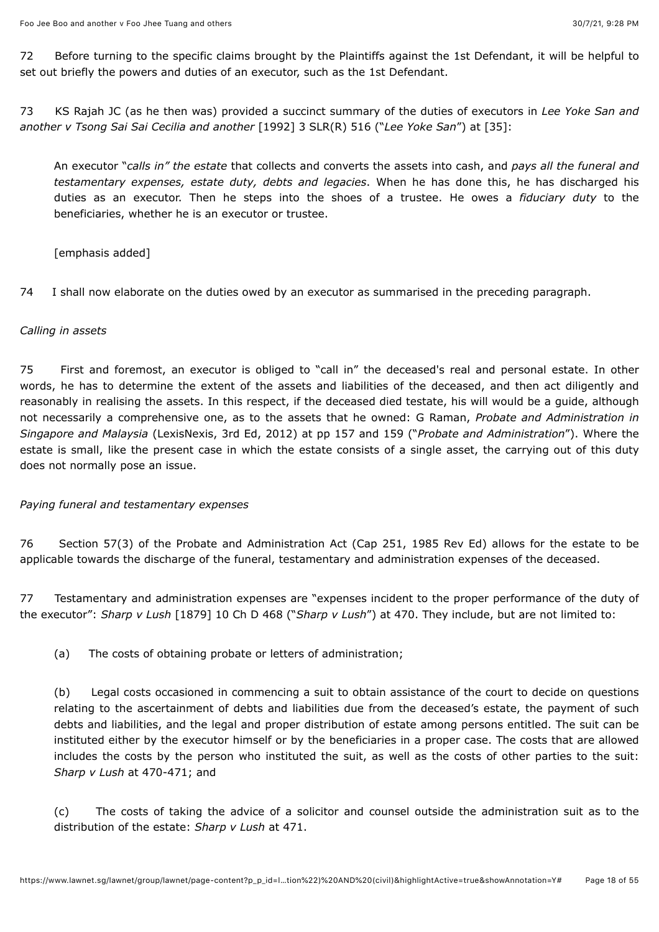72 Before turning to the specific claims brought by the Plaintiffs against the 1st Defendant, it will be helpful to set out briefly the powers and duties of an executor, such as the 1st Defendant.

73 KS Rajah JC (as he then was) provided a succinct summary of the duties of executors in *Lee Yoke San and another v Tsong Sai Sai Cecilia and another* [\[1992\] 3 SLR\(R\) 516](javascript:viewPageContent() ("*Lee Yoke San*") at [35]:

An executor "*calls in" the estate* that collects and converts the assets into cash, and *pays all the funeral and testamentary expenses, estate duty, debts and legacies*. When he has done this, he has discharged his duties as an executor. Then he steps into the shoes of a trustee. He owes a *fiduciary duty* to the beneficiaries, whether he is an executor or trustee.

[emphasis added]

74 I shall now elaborate on the duties owed by an executor as summarised in the preceding paragraph.

#### *Calling in assets*

75 First and foremost, an executor is obliged to "call in" the deceased's real and personal estate. In other words, he has to determine the extent of the assets and liabilities of the deceased, and then act diligently and reasonably in realising the assets. In this respect, if the deceased died testate, his will would be a guide, although not necessarily a comprehensive one, as to the assets that he owned: G Raman, *Probate and Administration in Singapore and Malaysia* (LexisNexis, 3rd Ed, 2012) at pp 157 and 159 ("*Probate and Administration*"). Where the estate is small, like the present case in which the estate consists of a single asset, the carrying out of this duty does not normally pose an issue.

*Paying funeral and testamentary expenses*

76 Section 57(3) of the Probate and Administration Act (Cap 251, 1985 Rev Ed) allows for the estate to be applicable towards the discharge of the funeral, testamentary and administration expenses of the deceased.

77 Testamentary and administration expenses are "expenses incident to the proper performance of the duty of the executor": *Sharp v Lush* [1879] 10 Ch D 468 ("*Sharp v Lush*") at 470. They include, but are not limited to:

(a) The costs of obtaining probate or letters of administration;

(b) Legal costs occasioned in commencing a suit to obtain assistance of the court to decide on questions relating to the ascertainment of debts and liabilities due from the deceased's estate, the payment of such debts and liabilities, and the legal and proper distribution of estate among persons entitled. The suit can be instituted either by the executor himself or by the beneficiaries in a proper case. The costs that are allowed includes the costs by the person who instituted the suit, as well as the costs of other parties to the suit: *Sharp v Lush* at 470-471; and

(c) The costs of taking the advice of a solicitor and counsel outside the administration suit as to the distribution of the estate: *Sharp v Lush* at 471.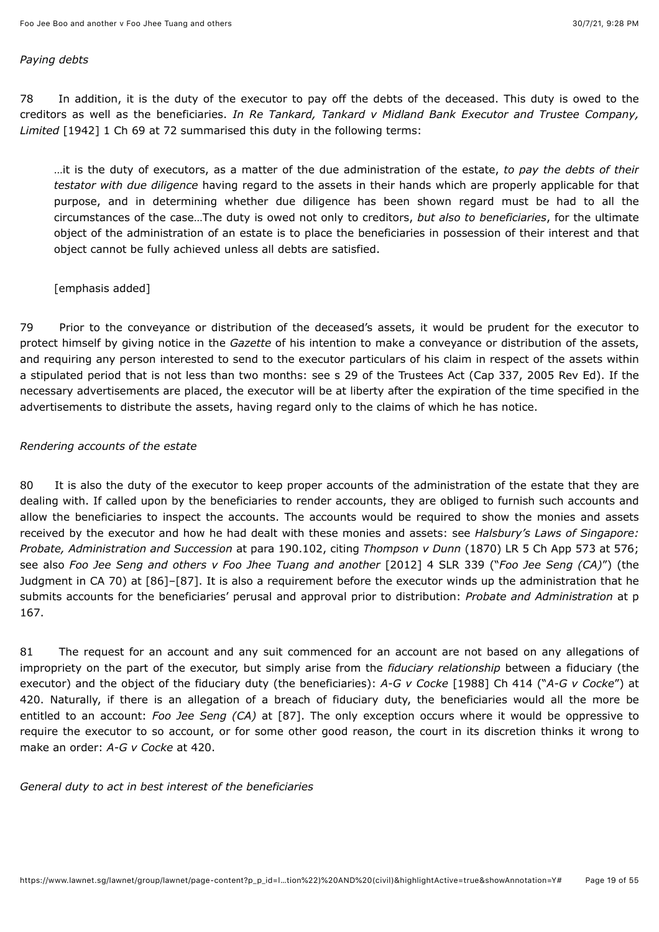#### *Paying debts*

78 In addition, it is the duty of the executor to pay off the debts of the deceased. This duty is owed to the creditors as well as the beneficiaries. *In Re Tankard, Tankard v Midland Bank Executor and Trustee Company, Limited* [1942] 1 Ch 69 at 72 summarised this duty in the following terms:

…it is the duty of executors, as a matter of the due administration of the estate, *to pay the debts of their testator with due diligence* having regard to the assets in their hands which are properly applicable for that purpose, and in determining whether due diligence has been shown regard must be had to all the circumstances of the case…The duty is owed not only to creditors, *but also to beneficiaries*, for the ultimate object of the administration of an estate is to place the beneficiaries in possession of their interest and that object cannot be fully achieved unless all debts are satisfied.

#### [emphasis added]

79 Prior to the conveyance or distribution of the deceased's assets, it would be prudent for the executor to protect himself by giving notice in the *Gazette* of his intention to make a conveyance or distribution of the assets, and requiring any person interested to send to the executor particulars of his claim in respect of the assets within a stipulated period that is not less than two months: see s 29 of the Trustees Act (Cap 337, 2005 Rev Ed). If the necessary advertisements are placed, the executor will be at liberty after the expiration of the time specified in the advertisements to distribute the assets, having regard only to the claims of which he has notice.

### *Rendering accounts of the estate*

80 It is also the duty of the executor to keep proper accounts of the administration of the estate that they are dealing with. If called upon by the beneficiaries to render accounts, they are obliged to furnish such accounts and allow the beneficiaries to inspect the accounts. The accounts would be required to show the monies and assets received by the executor and how he had dealt with these monies and assets: see *Halsbury's Laws of Singapore: Probate, Administration and Succession* at para 190.102, citing *Thompson v Dunn* (1870) LR 5 Ch App 573 at 576; see also *Foo Jee Seng and others v Foo Jhee Tuang and another* [\[2012\] 4 SLR 339](javascript:viewPageContent() ("*Foo Jee Seng (CA)*") (the Judgment in CA 70) at [86]–[87]. It is also a requirement before the executor winds up the administration that he submits accounts for the beneficiaries' perusal and approval prior to distribution: *Probate and Administration* at p 167.

81 The request for an account and any suit commenced for an account are not based on any allegations of impropriety on the part of the executor, but simply arise from the *fiduciary relationship* between a fiduciary (the executor) and the object of the fiduciary duty (the beneficiaries): *A-G v Cocke* [1988] Ch 414 ("*A-G v Cocke*") at 420. Naturally, if there is an allegation of a breach of fiduciary duty, the beneficiaries would all the more be entitled to an account: *Foo Jee Seng (CA)* at [87]. The only exception occurs where it would be oppressive to require the executor to so account, or for some other good reason, the court in its discretion thinks it wrong to make an order: *A-G v Cocke* at 420.

*General duty to act in best interest of the beneficiaries*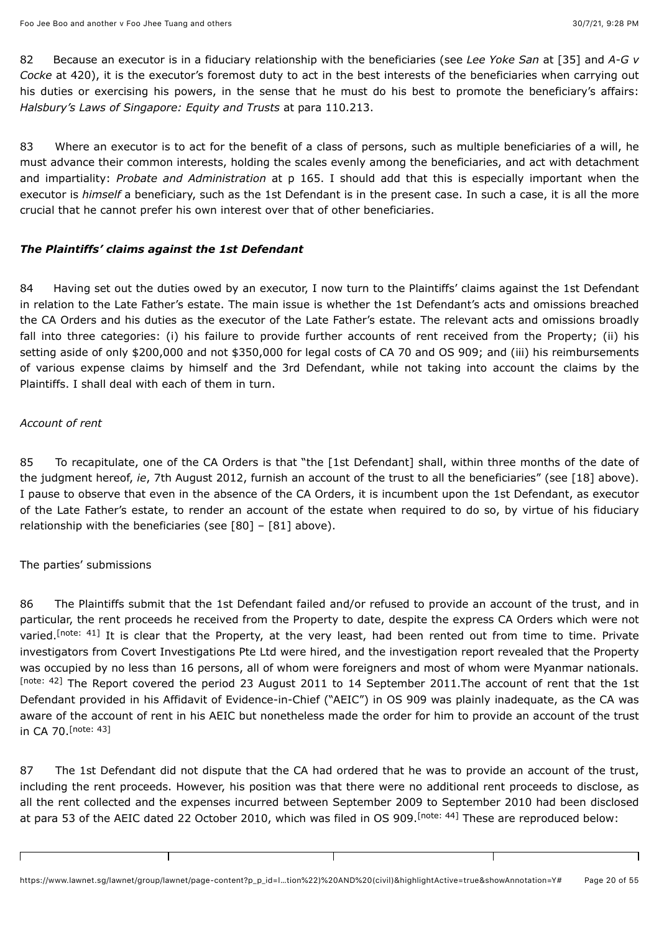82 Because an executor is in a fiduciary relationship with the beneficiaries (see *Lee Yoke San* at [35] and *A-G v Cocke* at 420), it is the executor's foremost duty to act in the best interests of the beneficiaries when carrying out his duties or exercising his powers, in the sense that he must do his best to promote the beneficiary's affairs: *Halsbury's Laws of Singapore: Equity and Trusts* at para 110.213.

83 Where an executor is to act for the benefit of a class of persons, such as multiple beneficiaries of a will, he must advance their common interests, holding the scales evenly among the beneficiaries, and act with detachment and impartiality: *Probate and Administration* at p 165. I should add that this is especially important when the executor is *himself* a beneficiary, such as the 1st Defendant is in the present case. In such a case, it is all the more crucial that he cannot prefer his own interest over that of other beneficiaries.

### *The Plaintiffs' claims against the 1st Defendant*

Τ

84 Having set out the duties owed by an executor, I now turn to the Plaintiffs' claims against the 1st Defendant in relation to the Late Father's estate. The main issue is whether the 1st Defendant's acts and omissions breached the CA Orders and his duties as the executor of the Late Father's estate. The relevant acts and omissions broadly fall into three categories: (i) his failure to provide further accounts of rent received from the Property; (ii) his setting aside of only \$200,000 and not \$350,000 for legal costs of CA 70 and OS 909; and (iii) his reimbursements of various expense claims by himself and the 3rd Defendant, while not taking into account the claims by the Plaintiffs. I shall deal with each of them in turn.

### *Account of rent*

85 To recapitulate, one of the CA Orders is that "the [1st Defendant] shall, within three months of the date of the judgment hereof, *ie*, 7th August 2012, furnish an account of the trust to all the beneficiaries" (see [18] above). I pause to observe that even in the absence of the CA Orders, it is incumbent upon the 1st Defendant, as executor of the Late Father's estate, to render an account of the estate when required to do so, by virtue of his fiduciary relationship with the beneficiaries (see [80] – [81] above).

### The parties' submissions

 $\Gamma$ 

<span id="page-19-1"></span><span id="page-19-0"></span>86 The Plaintiffs submit that the 1st Defendant failed and/or refused to provide an account of the trust, and in particular, the rent proceeds he received from the Property to date, despite the express CA Orders which were not varied[.](#page-49-29)<sup>[note: 41]</sup> It is clear that the Property, at the very least, had been rented out from time to time. Private investigators from Covert Investigations Pte Ltd were hired, and the investigation report revealed that the Property was occupied by no less than 16 persons, all of whom were foreigners and most of whom were Myanmar nationals. [\[note: 42\]](#page-49-30) The Report covered the period 23 August 2011 to 14 September 2011. The account of rent that the 1st Defendant provided in his Affidavit of Evidence-in-Chief ("AEIC") in OS 909 was plainly inadequate, as the CA was aware of the account of rent in his AEIC but nonetheless made the order for him to provide an account of the trust in CA 70. [\[note: 43\]](#page-49-31)

<span id="page-19-2"></span>87 The 1st Defendant did not dispute that the CA had ordered that he was to provide an account of the trust, including the rent proceeds. However, his position was that there were no additional rent proceeds to disclose, as all the rent collected and the expenses incurred between September 2009 to September 2010 had been disclosed at para 53 of the AEIC dated 22 October 2010, which was filed in OS 909.<sup>[note: 44]</sup> These are reproduced below:

Π

<span id="page-19-3"></span>Τ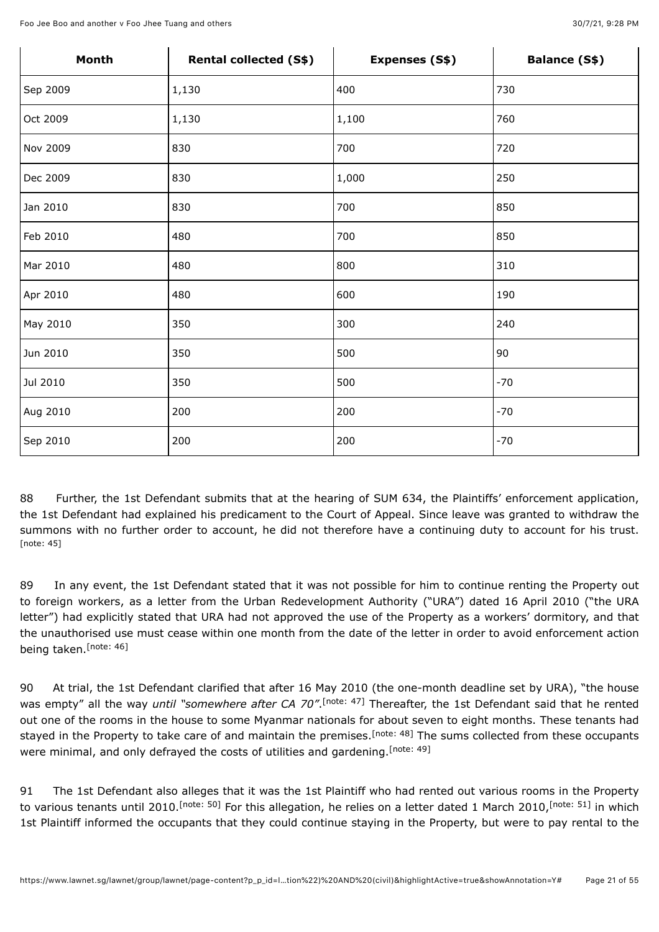| Month    | Rental collected (S\$) | Expenses (S\$) | <b>Balance (S\$)</b> |
|----------|------------------------|----------------|----------------------|
| Sep 2009 | 1,130                  | 400            | 730                  |
| Oct 2009 | 1,130                  | 1,100          | 760                  |
| Nov 2009 | 830                    | 700            | 720                  |
| Dec 2009 | 830                    | 1,000          | 250                  |
| Jan 2010 | 830                    | 700            | 850                  |
| Feb 2010 | 480                    | 700            | 850                  |
| Mar 2010 | 480                    | 800            | 310                  |
| Apr 2010 | 480                    | 600            | 190                  |
| May 2010 | 350                    | 300            | 240                  |
| Jun 2010 | 350                    | 500            | 90                   |
| Jul 2010 | 350                    | 500            | $-70$                |
| Aug 2010 | 200                    | 200            | $-70$                |
| Sep 2010 | 200                    | 200            | $-70$                |

<span id="page-20-0"></span>88 Further, the 1st Defendant submits that at the hearing of SUM 634, the Plaintiffs' enforcement application, the 1st Defendant had explained his predicament to the Court of Appeal. Since leave was granted to withdraw the summons with no further order to account, he did not therefore have a continuing duty to account for his trust. [\[note: 45\]](#page-50-1)

89 In any event, the 1st Defendant stated that it was not possible for him to continue renting the Property out to foreign workers, as a letter from the Urban Redevelopment Authority ("URA") dated 16 April 2010 ("the URA letter") had explicitly stated that URA had not approved the use of the Property as a workers' dormitory, and that the unauthorised use must cease within one month from the date of the letter in order to avoid enforcement action being taken.<sup>[\[note: 46\]](#page-50-2)</sup>

<span id="page-20-3"></span><span id="page-20-2"></span><span id="page-20-1"></span>90 At trial, the 1st Defendant clarified that after 16 May 2010 (the one-month deadline set by URA), "the house was empty" all the way *until* "somewhere after CA 70"[.](#page-50-3)<sup>[note: 47] Thereafter, the 1st Defendant said that he rented</sup> out one of the rooms in the house to some Myanmar nationals for about seven to eight months. These tenants had stayed in the Property to take care of and maintain the premises.<sup>[note: 48]</sup> The sums collected from these occupants were minimal, and only defrayed the costs of utilities and gardening. [\[note: 49\]](#page-50-5)

<span id="page-20-6"></span><span id="page-20-5"></span><span id="page-20-4"></span>91 The 1st Defendant also alleges that it was the 1st Plaintiff who had rented out various rooms in the Property tovarious tenants until 2010.<sup>[note: 50]</sup> For this allegation, he relies on a letter dated 1 March 2010,<sup>[note: 51]</sup> in which 1st Plaintiff informed the occupants that they could continue staying in the Property, but were to pay rental to the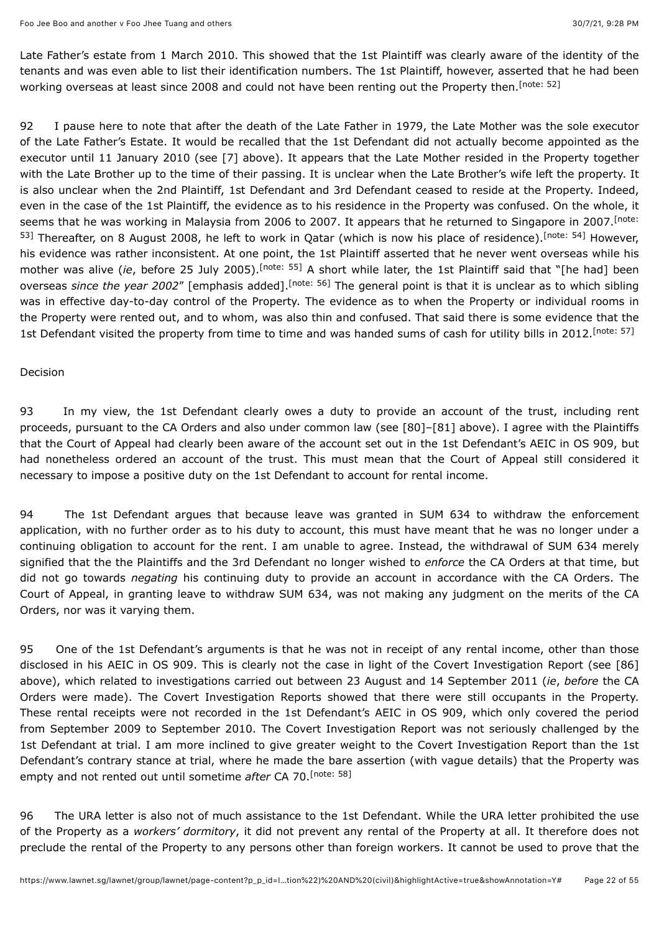<span id="page-21-0"></span>Late Father's estate from 1 March 2010. This showed that the 1st Plaintiff was clearly aware of the identity of the tenants and was even able to list their identification numbers. The 1st Plaintiff, however, asserted that he had been working overseas at least since 2008 and could not have been renting out the Property then.<sup>[\[note: 52\]](#page-50-8)</sup>

<span id="page-21-2"></span><span id="page-21-1"></span>92 I pause here to note that after the death of the Late Father in 1979, the Late Mother was the sole executor of the Late Father's Estate. It would be recalled that the 1st Defendant did not actually become appointed as the executor until 11 January 2010 (see [7] above). It appears that the Late Mother resided in the Property together with the Late Brother up to the time of their passing. It is unclear when the Late Brother's wife left the property. It is also unclear when the 2nd Plaintiff, 1st Defendant and 3rd Defendant ceased to reside at the Property. Indeed, even in the case of the 1st Plaintiff, the evidence as to his residence in the Property was confused. On the whole, it seems that he was working in Malaysia from 2006 to 2007. It appears that he returned to Singapore in 2007. <sup>[note:</sup> <sup>53]</sup> Thereafter, on 8 August 2008, he left to work in Qatar (which is now his place of residence). <sup>[note: 54]</sup> However, his evidence was rather inconsistent. At one point, the 1st Plaintiff asserted that he never went overseas while his mother was alive (*ie*, before 25 July 2005).<sup>[note: 55] A short while later, the 1st Plaintiff said that "[he had] been</sup> overseas*since the year 2002"* [emphasis added].<sup>[note: 56] The general point is that it is unclear as to which sibling</sup> was in effective day-to-day control of the Property. The evidence as to when the Property or individual rooms in the Property were rented out, and to whom, was also thin and confused. That said there is some evidence that the 1st Defendant visited the property from time to time and was handed sums of cash for utility bills in 2012. [\[note: 57\]](#page-50-13)

#### <span id="page-21-5"></span><span id="page-21-4"></span><span id="page-21-3"></span>Decision

93 In my view, the 1st Defendant clearly owes a duty to provide an account of the trust, including rent proceeds, pursuant to the CA Orders and also under common law (see [80]–[81] above). I agree with the Plaintiffs that the Court of Appeal had clearly been aware of the account set out in the 1st Defendant's AEIC in OS 909, but had nonetheless ordered an account of the trust. This must mean that the Court of Appeal still considered it necessary to impose a positive duty on the 1st Defendant to account for rental income.

94 The 1st Defendant argues that because leave was granted in SUM 634 to withdraw the enforcement application, with no further order as to his duty to account, this must have meant that he was no longer under a continuing obligation to account for the rent. I am unable to agree. Instead, the withdrawal of SUM 634 merely signified that the the Plaintiffs and the 3rd Defendant no longer wished to *enforce* the CA Orders at that time, but did not go towards *negating* his continuing duty to provide an account in accordance with the CA Orders. The Court of Appeal, in granting leave to withdraw SUM 634, was not making any judgment on the merits of the CA Orders, nor was it varying them.

95 One of the 1st Defendant's arguments is that he was not in receipt of any rental income, other than those disclosed in his AEIC in OS 909. This is clearly not the case in light of the Covert Investigation Report (see [86] above), which related to investigations carried out between 23 August and 14 September 2011 (*ie*, *before* the CA Orders were made). The Covert Investigation Reports showed that there were still occupants in the Property. These rental receipts were not recorded in the 1st Defendant's AEIC in OS 909, which only covered the period from September 2009 to September 2010. The Covert Investigation Report was not seriously challenged by the 1st Defendant at trial. I am more inclined to give greater weight to the Covert Investigation Report than the 1st Defendant's contrary stance at trial, where he made the bare assertion (with vague details) that the Property was empty and not rented out until sometime *after* CA 70. [\[note: 58\]](#page-50-14)

<span id="page-21-6"></span>96 The URA letter is also not of much assistance to the 1st Defendant. While the URA letter prohibited the use of the Property as a *workers' dormitory*, it did not prevent any rental of the Property at all. It therefore does not preclude the rental of the Property to any persons other than foreign workers. It cannot be used to prove that the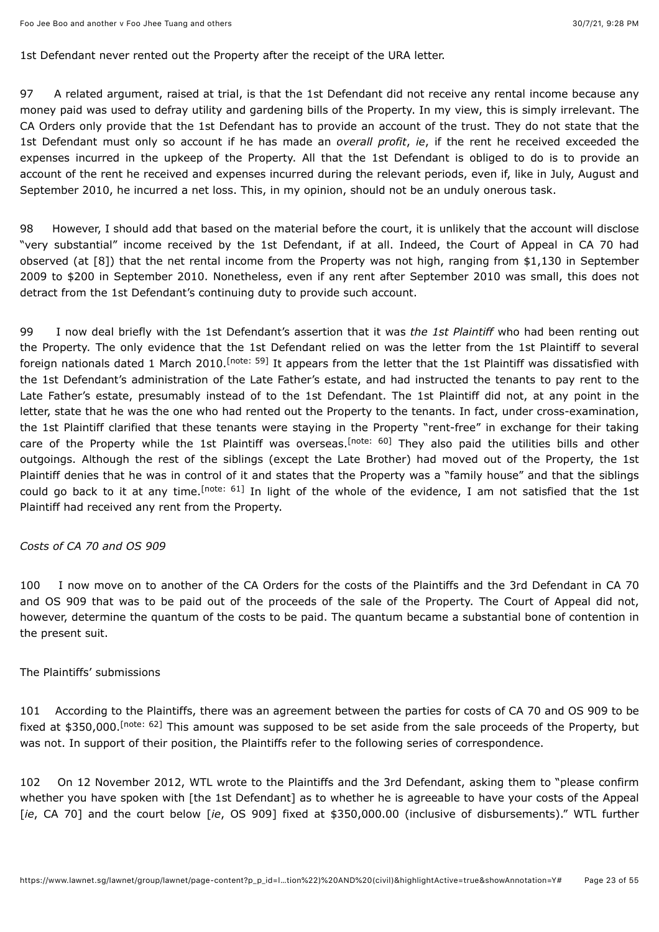1st Defendant never rented out the Property after the receipt of the URA letter.

97 A related argument, raised at trial, is that the 1st Defendant did not receive any rental income because any money paid was used to defray utility and gardening bills of the Property. In my view, this is simply irrelevant. The CA Orders only provide that the 1st Defendant has to provide an account of the trust. They do not state that the 1st Defendant must only so account if he has made an *overall profit*, *ie*, if the rent he received exceeded the expenses incurred in the upkeep of the Property. All that the 1st Defendant is obliged to do is to provide an account of the rent he received and expenses incurred during the relevant periods, even if, like in July, August and September 2010, he incurred a net loss. This, in my opinion, should not be an unduly onerous task.

98 However, I should add that based on the material before the court, it is unlikely that the account will disclose "very substantial" income received by the 1st Defendant, if at all. Indeed, the Court of Appeal in CA 70 had observed (at [8]) that the net rental income from the Property was not high, ranging from \$1,130 in September 2009 to \$200 in September 2010. Nonetheless, even if any rent after September 2010 was small, this does not detract from the 1st Defendant's continuing duty to provide such account.

<span id="page-22-1"></span><span id="page-22-0"></span>99 I now deal briefly with the 1st Defendant's assertion that it was *the 1st Plaintiff* who had been renting out the Property. The only evidence that the 1st Defendant relied on was the letter from the 1st Plaintiff to several foreignnationals dated 1 March 2010.<sup>[note: 59]</sup> It appears from the letter that the 1st Plaintiff was dissatisfied with the 1st Defendant's administration of the Late Father's estate, and had instructed the tenants to pay rent to the Late Father's estate, presumably instead of to the 1st Defendant. The 1st Plaintiff did not, at any point in the letter, state that he was the one who had rented out the Property to the tenants. In fact, under cross-examination, the 1st Plaintiff clarified that these tenants were staying in the Property "rent-free" in exchange for their taking careof the Property while the 1st Plaintiff was overseas.<sup>[note: 60]</sup> They also paid the utilities bills and other outgoings. Although the rest of the siblings (except the Late Brother) had moved out of the Property, the 1st Plaintiff denies that he was in control of it and states that the Property was a "family house" and that the siblings couldgo back to it at any time.<sup>[note: 61]</sup> In light of the whole of the evidence, I am not satisfied that the 1st Plaintiff had received any rent from the Property.

### <span id="page-22-2"></span>*Costs of CA 70 and OS 909*

100 I now move on to another of the CA Orders for the costs of the Plaintiffs and the 3rd Defendant in CA 70 and OS 909 that was to be paid out of the proceeds of the sale of the Property. The Court of Appeal did not, however, determine the quantum of the costs to be paid. The quantum became a substantial bone of contention in the present suit.

#### The Plaintiffs' submissions

<span id="page-22-3"></span>101 According to the Plaintiffs, there was an agreement between the parties for costs of CA 70 and OS 909 to be fixedat \$350,000.<sup>[note: 62]</sup> This amount was supposed to be set aside from the sale proceeds of the Property, but was not. In support of their position, the Plaintiffs refer to the following series of correspondence.

102 On 12 November 2012, WTL wrote to the Plaintiffs and the 3rd Defendant, asking them to "please confirm whether you have spoken with [the 1st Defendant] as to whether he is agreeable to have your costs of the Appeal [*ie*, CA 70] and the court below [*ie*, OS 909] fixed at \$350,000.00 (inclusive of disbursements)." WTL further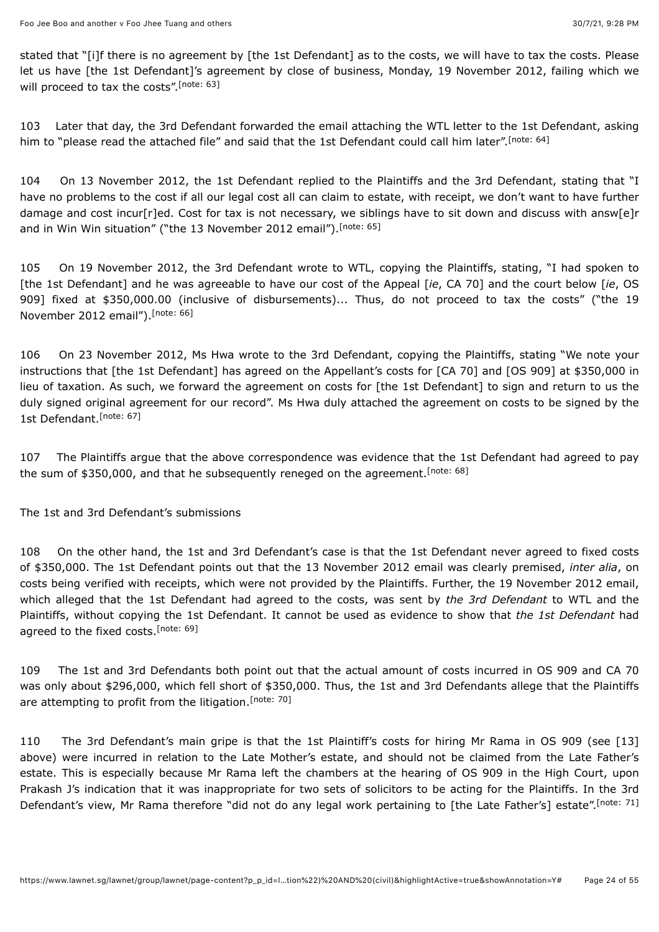<span id="page-23-0"></span>stated that "[i]f there is no agreement by [the 1st Defendant] as to the costs, we will have to tax the costs. Please let us have [the 1st Defendant]'s agreement by close of business, Monday, 19 November 2012, failing which we will proceed to tax the costs".<sup>[\[note: 63\]](#page-50-19)</sup>

<span id="page-23-1"></span>103 Later that day, the 3rd Defendant forwarded the email attaching the WTL letter to the 1st Defendant, asking him to "please read the attached file" and said that the 1st Defendant could call him later".<sup>[\[note: 64\]](#page-50-20)</sup>

<span id="page-23-2"></span>104 On 13 November 2012, the 1st Defendant replied to the Plaintiffs and the 3rd Defendant, stating that "I have no problems to the cost if all our legal cost all can claim to estate, with receipt, we don't want to have further damage and cost incur[r]ed. Cost for tax is not necessary, we siblings have to sit down and discuss with answ[e]r and in Win Win situation" ("the 13 November 2012 email").<sup>[\[note: 65\]](#page-50-21)</sup>

105 On 19 November 2012, the 3rd Defendant wrote to WTL, copying the Plaintiffs, stating, "I had spoken to [the 1st Defendant] and he was agreeable to have our cost of the Appeal [*ie*, CA 70] and the court below [*ie*, OS 909] fixed at \$350,000.00 (inclusive of disbursements)... Thus, do not proceed to tax the costs" ("the 19 November 2012 email"). [\[note: 66\]](#page-50-22)

<span id="page-23-3"></span>106 On 23 November 2012, Ms Hwa wrote to the 3rd Defendant, copying the Plaintiffs, stating "We note your instructions that [the 1st Defendant] has agreed on the Appellant's costs for [CA 70] and [OS 909] at \$350,000 in lieu of taxation. As such, we forward the agreement on costs for [the 1st Defendant] to sign and return to us the duly signed original agreement for our record". Ms Hwa duly attached the agreement on costs to be signed by the 1st Defendant. [\[note: 67\]](#page-50-23)

<span id="page-23-5"></span><span id="page-23-4"></span>107 The Plaintiffs argue that the above correspondence was evidence that the 1st Defendant had agreed to pay the sum of \$350,000, and that he subsequently reneged on the agreement.<sup>[\[note: 68\]](#page-50-24)</sup>

The 1st and 3rd Defendant's submissions

108 On the other hand, the 1st and 3rd Defendant's case is that the 1st Defendant never agreed to fixed costs of \$350,000. The 1st Defendant points out that the 13 November 2012 email was clearly premised, *inter alia*, on costs being verified with receipts, which were not provided by the Plaintiffs. Further, the 19 November 2012 email, which alleged that the 1st Defendant had agreed to the costs, was sent by *the 3rd Defendant* to WTL and the Plaintiffs, without copying the 1st Defendant. It cannot be used as evidence to show that *the 1st Defendant* had agreed to the fixed costs.<sup>[\[note: 69\]](#page-50-25)</sup>

<span id="page-23-7"></span><span id="page-23-6"></span>109 The 1st and 3rd Defendants both point out that the actual amount of costs incurred in OS 909 and CA 70 was only about \$296,000, which fell short of \$350,000. Thus, the 1st and 3rd Defendants allege that the Plaintiffs are attempting to profit from the litigation.<sup>[\[note: 70\]](#page-50-26)</sup>

<span id="page-23-8"></span>110 The 3rd Defendant's main gripe is that the 1st Plaintiff's costs for hiring Mr Rama in OS 909 (see [13] above) were incurred in relation to the Late Mother's estate, and should not be claimed from the Late Father's estate. This is especially because Mr Rama left the chambers at the hearing of OS 909 in the High Court, upon Prakash J's indication that it was inappropriate for two sets of solicitors to be acting for the Plaintiffs. In the 3rd Defendant's view, Mr Rama therefore "did not do any legal work pertaining to [the Late Father's] estate".<sup>[\[note: 71\]](#page-50-27)</sup>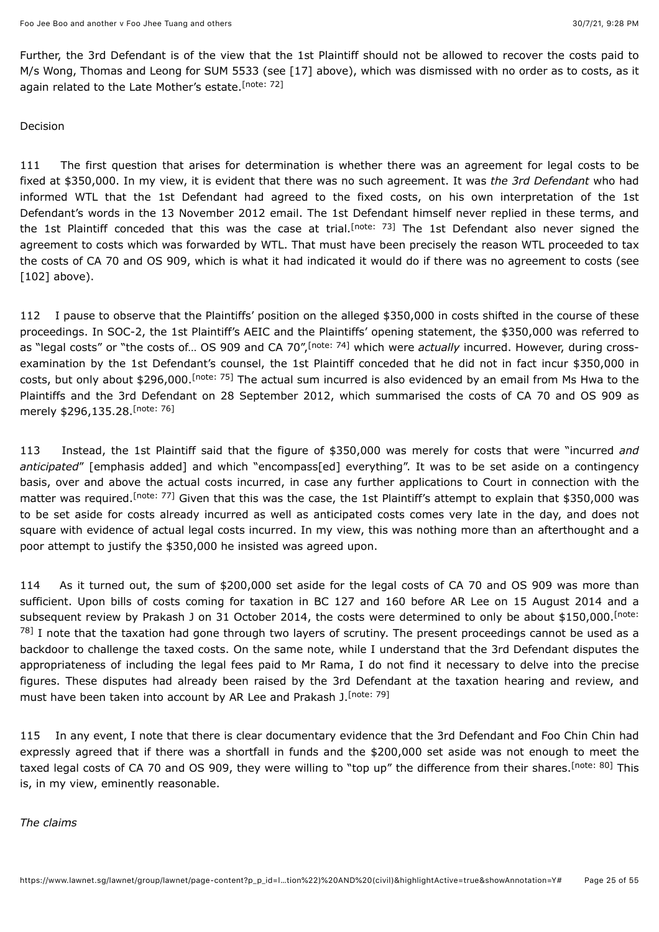<span id="page-24-0"></span>Further, the 3rd Defendant is of the view that the 1st Plaintiff should not be allowed to recover the costs paid to M/s Wong, Thomas and Leong for SUM 5533 (see [17] above), which was dismissed with no order as to costs, as it again related to the Late Mother's estate.<sup>[\[note: 72\]](#page-50-28)</sup>

#### Decision

<span id="page-24-1"></span>111 The first question that arises for determination is whether there was an agreement for legal costs to be fixed at \$350,000. In my view, it is evident that there was no such agreement. It was *the 3rd Defendant* who had informed WTL that the 1st Defendant had agreed to the fixed costs, on his own interpretation of the 1st Defendant's words in the 13 November 2012 email. The 1st Defendant himself never replied in these terms, and the 1st Plaintiff conceded that this was the case at trial.<sup>[note: 73]</sup> The 1st Defendant also never signed the agreement to costs which was forwarded by WTL. That must have been precisely the reason WTL proceeded to tax the costs of CA 70 and OS 909, which is what it had indicated it would do if there was no agreement to costs (see [102] above).

<span id="page-24-3"></span><span id="page-24-2"></span>112 I pause to observe that the Plaintiffs' position on the alleged \$350,000 in costs shifted in the course of these proceedings. In SOC-2, the 1st Plaintiff's AEIC and the Plaintiffs' opening statement, the \$350,000 was referred to as "legal costs" or "the costs of... OS 909 and CA 70",<sup>[note: 74]</sup> which were *actually* incurred. However[,](#page-50-30) during crossexamination by the 1st Defendant's counsel, the 1st Plaintiff conceded that he did not in fact incur \$350,000 in costs, but only about \$296,000[.](#page-50-31)<sup>[note: 75]</sup> The actual sum incurred is also evidenced by an email from Ms Hwa to the Plaintiffs and the 3rd Defendant on 28 September 2012, which summarised the costs of CA 70 and OS 909 as merely \$296,135.28. [\[note: 76\]](#page-50-32)

<span id="page-24-5"></span><span id="page-24-4"></span>113 Instead, the 1st Plaintiff said that the figure of \$350,000 was merely for costs that were "incurred *and anticipated*" [emphasis added] and which "encompass[ed] everything". It was to be set aside on a contingency basis, over and above the actual costs incurred, in case any further applications to Court in connection with the matter was required[.](#page-51-0)<sup>[note: 77]</sup> Given that this was the case, the 1st Plaintiff's attempt to explain that \$350,000 was to be set aside for costs already incurred as well as anticipated costs comes very late in the day, and does not square with evidence of actual legal costs incurred. In my view, this was nothing more than an afterthought and a poor attempt to justify the \$350,000 he insisted was agreed upon.

<span id="page-24-6"></span>114 As it turned out, the sum of \$200,000 set aside for the legal costs of CA 70 and OS 909 was more than sufficient. Upon bills of costs coming for taxation in BC 127 and 160 before AR Lee on 15 August 2014 and a subsequent review by Prakash J on 31 October 2014, the costs were determined to only be about \$150,000. <sup>[note:</sup>  $^{78}$  [I note that the taxation had gone through two layers of scrutiny. The present proceedings cannot be used as a](#page-51-1) backdoor to challenge the taxed costs. On the same note, while I understand that the 3rd Defendant disputes the appropriateness of including the legal fees paid to Mr Rama, I do not find it necessary to delve into the precise figures. These disputes had already been raised by the 3rd Defendant at the taxation hearing and review, and must have been taken into account by AR Lee and Prakash J. [\[note: 79\]](#page-51-2)

<span id="page-24-8"></span><span id="page-24-7"></span>115 In any event, I note that there is clear documentary evidence that the 3rd Defendant and Foo Chin Chin had expressly agreed that if there was a shortfall in funds and the \$200,000 set aside was not enough to meet the taxedlegal costs of CA 70 and OS 909, they were willing to "top up" the difference from their shares.<sup>[note: 80]</sup> This is, in my view, eminently reasonable.

*The claims*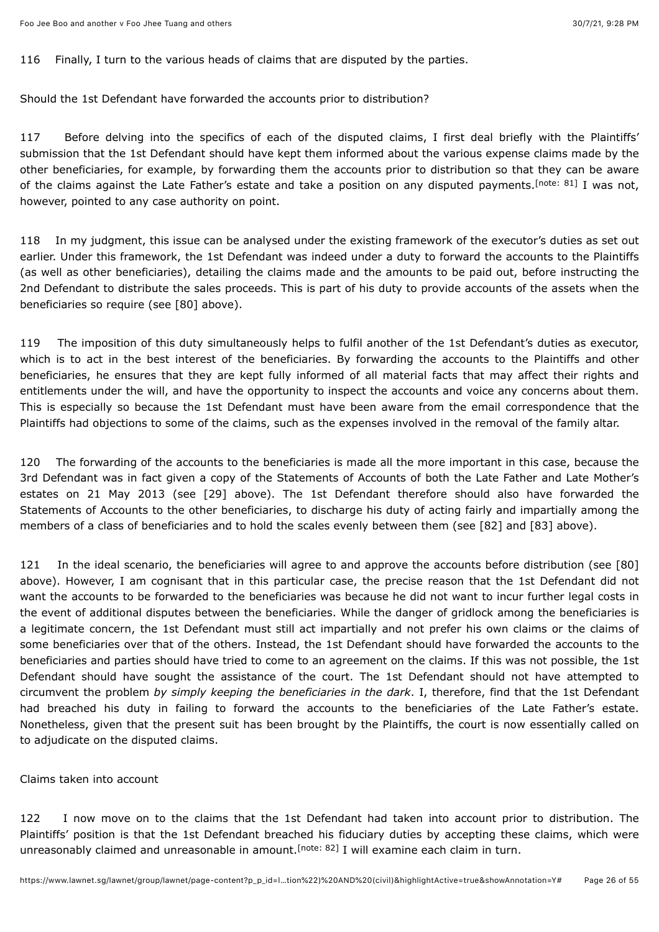116 Finally, I turn to the various heads of claims that are disputed by the parties.

Should the 1st Defendant have forwarded the accounts prior to distribution?

<span id="page-25-0"></span>117 Before delving into the specifics of each of the disputed claims, I first deal briefly with the Plaintiffs' submission that the 1st Defendant should have kept them informed about the various expense claims made by the other beneficiaries, for example, by forwarding them the accounts prior to distribution so that they can be aware of the claims against the Late Father's estate and take a position on any disputed payments.<sup>[note: 81]</sup> I was not, however, pointed to any case authority on point.

118 In my judgment, this issue can be analysed under the existing framework of the executor's duties as set out earlier. Under this framework, the 1st Defendant was indeed under a duty to forward the accounts to the Plaintiffs (as well as other beneficiaries), detailing the claims made and the amounts to be paid out, before instructing the 2nd Defendant to distribute the sales proceeds. This is part of his duty to provide accounts of the assets when the beneficiaries so require (see [80] above).

119 The imposition of this duty simultaneously helps to fulfil another of the 1st Defendant's duties as executor, which is to act in the best interest of the beneficiaries. By forwarding the accounts to the Plaintiffs and other beneficiaries, he ensures that they are kept fully informed of all material facts that may affect their rights and entitlements under the will, and have the opportunity to inspect the accounts and voice any concerns about them. This is especially so because the 1st Defendant must have been aware from the email correspondence that the Plaintiffs had objections to some of the claims, such as the expenses involved in the removal of the family altar.

120 The forwarding of the accounts to the beneficiaries is made all the more important in this case, because the 3rd Defendant was in fact given a copy of the Statements of Accounts of both the Late Father and Late Mother's estates on 21 May 2013 (see [29] above). The 1st Defendant therefore should also have forwarded the Statements of Accounts to the other beneficiaries, to discharge his duty of acting fairly and impartially among the members of a class of beneficiaries and to hold the scales evenly between them (see [82] and [83] above).

121 In the ideal scenario, the beneficiaries will agree to and approve the accounts before distribution (see [80] above). However, I am cognisant that in this particular case, the precise reason that the 1st Defendant did not want the accounts to be forwarded to the beneficiaries was because he did not want to incur further legal costs in the event of additional disputes between the beneficiaries. While the danger of gridlock among the beneficiaries is a legitimate concern, the 1st Defendant must still act impartially and not prefer his own claims or the claims of some beneficiaries over that of the others. Instead, the 1st Defendant should have forwarded the accounts to the beneficiaries and parties should have tried to come to an agreement on the claims. If this was not possible, the 1st Defendant should have sought the assistance of the court. The 1st Defendant should not have attempted to circumvent the problem *by simply keeping the beneficiaries in the dark*. I, therefore, find that the 1st Defendant had breached his duty in failing to forward the accounts to the beneficiaries of the Late Father's estate. Nonetheless, given that the present suit has been brought by the Plaintiffs, the court is now essentially called on to adjudicate on the disputed claims.

Claims taken into account

<span id="page-25-1"></span>122 I now move on to the claims that the 1st Defendant had taken into account prior to distribution. The Plaintiffs' position is that the 1st Defendant breached his fiduciary duties by accepting these claims, which were unreasonably claimed and unreasonable in amount.<sup>[note: 82]</sup> I will examine each claim in turn.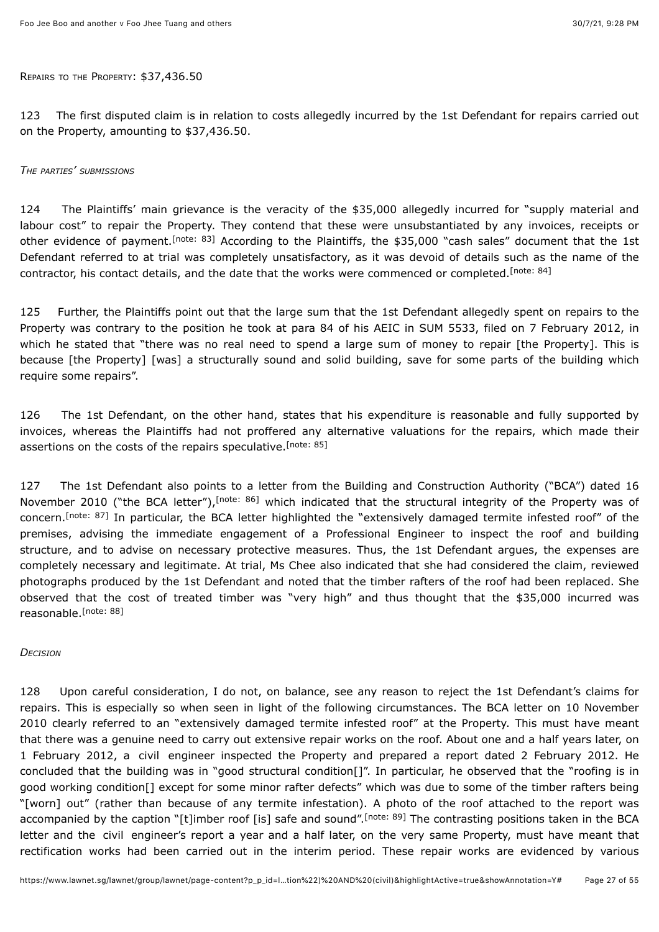REPAIRS TO THE PROPERTY: \$37,436.50

123 The first disputed claim is in relation to costs allegedly incurred by the 1st Defendant for repairs carried out on the Property, amounting to \$37,436.50.

#### *THE PARTIES' SUBMISSIONS*

<span id="page-26-0"></span>124 The Plaintiffs' main grievance is the veracity of the \$35,000 allegedly incurred for "supply material and labour cost" to repair the Property. They contend that these were unsubstantiated by any invoices, receipts or other evidence of payment[.](#page-51-6)<sup>[note: 83]</sup> According to the Plaintiffs, the \$35,000 "cash sales" document that the 1st Defendant referred to at trial was completely unsatisfactory, as it was devoid of details such as the name of the contractor, his contact details, and the date that the works were commenced or completed.<sup>[\[note: 84\]](#page-51-7)</sup>

<span id="page-26-1"></span>125 Further, the Plaintiffs point out that the large sum that the 1st Defendant allegedly spent on repairs to the Property was contrary to the position he took at para 84 of his AEIC in SUM 5533, filed on 7 February 2012, in which he stated that "there was no real need to spend a large sum of money to repair [the Property]. This is because [the Property] [was] a structurally sound and solid building, save for some parts of the building which require some repairs".

<span id="page-26-2"></span>126 The 1st Defendant, on the other hand, states that his expenditure is reasonable and fully supported by invoices, whereas the Plaintiffs had not proffered any alternative valuations for the repairs, which made their assertions on the costs of the repairs speculative. [\[note: 85\]](#page-51-8)

<span id="page-26-4"></span><span id="page-26-3"></span>127 The 1st Defendant also points to a letter from the Building and Construction Authority ("BCA") dated 16 November 2010 ("the BCA letter"),<sup>[note: 86]</sup> which indicated that the structural integrity of the Property was of concern[.](#page-51-10)<sup>[note: 87]</sup> In particular, the BCA letter highlighted the "extensively damaged termite infested roof" of the premises, advising the immediate engagement of a Professional Engineer to inspect the roof and building structure, and to advise on necessary protective measures. Thus, the 1st Defendant argues, the expenses are completely necessary and legitimate. At trial, Ms Chee also indicated that she had considered the claim, reviewed photographs produced by the 1st Defendant and noted that the timber rafters of the roof had been replaced. She observed that the cost of treated timber was "very high" and thus thought that the \$35,000 incurred was reasonable.<sup>[\[note: 88\]](#page-51-11)</sup>

#### <span id="page-26-5"></span>*DECISION*

<span id="page-26-6"></span>128 Upon careful consideration, I do not, on balance, see any reason to reject the 1st Defendant's claims for repairs. This is especially so when seen in light of the following circumstances. The BCA letter on 10 November 2010 clearly referred to an "extensively damaged termite infested roof" at the Property. This must have meant that there was a genuine need to carry out extensive repair works on the roof. About one and a half years later, on 1 February 2012, a civil engineer inspected the Property and prepared a report dated 2 February 2012. He concluded that the building was in "good structural condition[]". In particular, he observed that the "roofing is in good working condition[] except for some minor rafter defects" which was due to some of the timber rafters being "[worn] out" (rather than because of any termite infestation). A photo of the roof attached to the report was accompanied by the caption "[t]imber roof [is] safe and sound".<sup>[note: 89]</sup> The contrasting positions taken in the BCA letter and the civil engineer's report a year and a half later, on the very same Property, must have meant that rectification works had been carried out in the interim period. These repair works are evidenced by various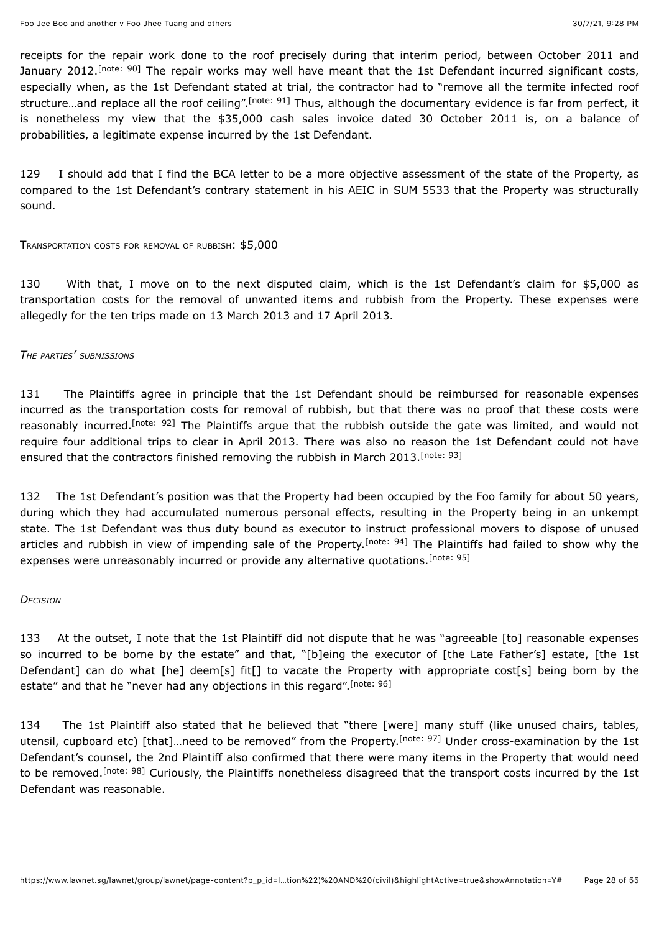<span id="page-27-1"></span><span id="page-27-0"></span>receipts for the repair work done to the roof precisely during that interim period, between October 2011 and January 2012[.](#page-51-13)<sup>[note: 90]</sup> The repair works may well have meant that the 1st Defendant incurred significant costs, especially when, as the 1st Defendant stated at trial, the contractor had to "remove all the termite infected roof structure[.](#page-51-14)..and replace all the roof ceiling".<sup>[note: 91]</sup> Thus, although the documentary evidence is far from perfect, it is nonetheless my view that the \$35,000 cash sales invoice dated 30 October 2011 is, on a balance of probabilities, a legitimate expense incurred by the 1st Defendant.

129 I should add that I find the BCA letter to be a more objective assessment of the state of the Property, as compared to the 1st Defendant's contrary statement in his AEIC in SUM 5533 that the Property was structurally sound.

TRANSPORTATION COSTS FOR REMOVAL OF RUBBISH: \$5,000

130 With that, I move on to the next disputed claim, which is the 1st Defendant's claim for \$5,000 as transportation costs for the removal of unwanted items and rubbish from the Property. These expenses were allegedly for the ten trips made on 13 March 2013 and 17 April 2013.

#### *THE PARTIES' SUBMISSIONS*

<span id="page-27-2"></span>131 The Plaintiffs agree in principle that the 1st Defendant should be reimbursed for reasonable expenses incurred as the transportation costs for removal of rubbish, but that there was no proof that these costs were reasonably incurred[.](#page-51-15)<sup>[note: 92]</sup> The Plaintiffs argue that the rubbish outside the gate was limited, and would not require four additional trips to clear in April 2013. There was also no reason the 1st Defendant could not have ensured that the contractors finished removing the rubbish in March 2013. [\[note: 93\]](#page-51-16)

<span id="page-27-4"></span><span id="page-27-3"></span>132 The 1st Defendant's position was that the Property had been occupied by the Foo family for about 50 years, during which they had accumulated numerous personal effects, resulting in the Property being in an unkempt state. The 1st Defendant was thus duty bound as executor to instruct professional movers to dispose of unused articles and rubbish in view of impending sale of the Property.<sup>[note: 94]</sup> The Plaintiffs had failed to show why the expenses were unreasonably incurred or provide any alternative quotations.<sup>[\[note: 95\]](#page-51-18)</sup>

#### <span id="page-27-5"></span>*DECISION*

<span id="page-27-6"></span>133 At the outset, I note that the 1st Plaintiff did not dispute that he was "agreeable [to] reasonable expenses so incurred to be borne by the estate" and that, "[b]eing the executor of [the Late Father's] estate, [the 1st Defendant] can do what [he] deem[s] fit[] to vacate the Property with appropriate cost[s] being born by the estate" and that he "never had any objections in this regard".<sup>[\[note: 96\]](#page-51-19)</sup>

<span id="page-27-8"></span><span id="page-27-7"></span>134 The 1st Plaintiff also stated that he believed that "there [were] many stuff (like unused chairs, tables, utensil, cupboard etc) [that][.](#page-51-20)..need to be removed" from the Property.<sup>[note: 97]</sup> Under cross-examination by the 1st Defendant's counsel, the 2nd Plaintiff also confirmed that there were many items in the Property that would need to be removed.<sup>[note: 98]</sup> Curiously, the Plaintiffs nonetheless disagreed that the transport costs incurred by the 1st Defendant was reasonable.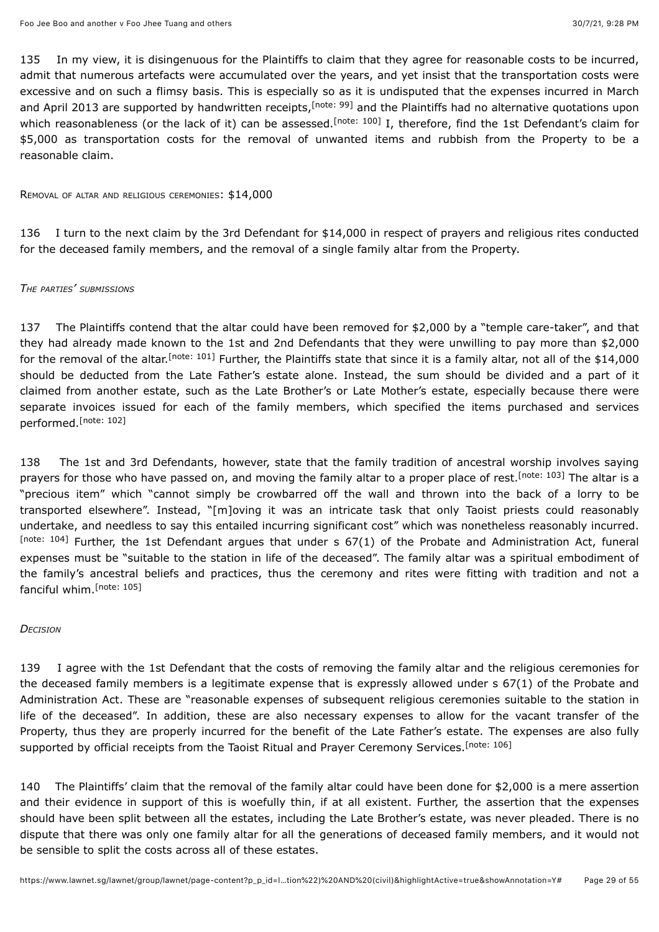<span id="page-28-1"></span><span id="page-28-0"></span>135 In my view, it is disingenuous for the Plaintiffs to claim that they agree for reasonable costs to be incurred, admit that numerous artefacts were accumulated over the years, and yet insist that the transportation costs were excessive and on such a flimsy basis. This is especially so as it is undisputed that the expenses incurred in March and April 2013 are supported by handwritten receipts,<sup>[note: 99]</sup> and the Plaintiffs had no alternative quotations upon which reasonableness (or the lack of it) can be assessed[.](#page-51-23)<sup>[note: 100]</sup> I, therefore, find the 1st Defendant's claim for \$5,000 as transportation costs for the removal of unwanted items and rubbish from the Property to be a reasonable claim.

REMOVAL OF ALTAR AND RELIGIOUS CEREMONIES: \$14,000

136 I turn to the next claim by the 3rd Defendant for \$14,000 in respect of prayers and religious rites conducted for the deceased family members, and the removal of a single family altar from the Property.

#### *THE PARTIES' SUBMISSIONS*

<span id="page-28-2"></span>137 The Plaintiffs contend that the altar could have been removed for \$2,000 by a "temple care-taker", and that they had already made known to the 1st and 2nd Defendants that they were unwilling to pay more than \$2,000 for the removal of the altar[.](#page-51-24)<sup>[note: 101]</sup> Further, the Plaintiffs state that since it is a family altar, not all of the \$14,000 should be deducted from the Late Father's estate alone. Instead, the sum should be divided and a part of it claimed from another estate, such as the Late Brother's or Late Mother's estate, especially because there were separate invoices issued for each of the family members, which specified the items purchased and services performed.<sup>[\[note: 102\]](#page-51-25)</sup>

<span id="page-28-5"></span><span id="page-28-4"></span><span id="page-28-3"></span>138 The 1st and 3rd Defendants, however, state that the family tradition of ancestral worship involves saying prayers for those who have passed on, and moving the family altar to a proper place of rest.<sup>[note: 103]</sup> The altar is a "precious item" which "cannot simply be crowbarred off the wall and thrown into the back of a lorry to be transported elsewhere". Instead, "[m]oving it was an intricate task that only Taoist priests could reasonably undertake, and needless to say this entailed incurring significant cost" which was nonetheless reasonably incurred. [\[note: 104\]](#page-51-27) Further, the 1st Defendant argues that under s 67(1) of the Probate and Administration Act, funeral expenses must be "suitable to the station in life of the deceased". The family altar was a spiritual embodiment of the family's ancestral beliefs and practices, thus the ceremony and rites were fitting with tradition and not a fanciful whim. [\[note: 105\]](#page-51-28)

#### <span id="page-28-6"></span>*DECISION*

139 I agree with the 1st Defendant that the costs of removing the family altar and the religious ceremonies for the deceased family members is a legitimate expense that is expressly allowed under s 67(1) of the Probate and Administration Act. These are "reasonable expenses of subsequent religious ceremonies suitable to the station in life of the deceased". In addition, these are also necessary expenses to allow for the vacant transfer of the Property, thus they are properly incurred for the benefit of the Late Father's estate. The expenses are also fully supported by official receipts from the Taoist Ritual and Prayer Ceremony Services.<sup>[\[note: 106\]](#page-51-29)</sup>

<span id="page-28-7"></span>140 The Plaintiffs' claim that the removal of the family altar could have been done for \$2,000 is a mere assertion and their evidence in support of this is woefully thin, if at all existent. Further, the assertion that the expenses should have been split between all the estates, including the Late Brother's estate, was never pleaded. There is no dispute that there was only one family altar for all the generations of deceased family members, and it would not be sensible to split the costs across all of these estates.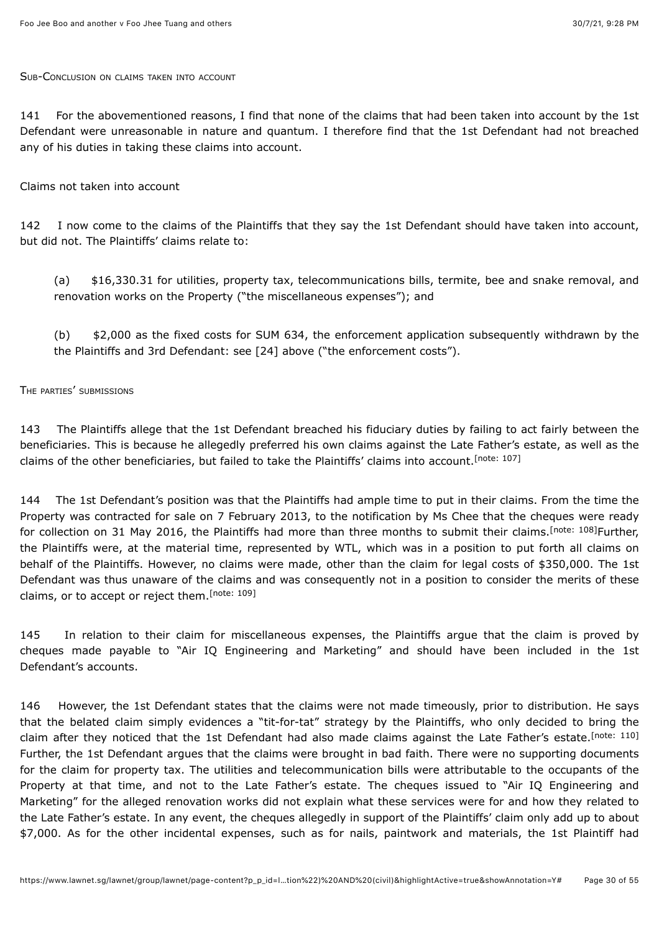#### SUB-CONCLUSION ON CLAIMS TAKEN INTO ACCOUNT

141 For the abovementioned reasons, I find that none of the claims that had been taken into account by the 1st Defendant were unreasonable in nature and quantum. I therefore find that the 1st Defendant had not breached any of his duties in taking these claims into account.

#### Claims not taken into account

142 I now come to the claims of the Plaintiffs that they say the 1st Defendant should have taken into account, but did not. The Plaintiffs' claims relate to:

(a) \$16,330.31 for utilities, property tax, telecommunications bills, termite, bee and snake removal, and renovation works on the Property ("the miscellaneous expenses"); and

<span id="page-29-0"></span>(b) \$2,000 as the fixed costs for SUM 634, the enforcement application subsequently withdrawn by the the Plaintiffs and 3rd Defendant: see [24] above ("the enforcement costs").

#### THE PARTIES' SUBMISSIONS

143 The Plaintiffs allege that the 1st Defendant breached his fiduciary duties by failing to act fairly between the beneficiaries. This is because he allegedly preferred his own claims against the Late Father's estate, as well as the claims of the other beneficiaries, but failed to take the Plaintiffs' claims into account.<sup>[\[note: 107\]](#page-51-30)</sup>

<span id="page-29-1"></span>144 The 1st Defendant's position was that the Plaintiffs had ample time to put in their claims. From the time the Property was contracted for sale on 7 February 2013, to the notification by Ms Chee that the cheques were ready for collection on 31 May 2016, the Plaintiffs had more than three months to submit their claims.<sup>[\[note: 108\]](#page-51-31)</sup>Further, the Plaintiffs were, at the material time, represented by WTL, which was in a position to put forth all claims on behalf of the Plaintiffs. However, no claims were made, other than the claim for legal costs of \$350,000. The 1st Defendant was thus unaware of the claims and was consequently not in a position to consider the merits of these claims, or to accept or reject them.<sup>[\[note: 109\]](#page-52-0)</sup>

<span id="page-29-2"></span>145 In relation to their claim for miscellaneous expenses, the Plaintiffs argue that the claim is proved by cheques made payable to "Air IQ Engineering and Marketing" and should have been included in the 1st Defendant's accounts.

<span id="page-29-3"></span>146 However, the 1st Defendant states that the claims were not made timeously, prior to distribution. He says that the belated claim simply evidences a "tit-for-tat" strategy by the Plaintiffs, who only decided to bring the claim after they noticed that the 1st Defendant had also made claims against the Late Father's estate.<sup>[\[note: 110\]](#page-52-1)</sup> Further, the 1st Defendant argues that the claims were brought in bad faith. There were no supporting documents for the claim for property tax. The utilities and telecommunication bills were attributable to the occupants of the Property at that time, and not to the Late Father's estate. The cheques issued to "Air IQ Engineering and Marketing" for the alleged renovation works did not explain what these services were for and how they related to the Late Father's estate. In any event, the cheques allegedly in support of the Plaintiffs' claim only add up to about \$7,000. As for the other incidental expenses, such as for nails, paintwork and materials, the 1st Plaintiff had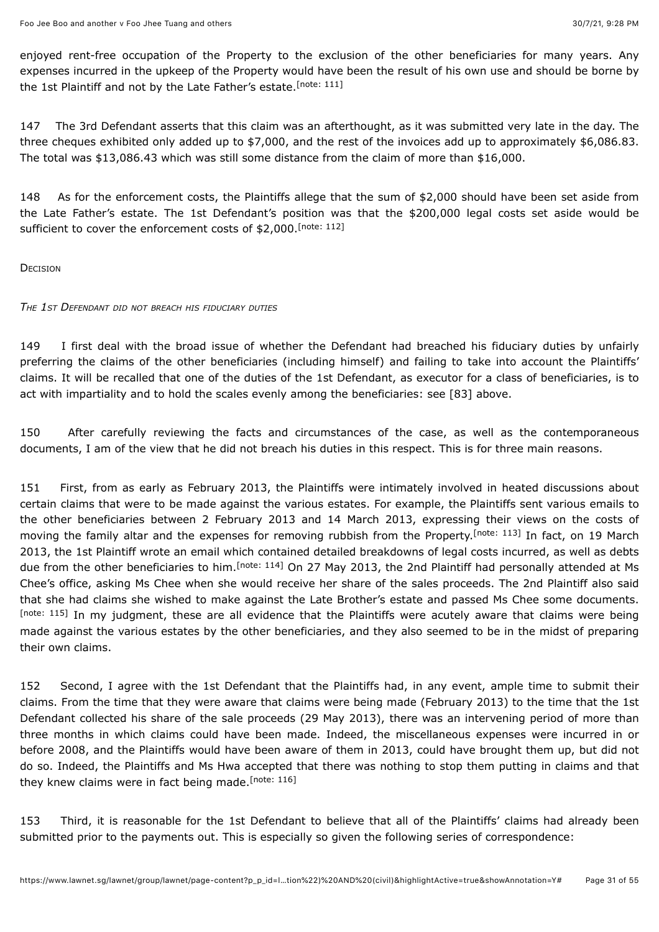<span id="page-30-0"></span>enjoyed rent-free occupation of the Property to the exclusion of the other beneficiaries for many years. Any expenses incurred in the upkeep of the Property would have been the result of his own use and should be borne by the 1st Plaintiff and not by the Late Father's estate.<sup>[\[note: 111\]](#page-52-2)</sup>

147 The 3rd Defendant asserts that this claim was an afterthought, as it was submitted very late in the day. The three cheques exhibited only added up to \$7,000, and the rest of the invoices add up to approximately \$6,086.83. The total was \$13,086.43 which was still some distance from the claim of more than \$16,000.

<span id="page-30-1"></span>148 As for the enforcement costs, the Plaintiffs allege that the sum of \$2,000 should have been set aside from the Late Father's estate. The 1st Defendant's position was that the \$200,000 legal costs set aside would be sufficient to cover the enforcement costs of \$2,000. [\[note: 112\]](#page-52-3)

**DECISION** 

#### *THE 1ST DEFENDANT DID NOT BREACH HIS FIDUCIARY DUTIES*

149 I first deal with the broad issue of whether the Defendant had breached his fiduciary duties by unfairly preferring the claims of the other beneficiaries (including himself) and failing to take into account the Plaintiffs' claims. It will be recalled that one of the duties of the 1st Defendant, as executor for a class of beneficiaries, is to act with impartiality and to hold the scales evenly among the beneficiaries: see [83] above.

150 After carefully reviewing the facts and circumstances of the case, as well as the contemporaneous documents, I am of the view that he did not breach his duties in this respect. This is for three main reasons.

<span id="page-30-3"></span><span id="page-30-2"></span>151 First, from as early as February 2013, the Plaintiffs were intimately involved in heated discussions about certain claims that were to be made against the various estates. For example, the Plaintiffs sent various emails to the other beneficiaries between 2 February 2013 and 14 March 2013, expressing their views on the costs of moving the family altar and the expenses for removing rubbish from the Property.<sup>[note: 113]</sup> In fact, on 19 March 2013, the 1st Plaintiff wrote an email which contained detailed breakdowns of legal costs incurred, as well as debts due from the other beneficiaries to him.<sup>[note: 114]</sup> On 27 May 2013, the 2nd Plaintiff had personally attended at Ms Chee's office, asking Ms Chee when she would receive her share of the sales proceeds. The 2nd Plaintiff also said that she had claims she wished to make against the Late Brother's estate and passed Ms Chee some documents. [\[note: 115\]](#page-52-6) In my judgment, these are all evidence that the Plaintiffs were acutely aware that claims were being made against the various estates by the other beneficiaries, and they also seemed to be in the midst of preparing their own claims.

<span id="page-30-4"></span>152 Second, I agree with the 1st Defendant that the Plaintiffs had, in any event, ample time to submit their claims. From the time that they were aware that claims were being made (February 2013) to the time that the 1st Defendant collected his share of the sale proceeds (29 May 2013), there was an intervening period of more than three months in which claims could have been made. Indeed, the miscellaneous expenses were incurred in or before 2008, and the Plaintiffs would have been aware of them in 2013, could have brought them up, but did not do so. Indeed, the Plaintiffs and Ms Hwa accepted that there was nothing to stop them putting in claims and that they knew claims were in fact being made.<sup>[\[note: 116\]](#page-52-7)</sup>

<span id="page-30-5"></span>153 Third, it is reasonable for the 1st Defendant to believe that all of the Plaintiffs' claims had already been submitted prior to the payments out. This is especially so given the following series of correspondence: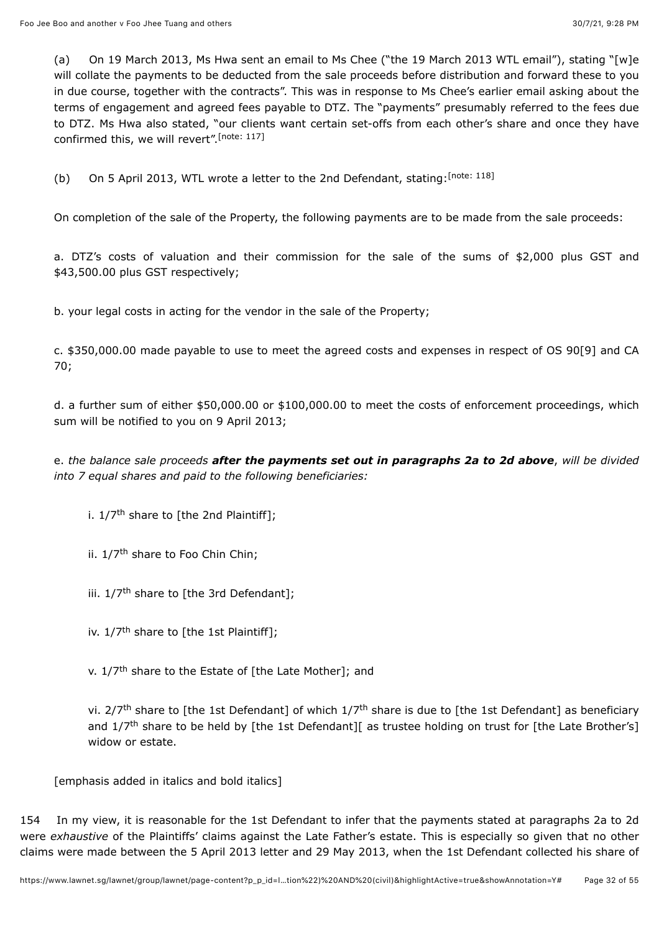(a) On 19 March 2013, Ms Hwa sent an email to Ms Chee ("the 19 March 2013 WTL email"), stating "[w]e will collate the payments to be deducted from the sale proceeds before distribution and forward these to you in due course, together with the contracts". This was in response to Ms Chee's earlier email asking about the terms of engagement and agreed fees payable to DTZ. The "payments" presumably referred to the fees due to DTZ. Ms Hwa also stated, "our clients want certain set-offs from each other's share and once they have confirmed this, we will revert". [\[note: 117\]](#page-52-8)

<span id="page-31-1"></span><span id="page-31-0"></span>(b) On 5 April 2013, WTL wrote a letter to the 2nd Defendant, stating:  $[note: 118]$ 

On completion of the sale of the Property, the following payments are to be made from the sale proceeds:

a. DTZ's costs of valuation and their commission for the sale of the sums of \$2,000 plus GST and \$43,500.00 plus GST respectively;

b. your legal costs in acting for the vendor in the sale of the Property;

c. \$350,000.00 made payable to use to meet the agreed costs and expenses in respect of OS 90[9] and CA 70;

d. a further sum of either \$50,000.00 or \$100,000.00 to meet the costs of enforcement proceedings, which sum will be notified to you on 9 April 2013;

e. *the balance sale proceeds after the payments set out in paragraphs 2a to 2d above*, *will be divided into 7 equal shares and paid to the following beneficiaries:*

i. 1/7<sup>th</sup> share to [the 2nd Plaintiff];

- ii. 1/7<sup>th</sup> share to Foo Chin Chin;
- iii. 1/7<sup>th</sup> share to [the 3rd Defendant];
- iv. 1/7<sup>th</sup> share to [the 1st Plaintiff];

v. 1/7<sup>th</sup> share to the Estate of [the Late Mother]; and

vi. 2/7<sup>th</sup> share to [the 1st Defendant] of which 1/7<sup>th</sup> share is due to [the 1st Defendant] as beneficiary and 1/7<sup>th</sup> share to be held by [the 1st Defendant][ as trustee holding on trust for [the Late Brother's] widow or estate.

[emphasis added in italics and bold italics]

154 In my view, it is reasonable for the 1st Defendant to infer that the payments stated at paragraphs 2a to 2d were *exhaustive* of the Plaintiffs' claims against the Late Father's estate. This is especially so given that no other claims were made between the 5 April 2013 letter and 29 May 2013, when the 1st Defendant collected his share of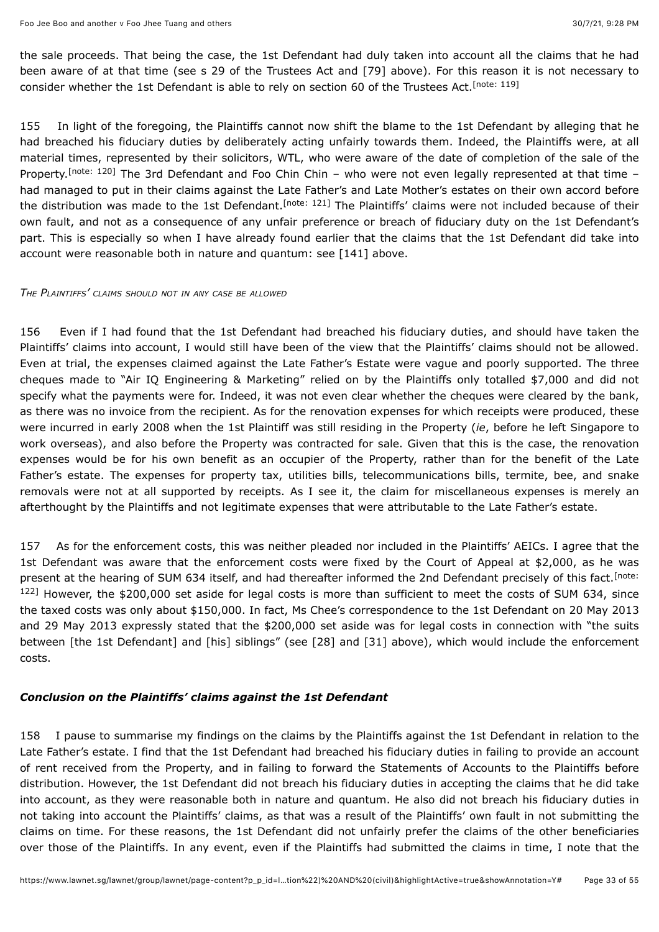<span id="page-32-0"></span>the sale proceeds. That being the case, the 1st Defendant had duly taken into account all the claims that he had been aware of at that time (see s 29 of the Trustees Act and [79] above). For this reason it is not necessary to consider whether the 1st Defendant is able to rely on section 60 of the Trustees Act. [\[note: 119\]](#page-52-10)

<span id="page-32-2"></span><span id="page-32-1"></span>155 In light of the foregoing, the Plaintiffs cannot now shift the blame to the 1st Defendant by alleging that he had breached his fiduciary duties by deliberately acting unfairly towards them. Indeed, the Plaintiffs were, at all material times, represented by their solicitors, WTL, who were aware of the date of completion of the sale of the Property.<sup>[note:120]</sup> The 3rd Defendant and Foo Chin Chin - who were not even legally represented at that time had managed to put in their claims against the Late Father's and Late Mother's estates on their own accord before the distribution was made to the 1st Defendant.<sup>[note: 121]</sup> The Plaintiffs' claims were not included because of their own fault, and not as a consequence of any unfair preference or breach of fiduciary duty on the 1st Defendant's part. This is especially so when I have already found earlier that the claims that the 1st Defendant did take into account were reasonable both in nature and quantum: see [141] above.

#### *THE PLAINTIFFS' CLAIMS SHOULD NOT IN ANY CASE BE ALLOWED*

156 Even if I had found that the 1st Defendant had breached his fiduciary duties, and should have taken the Plaintiffs' claims into account, I would still have been of the view that the Plaintiffs' claims should not be allowed. Even at trial, the expenses claimed against the Late Father's Estate were vague and poorly supported. The three cheques made to "Air IQ Engineering & Marketing" relied on by the Plaintiffs only totalled \$7,000 and did not specify what the payments were for. Indeed, it was not even clear whether the cheques were cleared by the bank, as there was no invoice from the recipient. As for the renovation expenses for which receipts were produced, these were incurred in early 2008 when the 1st Plaintiff was still residing in the Property (*ie*, before he left Singapore to work overseas), and also before the Property was contracted for sale. Given that this is the case, the renovation expenses would be for his own benefit as an occupier of the Property, rather than for the benefit of the Late Father's estate. The expenses for property tax, utilities bills, telecommunications bills, termite, bee, and snake removals were not at all supported by receipts. As I see it, the claim for miscellaneous expenses is merely an afterthought by the Plaintiffs and not legitimate expenses that were attributable to the Late Father's estate.

<span id="page-32-3"></span>157 As for the enforcement costs, this was neither pleaded nor included in the Plaintiffs' AEICs. I agree that the 1st Defendant was aware that the enforcement costs were fixed by the Court of Appeal at \$2,000, as he was present at the hearing of SUM 634 itself, and had thereafter informed the 2nd Defendant precisely of this fact.<sup>[note:</sup> 122] [However, the \\$200,000 set aside for legal costs is more than sufficient to meet the costs of SUM 634, since](#page-52-13) the taxed costs was only about \$150,000. In fact, Ms Chee's correspondence to the 1st Defendant on 20 May 2013 and 29 May 2013 expressly stated that the \$200,000 set aside was for legal costs in connection with "the suits between [the 1st Defendant] and [his] siblings" (see [28] and [31] above), which would include the enforcement costs.

#### *Conclusion on the Plaintiffs' claims against the 1st Defendant*

158 I pause to summarise my findings on the claims by the Plaintiffs against the 1st Defendant in relation to the Late Father's estate. I find that the 1st Defendant had breached his fiduciary duties in failing to provide an account of rent received from the Property, and in failing to forward the Statements of Accounts to the Plaintiffs before distribution. However, the 1st Defendant did not breach his fiduciary duties in accepting the claims that he did take into account, as they were reasonable both in nature and quantum. He also did not breach his fiduciary duties in not taking into account the Plaintiffs' claims, as that was a result of the Plaintiffs' own fault in not submitting the claims on time. For these reasons, the 1st Defendant did not unfairly prefer the claims of the other beneficiaries over those of the Plaintiffs. In any event, even if the Plaintiffs had submitted the claims in time, I note that the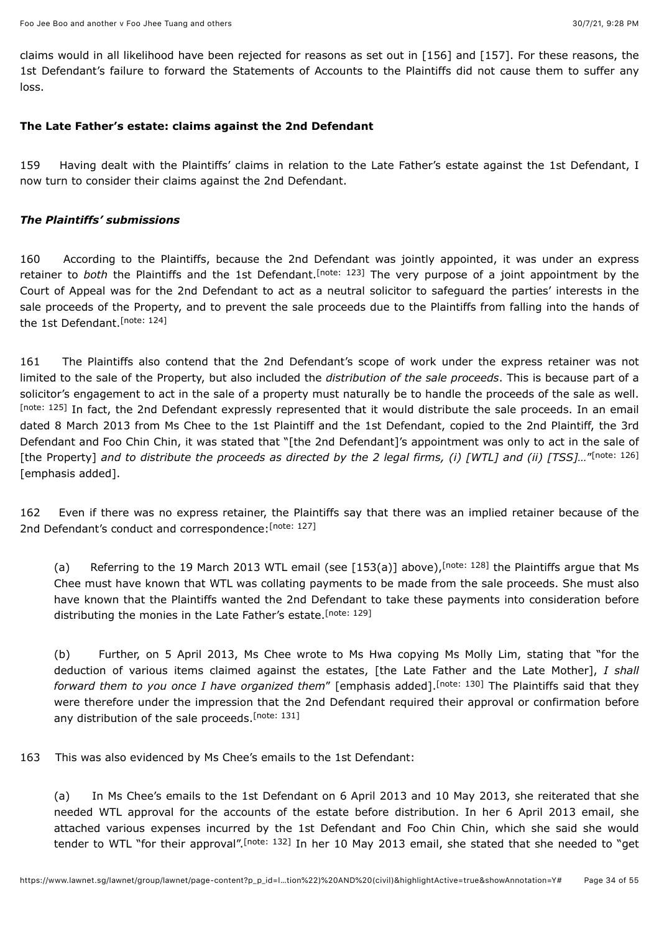claims would in all likelihood have been rejected for reasons as set out in [156] and [157]. For these reasons, the 1st Defendant's failure to forward the Statements of Accounts to the Plaintiffs did not cause them to suffer any loss.

#### **The Late Father's estate: claims against the 2nd Defendant**

159 Having dealt with the Plaintiffs' claims in relation to the Late Father's estate against the 1st Defendant, I now turn to consider their claims against the 2nd Defendant.

#### *The Plaintiffs' submissions*

<span id="page-33-0"></span>160 According to the Plaintiffs, because the 2nd Defendant was jointly appointed, it was under an express retainerto both the Plaintiffs and the 1st Defendant.<sup>[note: 123]</sup> The very purpose of a joint appointment by the Court of Appeal was for the 2nd Defendant to act as a neutral solicitor to safeguard the parties' interests in the sale proceeds of the Property, and to prevent the sale proceeds due to the Plaintiffs from falling into the hands of the 1st Defendant.<sup>[\[note: 124\]](#page-52-15)</sup>

<span id="page-33-2"></span><span id="page-33-1"></span>161 The Plaintiffs also contend that the 2nd Defendant's scope of work under the express retainer was not limited to the sale of the Property, but also included the *distribution of the sale proceeds*. This is because part of a solicitor's engagement to act in the sale of a property must naturally be to handle the proceeds of the sale as well. [\[note: 125\]](#page-52-16) In fact, the 2nd Defendant expressly represented that it would distribute the sale proceeds. In an email dated 8 March 2013 from Ms Chee to the 1st Plaintiff and the 1st Defendant, copied to the 2nd Plaintiff, the 3rd Defendant and Foo Chin Chin, it was stated that "[the 2nd Defendant]'s appointment was only to act in the sale of [the Property] and to distribute the proceeds as directed by the 2 legal firms, (i) [WTL] and (ii) [TSS]..."<sup>[\[note: 126\]](#page-52-17)</sup> [emphasis added].

162 Even if there was no express retainer, the Plaintiffs say that there was an implied retainer because of the 2nd Defendant's conduct and correspondence: [\[note: 127\]](#page-52-18)

<span id="page-33-5"></span><span id="page-33-4"></span><span id="page-33-3"></span>(a) Referring to the 19 March 2013 WTL email (see [153(a)] above)[,](#page-52-19) [note: 128] the Plaintiffs argue that Ms Chee must have known that WTL was collating payments to be made from the sale proceeds. She must also have known that the Plaintiffs wanted the 2nd Defendant to take these payments into consideration before distributing the monies in the Late Father's estate.<sup>[\[note: 129\]](#page-52-20)</sup>

<span id="page-33-8"></span><span id="page-33-7"></span><span id="page-33-6"></span>(b) Further, on 5 April 2013, Ms Chee wrote to Ms Hwa copying Ms Molly Lim, stating that "for the deduction of various items claimed against the estates, [the Late Father and the Late Mother], *I shall forwardthem to you once I have organized them"* [emphasis added].<sup>[note: 130] The Plaintiffs said that they</sup> were therefore under the impression that the 2nd Defendant required their approval or confirmation before any distribution of the sale proceeds.<sup>[\[note: 131\]](#page-52-22)</sup>

163 This was also evidenced by Ms Chee's emails to the 1st Defendant:

<span id="page-33-9"></span>(a) In Ms Chee's emails to the 1st Defendant on 6 April 2013 and 10 May 2013, she reiterated that she needed WTL approval for the accounts of the estate before distribution. In her 6 April 2013 email, she attached various expenses incurred by the 1st Defendant and Foo Chin Chin, which she said she would tenderto WTL "for their approval".<sup>[note: 132]</sup> In her 10 May 2013 email, she stated that she needed to "get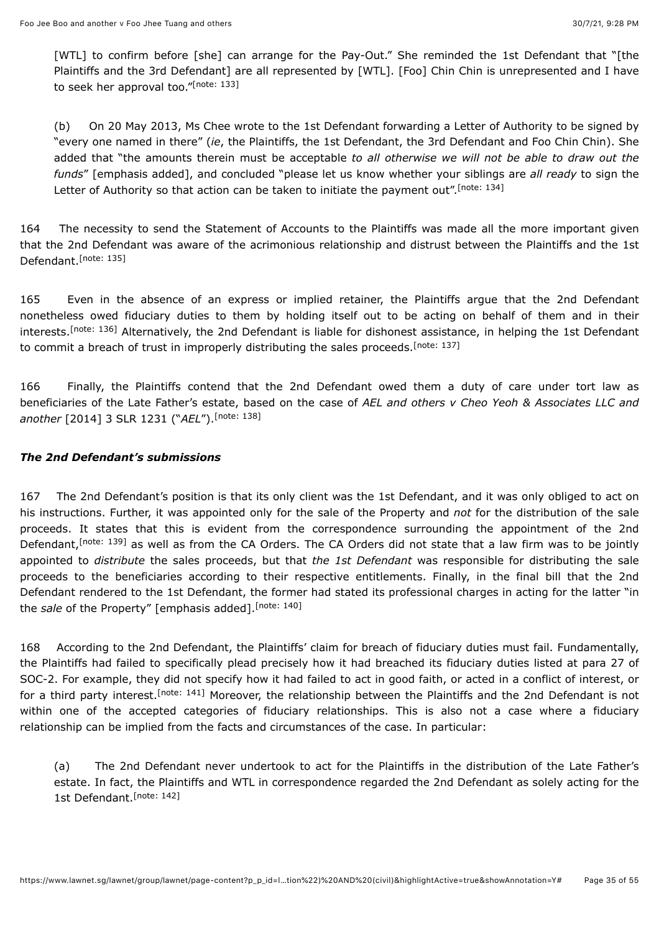<span id="page-34-0"></span>[WTL] to confirm before [she] can arrange for the Pay-Out." She reminded the 1st Defendant that "[the Plaintiffs and the 3rd Defendant] are all represented by [WTL]. [Foo] Chin Chin is unrepresented and I have to seek her approval too."<sup>[\[note: 133\]](#page-52-24)</sup>

<span id="page-34-1"></span>(b) On 20 May 2013, Ms Chee wrote to the 1st Defendant forwarding a Letter of Authority to be signed by "every one named in there" (*ie*, the Plaintiffs, the 1st Defendant, the 3rd Defendant and Foo Chin Chin). She added that "the amounts therein must be acceptable *to all otherwise we will not be able to draw out the funds*" [emphasis added], and concluded "please let us know whether your siblings are *all ready* to sign the Letter of Authority so that action can be taken to initiate the payment out". [\[note: 134\]](#page-52-25)

<span id="page-34-2"></span>164 The necessity to send the Statement of Accounts to the Plaintiffs was made all the more important given that the 2nd Defendant was aware of the acrimonious relationship and distrust between the Plaintiffs and the 1st Defendant.<sup>[\[note: 135\]](#page-52-26)</sup>

<span id="page-34-4"></span><span id="page-34-3"></span>165 Even in the absence of an express or implied retainer, the Plaintiffs argue that the 2nd Defendant nonetheless owed fiduciary duties to them by holding itself out to be acting on behalf of them and in their interests.<sup>[note: 136]</sup> Alternatively, the 2nd Defendant is liable for dishonest assistance, in helping the 1st Defendant to commit a breach of trust in improperly distributing the sales proceeds.<sup>[\[note: 137\]](#page-52-28)</sup>

<span id="page-34-5"></span>166 Finally, the Plaintiffs contend that the 2nd Defendant owed them a duty of care under tort law as beneficiaries of the Late Father's estate, based on the case of *AEL and others v Cheo Yeoh & Associates LLC and another* [\[2014\] 3 SLR 1231](javascript:viewPageContent() ("*AEL*"). [\[note: 138\]](#page-52-29)

### *The 2nd Defendant's submissions*

<span id="page-34-6"></span>167 The 2nd Defendant's position is that its only client was the 1st Defendant, and it was only obliged to act on his instructions. Further, it was appointed only for the sale of the Property and *not* for the distribution of the sale proceeds. It states that this is evident from the correspondence surrounding the appointment of the 2nd Defendant[,](#page-52-30)<sup>[note: 139]</sup> as well as from the CA Orders. The CA Orders did not state that a law firm was to be jointly appointed to *distribute* the sales proceeds, but that *the 1st Defendant* was responsible for distributing the sale proceeds to the beneficiaries according to their respective entitlements. Finally, in the final bill that the 2nd Defendant rendered to the 1st Defendant, the former had stated its professional charges in acting for the latter "in the *sale* of the Property" [emphasis added]. [\[note: 140\]](#page-52-31)

<span id="page-34-7"></span>168 According to the 2nd Defendant, the Plaintiffs' claim for breach of fiduciary duties must fail. Fundamentally, the Plaintiffs had failed to specifically plead precisely how it had breached its fiduciary duties listed at para 27 of SOC-2. For example, they did not specify how it had failed to act in good faith, or acted in a conflict of interest, or for a third party interest[.](#page-53-0)<sup>[note: 141]</sup> Moreover, the relationship between the Plaintiffs and the 2nd Defendant is not within one of the accepted categories of fiduciary relationships. This is also not a case where a fiduciary relationship can be implied from the facts and circumstances of the case. In particular:

<span id="page-34-9"></span><span id="page-34-8"></span>(a) The 2nd Defendant never undertook to act for the Plaintiffs in the distribution of the Late Father's estate. In fact, the Plaintiffs and WTL in correspondence regarded the 2nd Defendant as solely acting for the 1st Defendant. [\[note: 142\]](#page-53-1)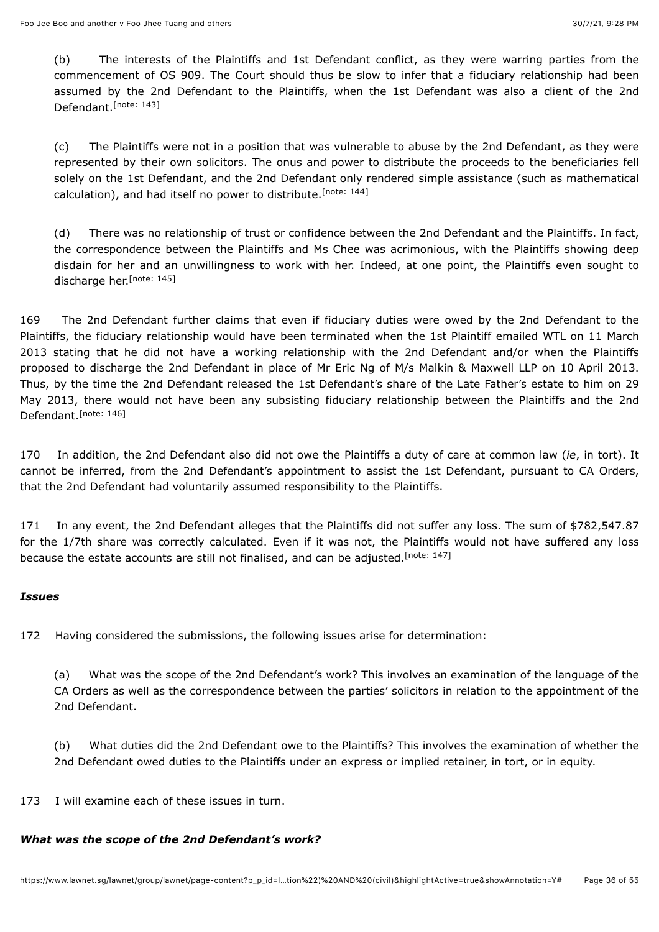<span id="page-35-0"></span>(b) The interests of the Plaintiffs and 1st Defendant conflict, as they were warring parties from the commencement of OS 909. The Court should thus be slow to infer that a fiduciary relationship had been assumed by the 2nd Defendant to the Plaintiffs, when the 1st Defendant was also a client of the 2nd Defendant.<sup>[\[note: 143\]](#page-53-2)</sup>

(c) The Plaintiffs were not in a position that was vulnerable to abuse by the 2nd Defendant, as they were represented by their own solicitors. The onus and power to distribute the proceeds to the beneficiaries fell solely on the 1st Defendant, and the 2nd Defendant only rendered simple assistance (such as mathematical calculation), and had itself no power to distribute.<sup>[\[note: 144\]](#page-53-3)</sup>

<span id="page-35-2"></span><span id="page-35-1"></span>(d) There was no relationship of trust or confidence between the 2nd Defendant and the Plaintiffs. In fact, the correspondence between the Plaintiffs and Ms Chee was acrimonious, with the Plaintiffs showing deep disdain for her and an unwillingness to work with her. Indeed, at one point, the Plaintiffs even sought to discharge her.<sup>[\[note: 145\]](#page-53-4)</sup>

169 The 2nd Defendant further claims that even if fiduciary duties were owed by the 2nd Defendant to the Plaintiffs, the fiduciary relationship would have been terminated when the 1st Plaintiff emailed WTL on 11 March 2013 stating that he did not have a working relationship with the 2nd Defendant and/or when the Plaintiffs proposed to discharge the 2nd Defendant in place of Mr Eric Ng of M/s Malkin & Maxwell LLP on 10 April 2013. Thus, by the time the 2nd Defendant released the 1st Defendant's share of the Late Father's estate to him on 29 May 2013, there would not have been any subsisting fiduciary relationship between the Plaintiffs and the 2nd Defendant.<sup>[\[note: 146\]](#page-53-5)</sup>

<span id="page-35-3"></span>170 In addition, the 2nd Defendant also did not owe the Plaintiffs a duty of care at common law (*ie*, in tort). It cannot be inferred, from the 2nd Defendant's appointment to assist the 1st Defendant, pursuant to CA Orders, that the 2nd Defendant had voluntarily assumed responsibility to the Plaintiffs.

171 In any event, the 2nd Defendant alleges that the Plaintiffs did not suffer any loss. The sum of \$782,547.87 for the 1/7th share was correctly calculated. Even if it was not, the Plaintiffs would not have suffered any loss because the estate accounts are still not finalised, and can be adjusted.<sup>[\[note: 147\]](#page-53-6)</sup>

### *Issues*

172 Having considered the submissions, the following issues arise for determination:

<span id="page-35-4"></span>(a) What was the scope of the 2nd Defendant's work? This involves an examination of the language of the CA Orders as well as the correspondence between the parties' solicitors in relation to the appointment of the 2nd Defendant.

(b) What duties did the 2nd Defendant owe to the Plaintiffs? This involves the examination of whether the 2nd Defendant owed duties to the Plaintiffs under an express or implied retainer, in tort, or in equity.

173 I will examine each of these issues in turn.

### *What was the scope of the 2nd Defendant's work?*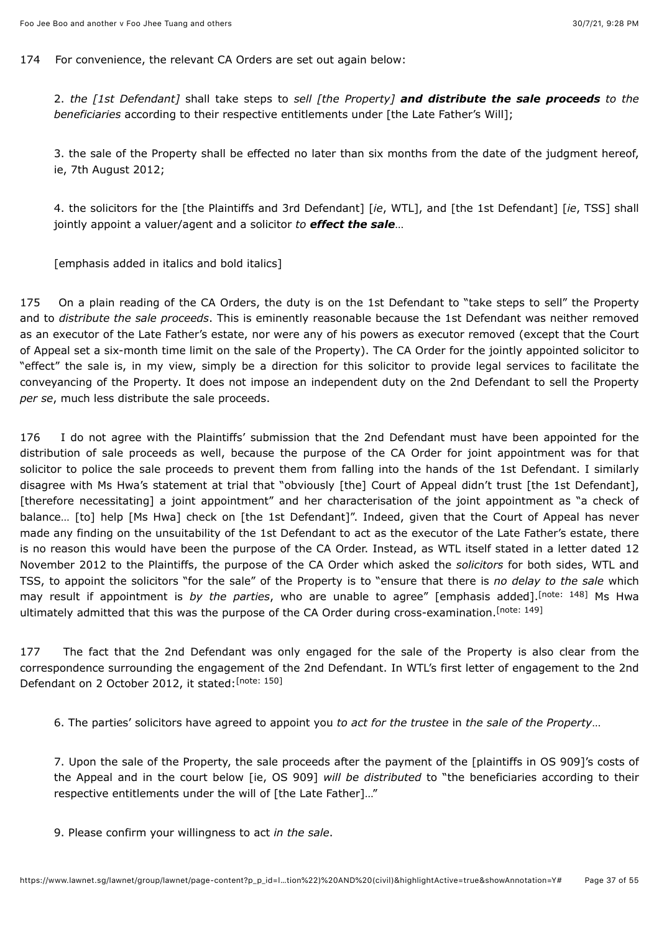174 For convenience, the relevant CA Orders are set out again below:

2. *the [1st Defendant]* shall take steps to *sell [the Property] and distribute the sale proceeds to the beneficiaries* according to their respective entitlements under [the Late Father's Will];

3. the sale of the Property shall be effected no later than six months from the date of the judgment hereof, ie, 7th August 2012;

4. the solicitors for the [the Plaintiffs and 3rd Defendant] [*ie*, WTL], and [the 1st Defendant] [*ie*, TSS] shall jointly appoint a valuer/agent and a solicitor *to effect the sale*…

[emphasis added in italics and bold italics]

175 On a plain reading of the CA Orders, the duty is on the 1st Defendant to "take steps to sell" the Property and to *distribute the sale proceeds*. This is eminently reasonable because the 1st Defendant was neither removed as an executor of the Late Father's estate, nor were any of his powers as executor removed (except that the Court of Appeal set a six-month time limit on the sale of the Property). The CA Order for the jointly appointed solicitor to "effect" the sale is, in my view, simply be a direction for this solicitor to provide legal services to facilitate the conveyancing of the Property. It does not impose an independent duty on the 2nd Defendant to sell the Property *per se*, much less distribute the sale proceeds.

176 I do not agree with the Plaintiffs' submission that the 2nd Defendant must have been appointed for the distribution of sale proceeds as well, because the purpose of the CA Order for joint appointment was for that solicitor to police the sale proceeds to prevent them from falling into the hands of the 1st Defendant. I similarly disagree with Ms Hwa's statement at trial that "obviously [the] Court of Appeal didn't trust [the 1st Defendant], [therefore necessitating] a joint appointment" and her characterisation of the joint appointment as "a check of balance… [to] help [Ms Hwa] check on [the 1st Defendant]". Indeed, given that the Court of Appeal has never made any finding on the unsuitability of the 1st Defendant to act as the executor of the Late Father's estate, there is no reason this would have been the purpose of the CA Order. Instead, as WTL itself stated in a letter dated 12 November 2012 to the Plaintiffs, the purpose of the CA Order which asked the *solicitors* for both sides, WTL and TSS, to appoint the solicitors "for the sale" of the Property is to "ensure that there is *no delay to the sale* which may result if appointment is by the parties, who are unable to agree" [emphasis added].<sup>[note: 148]</sup> Ms Hwa ultimately admitted that this was the purpose of the CA Order during cross-examination.<sup>[\[note: 149\]](#page-53-8)</sup>

177 The fact that the 2nd Defendant was only engaged for the sale of the Property is also clear from the correspondence surrounding the engagement of the 2nd Defendant. In WTL's first letter of engagement to the 2nd Defendant on 2 October 2012, it stated: [\[note: 150\]](#page-53-9)

<span id="page-36-2"></span><span id="page-36-1"></span><span id="page-36-0"></span>6. The parties' solicitors have agreed to appoint you *to act for the trustee* in *the sale of the Property*…

7. Upon the sale of the Property, the sale proceeds after the payment of the [plaintiffs in OS 909]'s costs of the Appeal and in the court below [ie, OS 909] *will be distributed* to "the beneficiaries according to their respective entitlements under the will of [the Late Father]…"

9. Please confirm your willingness to act *in the sale*.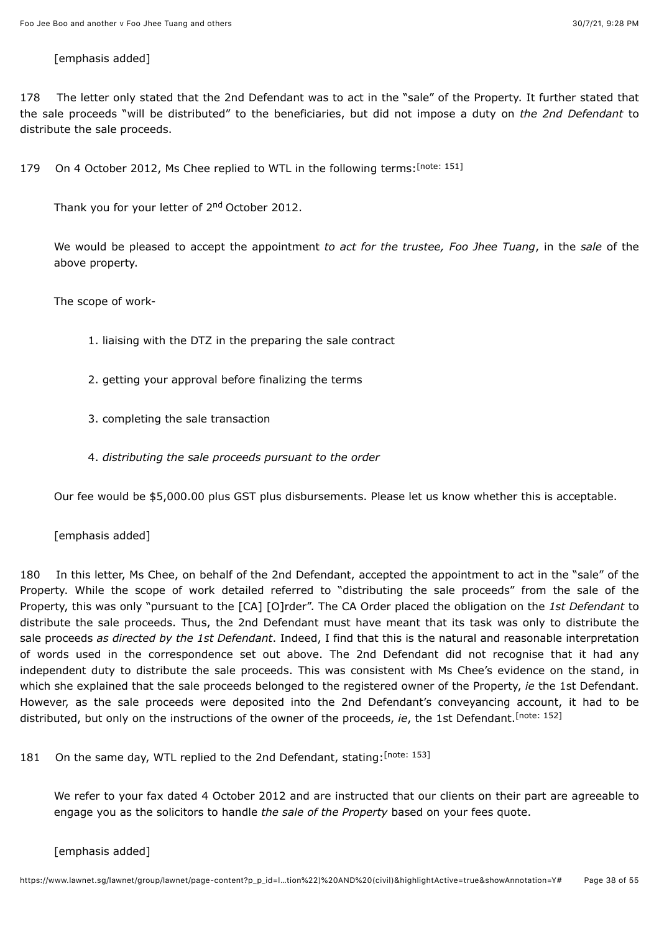#### [emphasis added]

178 The letter only stated that the 2nd Defendant was to act in the "sale" of the Property. It further stated that the sale proceeds "will be distributed" to the beneficiaries, but did not impose a duty on *the 2nd Defendant* to distribute the sale proceeds.

179 On 4 October 2012, Ms Chee replied to WTL in the following terms: [\[note: 151\]](#page-53-10)

<span id="page-37-0"></span>Thank you for your letter of 2<sup>nd</sup> October 2012.

We would be pleased to accept the appointment *to act for the trustee, Foo Jhee Tuang*, in the *sale* of the above property.

The scope of work-

- 1. liaising with the DTZ in the preparing the sale contract
- 2. getting your approval before finalizing the terms
- 3. completing the sale transaction
- 4. *distributing the sale proceeds pursuant to the order*

Our fee would be \$5,000.00 plus GST plus disbursements. Please let us know whether this is acceptable.

#### [emphasis added]

180 In this letter, Ms Chee, on behalf of the 2nd Defendant, accepted the appointment to act in the "sale" of the Property. While the scope of work detailed referred to "distributing the sale proceeds" from the sale of the Property, this was only "pursuant to the [CA] [O]rder". The CA Order placed the obligation on the *1st Defendant* to distribute the sale proceeds. Thus, the 2nd Defendant must have meant that its task was only to distribute the sale proceeds *as directed by the 1st Defendant*. Indeed, I find that this is the natural and reasonable interpretation of words used in the correspondence set out above. The 2nd Defendant did not recognise that it had any independent duty to distribute the sale proceeds. This was consistent with Ms Chee's evidence on the stand, in which she explained that the sale proceeds belonged to the registered owner of the Property, *ie* the 1st Defendant. However, as the sale proceeds were deposited into the 2nd Defendant's conveyancing account, it had to be distributed, but only on the instructions of the owner of the proceeds, *ie*, the 1st Defendant. [\[note: 152\]](#page-53-11)

181 On the same day, WTL replied to the 2nd Defendant, stating: [\[note: 153\]](#page-53-12)

<span id="page-37-2"></span><span id="page-37-1"></span>We refer to your fax dated 4 October 2012 and are instructed that our clients on their part are agreeable to engage you as the solicitors to handle *the sale of the Property* based on your fees quote.

[emphasis added]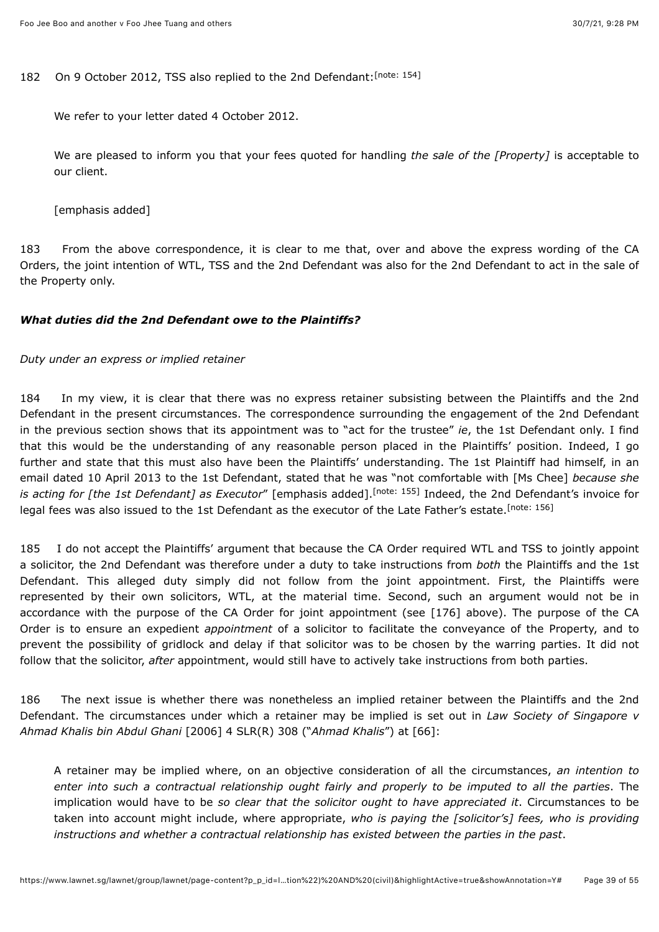182 On 9 October 2012, TSS also replied to the 2nd Defendant: [\[note: 154\]](#page-53-13)

<span id="page-38-0"></span>We refer to your letter dated 4 October 2012.

We are pleased to inform you that your fees quoted for handling *the sale of the [Property]* is acceptable to our client.

[emphasis added]

183 From the above correspondence, it is clear to me that, over and above the express wording of the CA Orders, the joint intention of WTL, TSS and the 2nd Defendant was also for the 2nd Defendant to act in the sale of the Property only.

### *What duties did the 2nd Defendant owe to the Plaintiffs?*

#### *Duty under an express or implied retainer*

184 In my view, it is clear that there was no express retainer subsisting between the Plaintiffs and the 2nd Defendant in the present circumstances. The correspondence surrounding the engagement of the 2nd Defendant in the previous section shows that its appointment was to "act for the trustee" *ie*, the 1st Defendant only. I find that this would be the understanding of any reasonable person placed in the Plaintiffs' position. Indeed, I go further and state that this must also have been the Plaintiffs' understanding. The 1st Plaintiff had himself, in an email dated 10 April 2013 to the 1st Defendant, stated that he was "not comfortable with [Ms Chee] *because she* is acting for [the 1st Defendant] as Executor" [emphasis added].<sup>[note: 155]</sup> Indeed, the 2nd Defendant's invoice for legal fees was also issued to the 1st Defendant as the executor of the Late Father's estate.<sup>[\[note: 156\]](#page-53-15)</sup>

<span id="page-38-2"></span><span id="page-38-1"></span>185 I do not accept the Plaintiffs' argument that because the CA Order required WTL and TSS to jointly appoint a solicitor, the 2nd Defendant was therefore under a duty to take instructions from *both* the Plaintiffs and the 1st Defendant. This alleged duty simply did not follow from the joint appointment. First, the Plaintiffs were represented by their own solicitors, WTL, at the material time. Second, such an argument would not be in accordance with the purpose of the CA Order for joint appointment (see [176] above). The purpose of the CA Order is to ensure an expedient *appointment* of a solicitor to facilitate the conveyance of the Property, and to prevent the possibility of gridlock and delay if that solicitor was to be chosen by the warring parties. It did not follow that the solicitor, *after* appointment, would still have to actively take instructions from both parties.

186 The next issue is whether there was nonetheless an implied retainer between the Plaintiffs and the 2nd Defendant. The circumstances under which a retainer may be implied is set out in *Law Society of Singapore v Ahmad Khalis bin Abdul Ghani* [\[2006\] 4 SLR\(R\) 308](javascript:viewPageContent() ("*Ahmad Khalis*") at [66]:

A retainer may be implied where, on an objective consideration of all the circumstances, *an intention to enter into such a contractual relationship ought fairly and properly to be imputed to all the parties*. The implication would have to be *so clear that the solicitor ought to have appreciated it*. Circumstances to be taken into account might include, where appropriate, *who is paying the [solicitor's] fees, who is providing instructions and whether a contractual relationship has existed between the parties in the past*.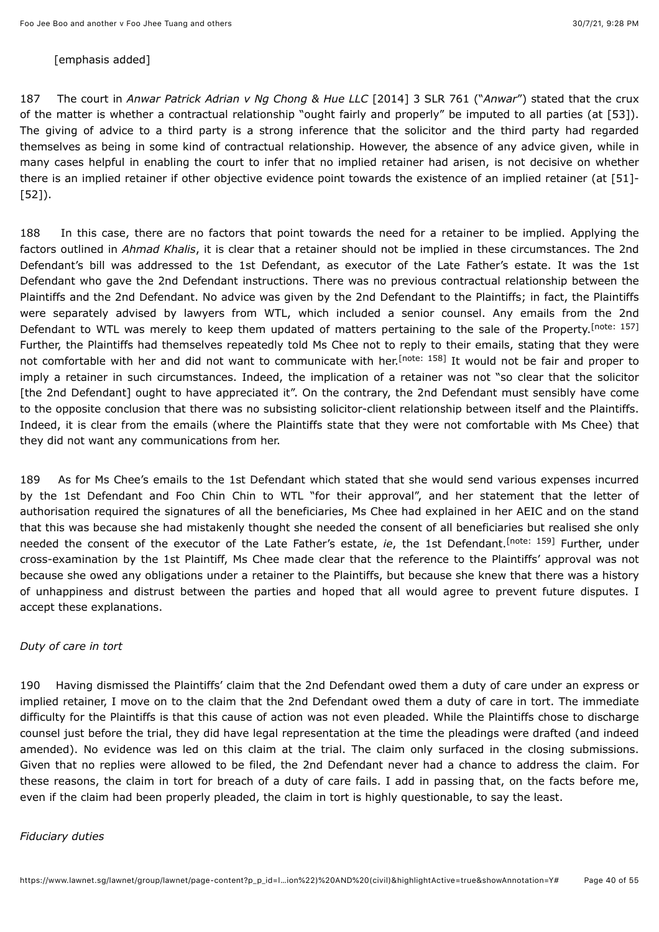#### [emphasis added]

187 The court in *Anwar Patrick Adrian v Ng Chong & Hue LLC* [\[2014\] 3 SLR 761](javascript:viewPageContent() ("*Anwar*") stated that the crux of the matter is whether a contractual relationship "ought fairly and properly" be imputed to all parties (at [53]). The giving of advice to a third party is a strong inference that the solicitor and the third party had regarded themselves as being in some kind of contractual relationship. However, the absence of any advice given, while in many cases helpful in enabling the court to infer that no implied retainer had arisen, is not decisive on whether there is an implied retainer if other objective evidence point towards the existence of an implied retainer (at [51]- [52]).

<span id="page-39-1"></span><span id="page-39-0"></span>188 In this case, there are no factors that point towards the need for a retainer to be implied. Applying the factors outlined in *Ahmad Khalis*, it is clear that a retainer should not be implied in these circumstances. The 2nd Defendant's bill was addressed to the 1st Defendant, as executor of the Late Father's estate. It was the 1st Defendant who gave the 2nd Defendant instructions. There was no previous contractual relationship between the Plaintiffs and the 2nd Defendant. No advice was given by the 2nd Defendant to the Plaintiffs; in fact, the Plaintiffs were separately advised by lawyers from WTL, which included a senior counsel. Any emails from the 2nd Defendant to WTL was merely to keep them updated of matters pertaining to the sale of the Property. [\[note: 157\]](#page-53-16) Further, the Plaintiffs had themselves repeatedly told Ms Chee not to reply to their emails, stating that they were not comfortable with her and did not want to communicate with her.<sup>[note: 158]</sup> It would not be fair and proper to imply a retainer in such circumstances. Indeed, the implication of a retainer was not "so clear that the solicitor [the 2nd Defendant] ought to have appreciated it". On the contrary, the 2nd Defendant must sensibly have come to the opposite conclusion that there was no subsisting solicitor-client relationship between itself and the Plaintiffs. Indeed, it is clear from the emails (where the Plaintiffs state that they were not comfortable with Ms Chee) that they did not want any communications from her.

<span id="page-39-2"></span>189 As for Ms Chee's emails to the 1st Defendant which stated that she would send various expenses incurred by the 1st Defendant and Foo Chin Chin to WTL "for their approval", and her statement that the letter of authorisation required the signatures of all the beneficiaries, Ms Chee had explained in her AEIC and on the stand that this was because she had mistakenly thought she needed the consent of all beneficiaries but realised she only needed the consent of the executor of the Late Father's estate, *ie*, the 1st Defendant[.](#page-53-18)<sup>[note: 159]</sup> Further, under cross-examination by the 1st Plaintiff, Ms Chee made clear that the reference to the Plaintiffs' approval was not because she owed any obligations under a retainer to the Plaintiffs, but because she knew that there was a history of unhappiness and distrust between the parties and hoped that all would agree to prevent future disputes. I accept these explanations.

#### *Duty of care in tort*

190 Having dismissed the Plaintiffs' claim that the 2nd Defendant owed them a duty of care under an express or implied retainer, I move on to the claim that the 2nd Defendant owed them a duty of care in tort. The immediate difficulty for the Plaintiffs is that this cause of action was not even pleaded. While the Plaintiffs chose to discharge counsel just before the trial, they did have legal representation at the time the pleadings were drafted (and indeed amended). No evidence was led on this claim at the trial. The claim only surfaced in the closing submissions. Given that no replies were allowed to be filed, the 2nd Defendant never had a chance to address the claim. For these reasons, the claim in tort for breach of a duty of care fails. I add in passing that, on the facts before me, even if the claim had been properly pleaded, the claim in tort is highly questionable, to say the least.

#### *Fiduciary duties*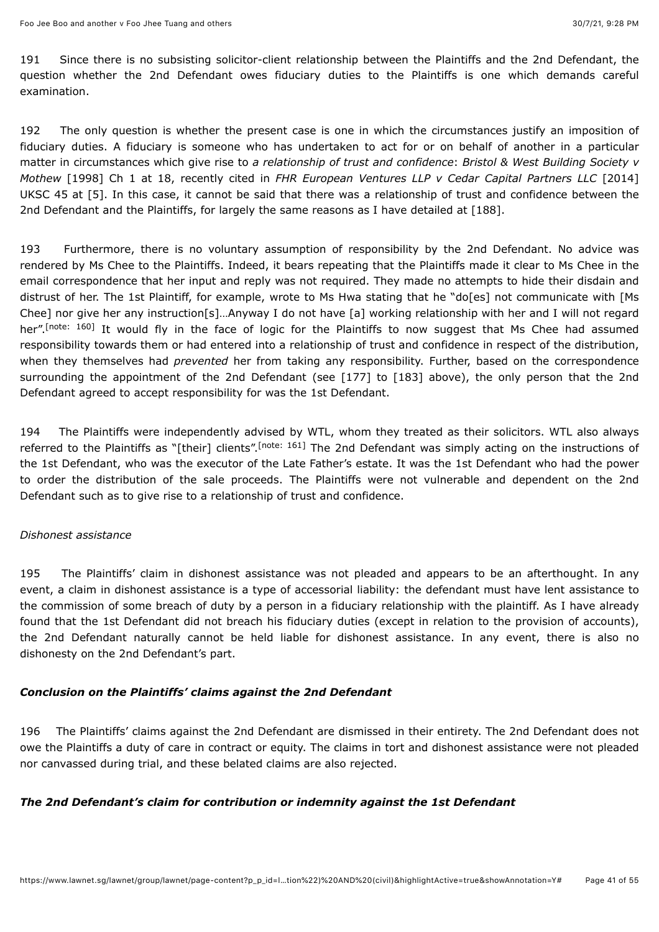191 Since there is no subsisting solicitor-client relationship between the Plaintiffs and the 2nd Defendant, the question whether the 2nd Defendant owes fiduciary duties to the Plaintiffs is one which demands careful examination.

192 The only question is whether the present case is one in which the circumstances justify an imposition of fiduciary duties. A fiduciary is someone who has undertaken to act for or on behalf of another in a particular matter in circumstances which give rise to *a relationship of trust and confidence*: *Bristol & West Building Society v Mothew* [1998] Ch 1 at 18, recently cited in *FHR European Ventures LLP v Cedar Capital Partners LLC* [2014] UKSC 45 at [5]. In this case, it cannot be said that there was a relationship of trust and confidence between the 2nd Defendant and the Plaintiffs, for largely the same reasons as I have detailed at [188].

<span id="page-40-0"></span>193 Furthermore, there is no voluntary assumption of responsibility by the 2nd Defendant. No advice was rendered by Ms Chee to the Plaintiffs. Indeed, it bears repeating that the Plaintiffs made it clear to Ms Chee in the email correspondence that her input and reply was not required. They made no attempts to hide their disdain and distrust of her. The 1st Plaintiff, for example, wrote to Ms Hwa stating that he "do[es] not communicate with [Ms Chee] nor give her any instruction[s]…Anyway I do not have [a] working relationship with her and I will not regard her".<sup>[note:160]</sup> It would fly in the face of logic for the Plaintiffs to now suggest that Ms Chee had assumed responsibility towards them or had entered into a relationship of trust and confidence in respect of the distribution, when they themselves had *prevented* her from taking any responsibility. Further, based on the correspondence surrounding the appointment of the 2nd Defendant (see [177] to [183] above), the only person that the 2nd Defendant agreed to accept responsibility for was the 1st Defendant.

<span id="page-40-1"></span>194 The Plaintiffs were independently advised by WTL, whom they treated as their solicitors. WTL also always referred to the Plaintiffs as "[their] clients"[.](#page-53-20)<sup>[note: 161]</sup> The 2nd Defendant was simply acting on the instructions of the 1st Defendant, who was the executor of the Late Father's estate. It was the 1st Defendant who had the power to order the distribution of the sale proceeds. The Plaintiffs were not vulnerable and dependent on the 2nd Defendant such as to give rise to a relationship of trust and confidence.

### *Dishonest assistance*

195 The Plaintiffs' claim in dishonest assistance was not pleaded and appears to be an afterthought. In any event, a claim in dishonest assistance is a type of accessorial liability: the defendant must have lent assistance to the commission of some breach of duty by a person in a fiduciary relationship with the plaintiff. As I have already found that the 1st Defendant did not breach his fiduciary duties (except in relation to the provision of accounts), the 2nd Defendant naturally cannot be held liable for dishonest assistance. In any event, there is also no dishonesty on the 2nd Defendant's part.

### *Conclusion on the Plaintiffs' claims against the 2nd Defendant*

196 The Plaintiffs' claims against the 2nd Defendant are dismissed in their entirety. The 2nd Defendant does not owe the Plaintiffs a duty of care in contract or equity. The claims in tort and dishonest assistance were not pleaded nor canvassed during trial, and these belated claims are also rejected.

### *The 2nd Defendant's claim for contribution or indemnity against the 1st Defendant*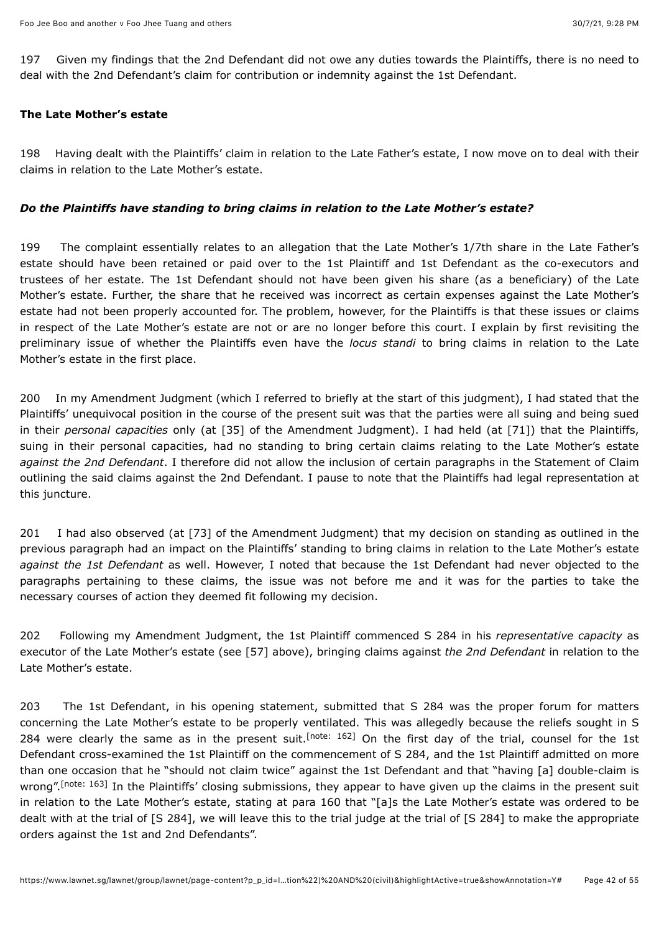197 Given my findings that the 2nd Defendant did not owe any duties towards the Plaintiffs, there is no need to deal with the 2nd Defendant's claim for contribution or indemnity against the 1st Defendant.

### **The Late Mother's estate**

198 Having dealt with the Plaintiffs' claim in relation to the Late Father's estate, I now move on to deal with their claims in relation to the Late Mother's estate.

### *Do the Plaintiffs have standing to bring claims in relation to the Late Mother's estate?*

199 The complaint essentially relates to an allegation that the Late Mother's 1/7th share in the Late Father's estate should have been retained or paid over to the 1st Plaintiff and 1st Defendant as the co-executors and trustees of her estate. The 1st Defendant should not have been given his share (as a beneficiary) of the Late Mother's estate. Further, the share that he received was incorrect as certain expenses against the Late Mother's estate had not been properly accounted for. The problem, however, for the Plaintiffs is that these issues or claims in respect of the Late Mother's estate are not or are no longer before this court. I explain by first revisiting the preliminary issue of whether the Plaintiffs even have the *locus standi* to bring claims in relation to the Late Mother's estate in the first place.

200 In my Amendment Judgment (which I referred to briefly at the start of this judgment), I had stated that the Plaintiffs' unequivocal position in the course of the present suit was that the parties were all suing and being sued in their *personal capacities* only (at [35] of the Amendment Judgment). I had held (at [71]) that the Plaintiffs, suing in their personal capacities, had no standing to bring certain claims relating to the Late Mother's estate *against the 2nd Defendant*. I therefore did not allow the inclusion of certain paragraphs in the Statement of Claim outlining the said claims against the 2nd Defendant. I pause to note that the Plaintiffs had legal representation at this juncture.

201 I had also observed (at [73] of the Amendment Judgment) that my decision on standing as outlined in the previous paragraph had an impact on the Plaintiffs' standing to bring claims in relation to the Late Mother's estate *against the 1st Defendant* as well. However, I noted that because the 1st Defendant had never objected to the paragraphs pertaining to these claims, the issue was not before me and it was for the parties to take the necessary courses of action they deemed fit following my decision.

202 Following my Amendment Judgment, the 1st Plaintiff commenced S 284 in his *representative capacity* as executor of the Late Mother's estate (see [57] above), bringing claims against *the 2nd Defendant* in relation to the Late Mother's estate.

<span id="page-41-1"></span><span id="page-41-0"></span>203 The 1st Defendant, in his opening statement, submitted that S 284 was the proper forum for matters concerning the Late Mother's estate to be properly ventilated. This was allegedly because the reliefs sought in S 284 were clearly the same as in the present suit.<sup>[note: 162]</sup> On the first day of the trial, counsel for the 1st Defendant cross-examined the 1st Plaintiff on the commencement of S 284, and the 1st Plaintiff admitted on more than one occasion that he "should not claim twice" against the 1st Defendant and that "having [a] double-claim is wrong".<sup>[note: 163]</sup> In the Plaintiffs' closing submissions, they appear to have given up the claims in the present suit in relation to the Late Mother's estate, stating at para 160 that "[a]s the Late Mother's estate was ordered to be dealt with at the trial of [S 284], we will leave this to the trial judge at the trial of [S 284] to make the appropriate orders against the 1st and 2nd Defendants".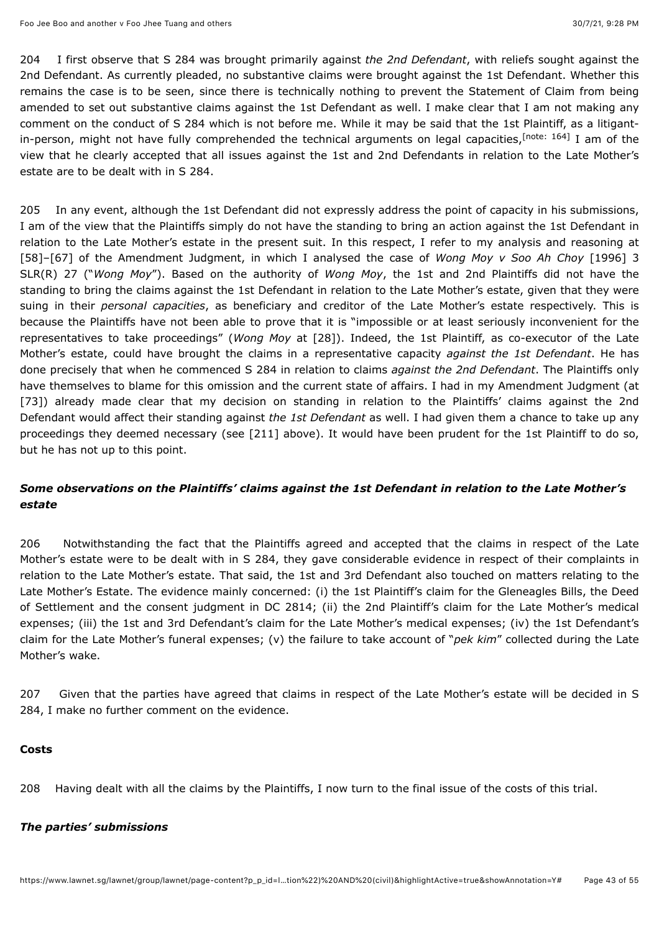<span id="page-42-0"></span>204 I first observe that S 284 was brought primarily against *the 2nd Defendant*, with reliefs sought against the 2nd Defendant. As currently pleaded, no substantive claims were brought against the 1st Defendant. Whether this remains the case is to be seen, since there is technically nothing to prevent the Statement of Claim from being amended to set out substantive claims against the 1st Defendant as well. I make clear that I am not making any comment on the conduct of S 284 which is not before me. While it may be said that the 1st Plaintiff, as a litigantin-person,might not have fully comprehended the technical arguments on legal capacities, <sup>[note: 164]</sup> I am of the view that he clearly accepted that all issues against the 1st and 2nd Defendants in relation to the Late Mother's estate are to be dealt with in S 284.

205 In any event, although the 1st Defendant did not expressly address the point of capacity in his submissions, I am of the view that the Plaintiffs simply do not have the standing to bring an action against the 1st Defendant in relation to the Late Mother's estate in the present suit. In this respect, I refer to my analysis and reasoning at [\[58\]–\[67\] of the Amendment Judgment, in which I analysed the case of](javascript:viewPageContent() *Wong Moy v Soo Ah Choy* [1996] 3 SLR(R) 27 ("*Wong Moy*"). Based on the authority of *Wong Moy*, the 1st and 2nd Plaintiffs did not have the standing to bring the claims against the 1st Defendant in relation to the Late Mother's estate, given that they were suing in their *personal capacities*, as beneficiary and creditor of the Late Mother's estate respectively. This is because the Plaintiffs have not been able to prove that it is "impossible or at least seriously inconvenient for the representatives to take proceedings" (*Wong Moy* at [28]). Indeed, the 1st Plaintiff, as co-executor of the Late Mother's estate, could have brought the claims in a representative capacity *against the 1st Defendant*. He has done precisely that when he commenced S 284 in relation to claims *against the 2nd Defendant*. The Plaintiffs only have themselves to blame for this omission and the current state of affairs. I had in my Amendment Judgment (at [73]) already made clear that my decision on standing in relation to the Plaintiffs' claims against the 2nd Defendant would affect their standing against *the 1st Defendant* as well. I had given them a chance to take up any proceedings they deemed necessary (see [211] above). It would have been prudent for the 1st Plaintiff to do so, but he has not up to this point.

### *Some observations on the Plaintiffs' claims against the 1st Defendant in relation to the Late Mother's estate*

206 Notwithstanding the fact that the Plaintiffs agreed and accepted that the claims in respect of the Late Mother's estate were to be dealt with in S 284, they gave considerable evidence in respect of their complaints in relation to the Late Mother's estate. That said, the 1st and 3rd Defendant also touched on matters relating to the Late Mother's Estate. The evidence mainly concerned: (i) the 1st Plaintiff's claim for the Gleneagles Bills, the Deed of Settlement and the consent judgment in DC 2814; (ii) the 2nd Plaintiff's claim for the Late Mother's medical expenses; (iii) the 1st and 3rd Defendant's claim for the Late Mother's medical expenses; (iv) the 1st Defendant's claim for the Late Mother's funeral expenses; (v) the failure to take account of "*pek kim*" collected during the Late Mother's wake.

207 Given that the parties have agreed that claims in respect of the Late Mother's estate will be decided in S 284, I make no further comment on the evidence.

#### **Costs**

208 Having dealt with all the claims by the Plaintiffs, I now turn to the final issue of the costs of this trial.

#### *The parties' submissions*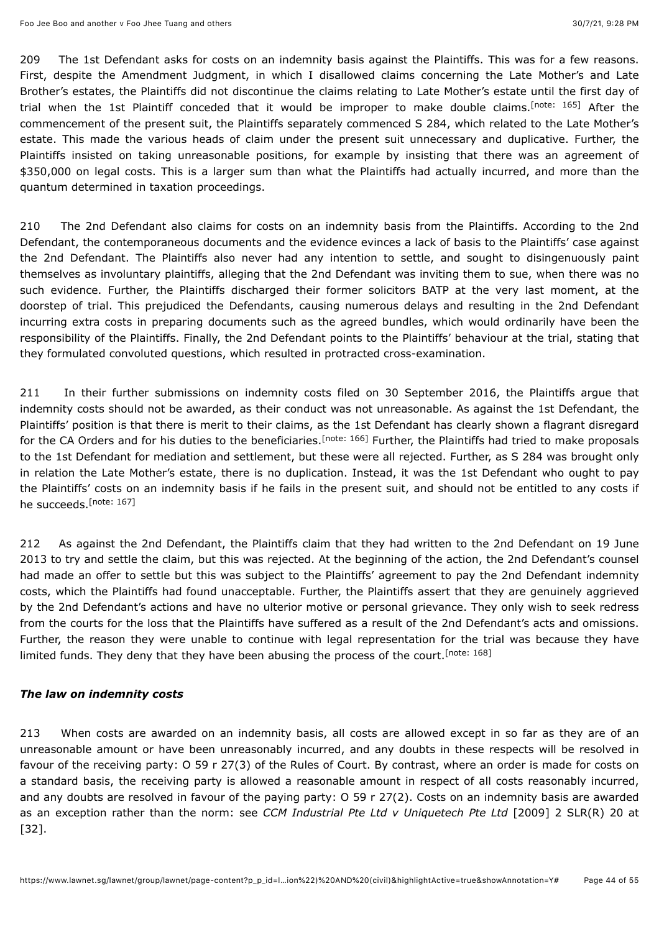<span id="page-43-0"></span>209 The 1st Defendant asks for costs on an indemnity basis against the Plaintiffs. This was for a few reasons. First, despite the Amendment Judgment, in which I disallowed claims concerning the Late Mother's and Late Brother's estates, the Plaintiffs did not discontinue the claims relating to Late Mother's estate until the first day of trial when the 1st Plaintiff conceded that it would be improper to make double claims.<sup>[note: 165]</sup> After the commencement of the present suit, the Plaintiffs separately commenced S 284, which related to the Late Mother's estate. This made the various heads of claim under the present suit unnecessary and duplicative. Further, the Plaintiffs insisted on taking unreasonable positions, for example by insisting that there was an agreement of \$350,000 on legal costs. This is a larger sum than what the Plaintiffs had actually incurred, and more than the quantum determined in taxation proceedings.

210 The 2nd Defendant also claims for costs on an indemnity basis from the Plaintiffs. According to the 2nd Defendant, the contemporaneous documents and the evidence evinces a lack of basis to the Plaintiffs' case against the 2nd Defendant. The Plaintiffs also never had any intention to settle, and sought to disingenuously paint themselves as involuntary plaintiffs, alleging that the 2nd Defendant was inviting them to sue, when there was no such evidence. Further, the Plaintiffs discharged their former solicitors BATP at the very last moment, at the doorstep of trial. This prejudiced the Defendants, causing numerous delays and resulting in the 2nd Defendant incurring extra costs in preparing documents such as the agreed bundles, which would ordinarily have been the responsibility of the Plaintiffs. Finally, the 2nd Defendant points to the Plaintiffs' behaviour at the trial, stating that they formulated convoluted questions, which resulted in protracted cross-examination.

<span id="page-43-1"></span>211 In their further submissions on indemnity costs filed on 30 September 2016, the Plaintiffs argue that indemnity costs should not be awarded, as their conduct was not unreasonable. As against the 1st Defendant, the Plaintiffs' position is that there is merit to their claims, as the 1st Defendant has clearly shown a flagrant disregard forthe CA Orders and for his duties to the beneficiaries.<sup>[note: 166]</sup> Further, the Plaintiffs had tried to make proposals to the 1st Defendant for mediation and settlement, but these were all rejected. Further, as S 284 was brought only in relation the Late Mother's estate, there is no duplication. Instead, it was the 1st Defendant who ought to pay the Plaintiffs' costs on an indemnity basis if he fails in the present suit, and should not be entitled to any costs if he succeeds.<sup>[\[note: 167\]](#page-53-26)</sup>

<span id="page-43-2"></span>212 As against the 2nd Defendant, the Plaintiffs claim that they had written to the 2nd Defendant on 19 June 2013 to try and settle the claim, but this was rejected. At the beginning of the action, the 2nd Defendant's counsel had made an offer to settle but this was subject to the Plaintiffs' agreement to pay the 2nd Defendant indemnity costs, which the Plaintiffs had found unacceptable. Further, the Plaintiffs assert that they are genuinely aggrieved by the 2nd Defendant's actions and have no ulterior motive or personal grievance. They only wish to seek redress from the courts for the loss that the Plaintiffs have suffered as a result of the 2nd Defendant's acts and omissions. Further, the reason they were unable to continue with legal representation for the trial was because they have limited funds. They deny that they have been abusing the process of the court.<sup>[\[note: 168\]](#page-53-27)</sup>

#### <span id="page-43-3"></span>*The law on indemnity costs*

213 When costs are awarded on an indemnity basis, all costs are allowed except in so far as they are of an unreasonable amount or have been unreasonably incurred, and any doubts in these respects will be resolved in favour of the receiving party: O 59 r 27(3) of the Rules of Court. By contrast, where an order is made for costs on a standard basis, the receiving party is allowed a reasonable amount in respect of all costs reasonably incurred, and any doubts are resolved in favour of the paying party: O 59 r 27(2). Costs on an indemnity basis are awarded as an exception rather than the norm: see *CCM Industrial Pte Ltd v Uniquetech Pte Ltd* [\[2009\] 2 SLR\(R\) 20](javascript:viewPageContent() at [32].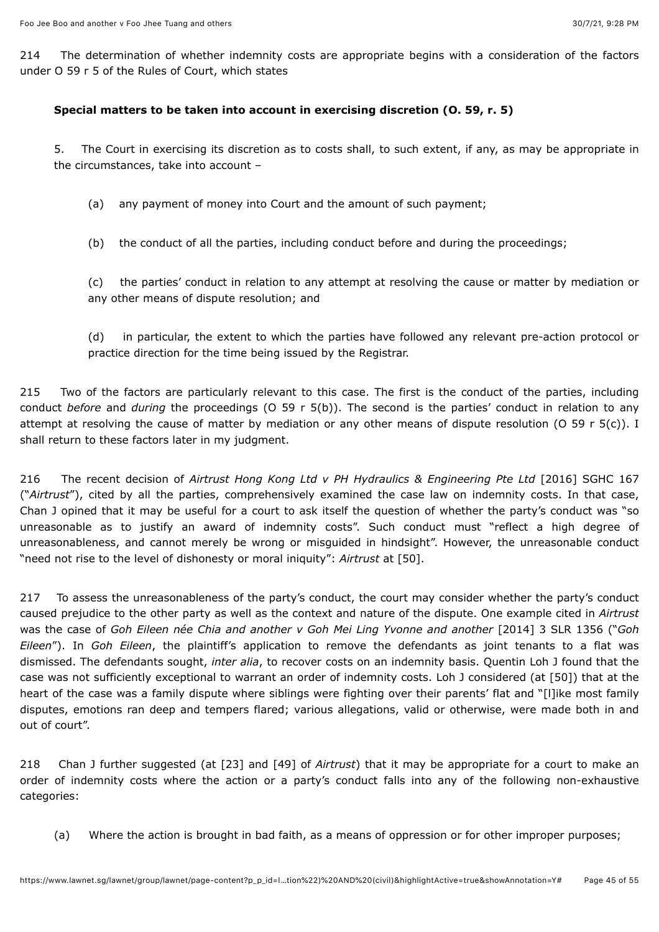214 The determination of whether indemnity costs are appropriate begins with a consideration of the factors under O 59 r 5 of the Rules of Court, which states

### **Special matters to be taken into account in exercising discretion (O. 59, r. 5)**

5. The Court in exercising its discretion as to costs shall, to such extent, if any, as may be appropriate in the circumstances, take into account –

- (a) any payment of money into Court and the amount of such payment;
- (b) the conduct of all the parties, including conduct before and during the proceedings;

(c) the parties' conduct in relation to any attempt at resolving the cause or matter by mediation or any other means of dispute resolution; and

(d) in particular, the extent to which the parties have followed any relevant pre-action protocol or practice direction for the time being issued by the Registrar.

215 Two of the factors are particularly relevant to this case. The first is the conduct of the parties, including conduct *before* and *during* the proceedings (O 59 r 5(b)). The second is the parties' conduct in relation to any attempt at resolving the cause of matter by mediation or any other means of dispute resolution (O 59 r 5(c)). I shall return to these factors later in my judgment.

216 The recent decision of *Airtrust Hong Kong Ltd v PH Hydraulics & Engineering Pte Ltd* [\[2016\] SGHC 167](javascript:viewPageContent() ("*Airtrust*"), cited by all the parties, comprehensively examined the case law on indemnity costs. In that case, Chan J opined that it may be useful for a court to ask itself the question of whether the party's conduct was "so unreasonable as to justify an award of indemnity costs". Such conduct must "reflect a high degree of unreasonableness, and cannot merely be wrong or misguided in hindsight". However, the unreasonable conduct "need not rise to the level of dishonesty or moral iniquity": *Airtrust* at [50].

217 To assess the unreasonableness of the party's conduct, the court may consider whether the party's conduct caused prejudice to the other party as well as the context and nature of the dispute. One example cited in *Airtrust* was the case of *Goh Eileen née Chia and another v Goh Mei Ling Yvonne and another* [\[2014\] 3 SLR 1356](javascript:viewPageContent() ("*Goh Eileen*"). In *Goh Eileen*, the plaintiff's application to remove the defendants as joint tenants to a flat was dismissed. The defendants sought, *inter alia*, to recover costs on an indemnity basis. Quentin Loh J found that the case was not sufficiently exceptional to warrant an order of indemnity costs. Loh J considered (at [50]) that at the heart of the case was a family dispute where siblings were fighting over their parents' flat and "[I]ike most family disputes, emotions ran deep and tempers flared; various allegations, valid or otherwise, were made both in and out of court".

218 Chan J further suggested (at [23] and [49] of *Airtrust*) that it may be appropriate for a court to make an order of indemnity costs where the action or a party's conduct falls into any of the following non-exhaustive categories:

(a) Where the action is brought in bad faith, as a means of oppression or for other improper purposes;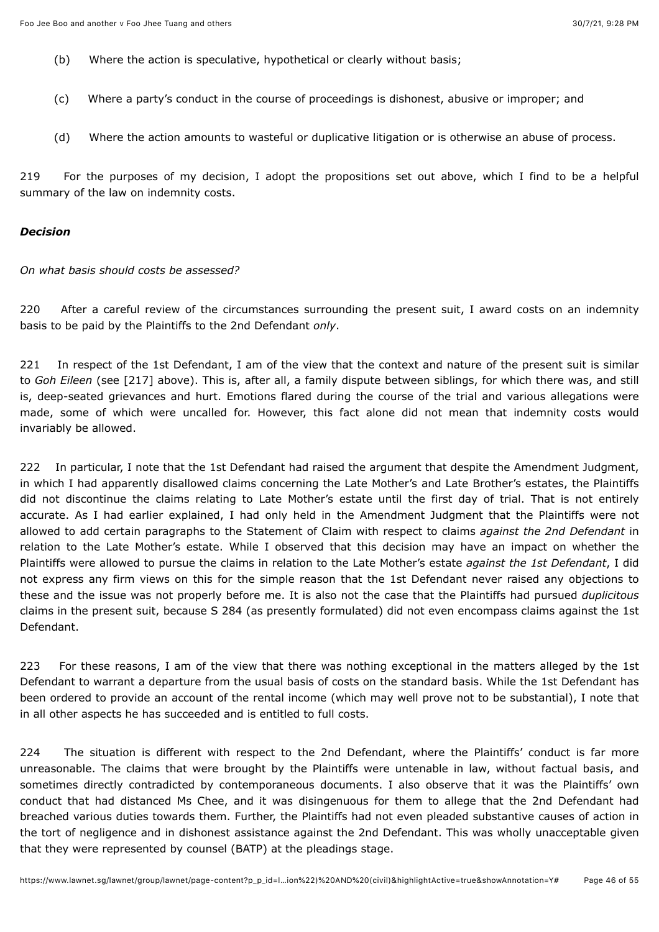- (b) Where the action is speculative, hypothetical or clearly without basis;
- (c) Where a party's conduct in the course of proceedings is dishonest, abusive or improper; and
- (d) Where the action amounts to wasteful or duplicative litigation or is otherwise an abuse of process.

219 For the purposes of my decision, I adopt the propositions set out above, which I find to be a helpful summary of the law on indemnity costs.

### *Decision*

*On what basis should costs be assessed?*

220 After a careful review of the circumstances surrounding the present suit, I award costs on an indemnity basis to be paid by the Plaintiffs to the 2nd Defendant *only*.

221 In respect of the 1st Defendant, I am of the view that the context and nature of the present suit is similar to *Goh Eileen* (see [217] above). This is, after all, a family dispute between siblings, for which there was, and still is, deep-seated grievances and hurt. Emotions flared during the course of the trial and various allegations were made, some of which were uncalled for. However, this fact alone did not mean that indemnity costs would invariably be allowed.

222 In particular, I note that the 1st Defendant had raised the argument that despite the Amendment Judgment, in which I had apparently disallowed claims concerning the Late Mother's and Late Brother's estates, the Plaintiffs did not discontinue the claims relating to Late Mother's estate until the first day of trial. That is not entirely accurate. As I had earlier explained, I had only held in the Amendment Judgment that the Plaintiffs were not allowed to add certain paragraphs to the Statement of Claim with respect to claims *against the 2nd Defendant* in relation to the Late Mother's estate. While I observed that this decision may have an impact on whether the Plaintiffs were allowed to pursue the claims in relation to the Late Mother's estate *against the 1st Defendant*, I did not express any firm views on this for the simple reason that the 1st Defendant never raised any objections to these and the issue was not properly before me. It is also not the case that the Plaintiffs had pursued *duplicitous* claims in the present suit, because S 284 (as presently formulated) did not even encompass claims against the 1st Defendant.

223 For these reasons, I am of the view that there was nothing exceptional in the matters alleged by the 1st Defendant to warrant a departure from the usual basis of costs on the standard basis. While the 1st Defendant has been ordered to provide an account of the rental income (which may well prove not to be substantial), I note that in all other aspects he has succeeded and is entitled to full costs.

224 The situation is different with respect to the 2nd Defendant, where the Plaintiffs' conduct is far more unreasonable. The claims that were brought by the Plaintiffs were untenable in law, without factual basis, and sometimes directly contradicted by contemporaneous documents. I also observe that it was the Plaintiffs' own conduct that had distanced Ms Chee, and it was disingenuous for them to allege that the 2nd Defendant had breached various duties towards them. Further, the Plaintiffs had not even pleaded substantive causes of action in the tort of negligence and in dishonest assistance against the 2nd Defendant. This was wholly unacceptable given that they were represented by counsel (BATP) at the pleadings stage.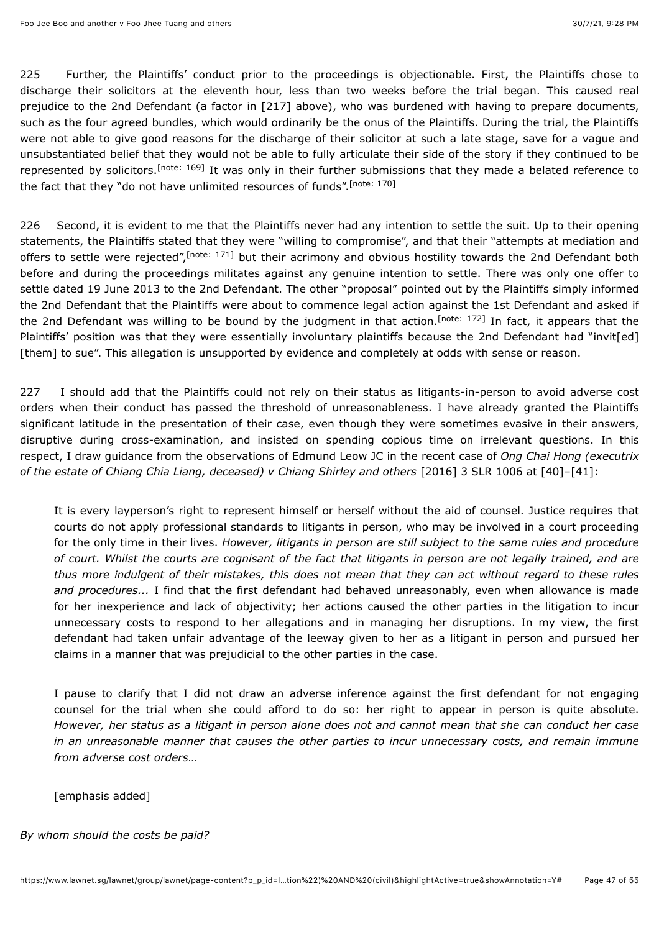225 Further, the Plaintiffs' conduct prior to the proceedings is objectionable. First, the Plaintiffs chose to discharge their solicitors at the eleventh hour, less than two weeks before the trial began. This caused real prejudice to the 2nd Defendant (a factor in [217] above), who was burdened with having to prepare documents, such as the four agreed bundles, which would ordinarily be the onus of the Plaintiffs. During the trial, the Plaintiffs were not able to give good reasons for the discharge of their solicitor at such a late stage, save for a vague and unsubstantiated belief that they would not be able to fully articulate their side of the story if they continued to be representedby solicitors.<sup>[note: 169]</sup> It was only in their further submissions that they made a belated reference to the fact that they "do not have unlimited resources of funds".<sup>[\[note: 170\]](#page-53-29)</sup>

<span id="page-46-2"></span><span id="page-46-1"></span><span id="page-46-0"></span>226 Second, it is evident to me that the Plaintiffs never had any intention to settle the suit. Up to their opening statements, the Plaintiffs stated that they were "willing to compromise", and that their "attempts at mediation and offers to settle were rejected"[,](#page-53-30)<sup>[note: 171]</sup> but their acrimony and obvious hostility towards the 2nd Defendant both before and during the proceedings militates against any genuine intention to settle. There was only one offer to settle dated 19 June 2013 to the 2nd Defendant. The other "proposal" pointed out by the Plaintiffs simply informed the 2nd Defendant that the Plaintiffs were about to commence legal action against the 1st Defendant and asked if the 2nd Defendant was willing to be bound by the judgment in that action[.](#page-53-31)<sup>[note: 172]</sup> In fact, it appears that the Plaintiffs' position was that they were essentially involuntary plaintiffs because the 2nd Defendant had "invit[ed] [them] to sue". This allegation is unsupported by evidence and completely at odds with sense or reason.

<span id="page-46-3"></span>227 I should add that the Plaintiffs could not rely on their status as litigants-in-person to avoid adverse cost orders when their conduct has passed the threshold of unreasonableness. I have already granted the Plaintiffs significant latitude in the presentation of their case, even though they were sometimes evasive in their answers, disruptive during cross-examination, and insisted on spending copious time on irrelevant questions. In this respect, I draw guidance from the observations of Edmund Leow JC in the recent case of *Ong Chai Hong (executrix of the estate of Chiang Chia Liang, deceased) v Chiang Shirley and others* [\[2016\] 3 SLR 1006](javascript:viewPageContent() at [40]–[41]:

It is every layperson's right to represent himself or herself without the aid of counsel. Justice requires that courts do not apply professional standards to litigants in person, who may be involved in a court proceeding for the only time in their lives. *However, litigants in person are still subject to the same rules and procedure of court. Whilst the courts are cognisant of the fact that litigants in person are not legally trained, and are thus more indulgent of their mistakes, this does not mean that they can act without regard to these rules and procedures...* I find that the first defendant had behaved unreasonably, even when allowance is made for her inexperience and lack of objectivity; her actions caused the other parties in the litigation to incur unnecessary costs to respond to her allegations and in managing her disruptions. In my view, the first defendant had taken unfair advantage of the leeway given to her as a litigant in person and pursued her claims in a manner that was prejudicial to the other parties in the case.

I pause to clarify that I did not draw an adverse inference against the first defendant for not engaging counsel for the trial when she could afford to do so: her right to appear in person is quite absolute. *However, her status as a litigant in person alone does not and cannot mean that she can conduct her case in an unreasonable manner that causes the other parties to incur unnecessary costs, and remain immune from adverse cost orders*…

[emphasis added]

#### *By whom should the costs be paid?*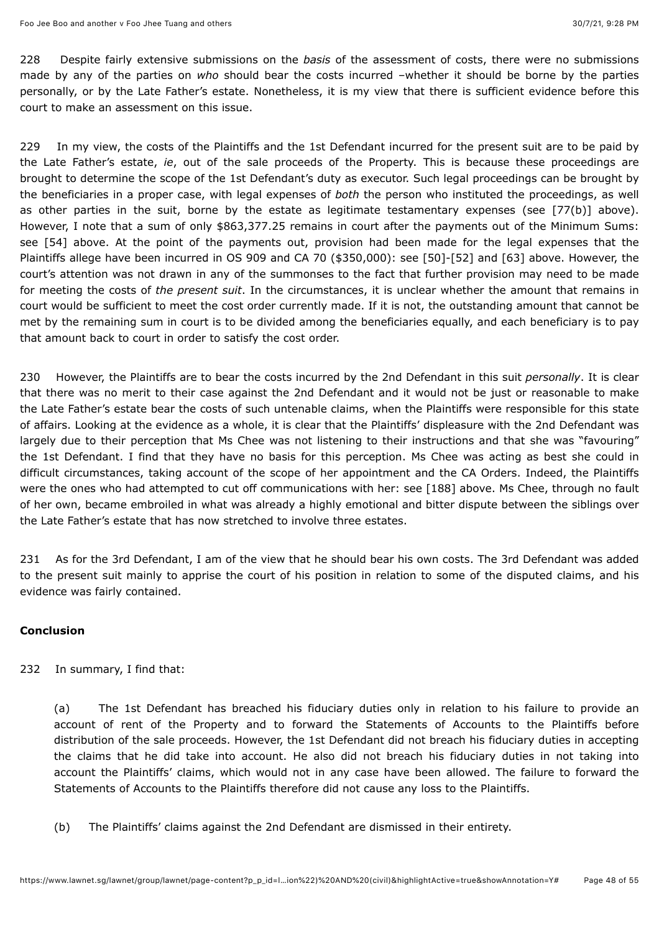228 Despite fairly extensive submissions on the *basis* of the assessment of costs, there were no submissions made by any of the parties on *who* should bear the costs incurred –whether it should be borne by the parties personally, or by the Late Father's estate. Nonetheless, it is my view that there is sufficient evidence before this court to make an assessment on this issue.

229 In my view, the costs of the Plaintiffs and the 1st Defendant incurred for the present suit are to be paid by the Late Father's estate, *ie*, out of the sale proceeds of the Property. This is because these proceedings are brought to determine the scope of the 1st Defendant's duty as executor. Such legal proceedings can be brought by the beneficiaries in a proper case, with legal expenses of *both* the person who instituted the proceedings, as well as other parties in the suit, borne by the estate as legitimate testamentary expenses (see [77(b)] above). However, I note that a sum of only \$863,377.25 remains in court after the payments out of the Minimum Sums: see [54] above. At the point of the payments out, provision had been made for the legal expenses that the Plaintiffs allege have been incurred in OS 909 and CA 70 (\$350,000): see [50]-[52] and [63] above. However, the court's attention was not drawn in any of the summonses to the fact that further provision may need to be made for meeting the costs of *the present suit*. In the circumstances, it is unclear whether the amount that remains in court would be sufficient to meet the cost order currently made. If it is not, the outstanding amount that cannot be met by the remaining sum in court is to be divided among the beneficiaries equally, and each beneficiary is to pay that amount back to court in order to satisfy the cost order.

230 However, the Plaintiffs are to bear the costs incurred by the 2nd Defendant in this suit *personally*. It is clear that there was no merit to their case against the 2nd Defendant and it would not be just or reasonable to make the Late Father's estate bear the costs of such untenable claims, when the Plaintiffs were responsible for this state of affairs. Looking at the evidence as a whole, it is clear that the Plaintiffs' displeasure with the 2nd Defendant was largely due to their perception that Ms Chee was not listening to their instructions and that she was "favouring" the 1st Defendant. I find that they have no basis for this perception. Ms Chee was acting as best she could in difficult circumstances, taking account of the scope of her appointment and the CA Orders. Indeed, the Plaintiffs were the ones who had attempted to cut off communications with her: see [188] above. Ms Chee, through no fault of her own, became embroiled in what was already a highly emotional and bitter dispute between the siblings over the Late Father's estate that has now stretched to involve three estates.

231 As for the 3rd Defendant, I am of the view that he should bear his own costs. The 3rd Defendant was added to the present suit mainly to apprise the court of his position in relation to some of the disputed claims, and his evidence was fairly contained.

### **Conclusion**

232 In summary, I find that:

(a) The 1st Defendant has breached his fiduciary duties only in relation to his failure to provide an account of rent of the Property and to forward the Statements of Accounts to the Plaintiffs before distribution of the sale proceeds. However, the 1st Defendant did not breach his fiduciary duties in accepting the claims that he did take into account. He also did not breach his fiduciary duties in not taking into account the Plaintiffs' claims, which would not in any case have been allowed. The failure to forward the Statements of Accounts to the Plaintiffs therefore did not cause any loss to the Plaintiffs.

(b) The Plaintiffs' claims against the 2nd Defendant are dismissed in their entirety.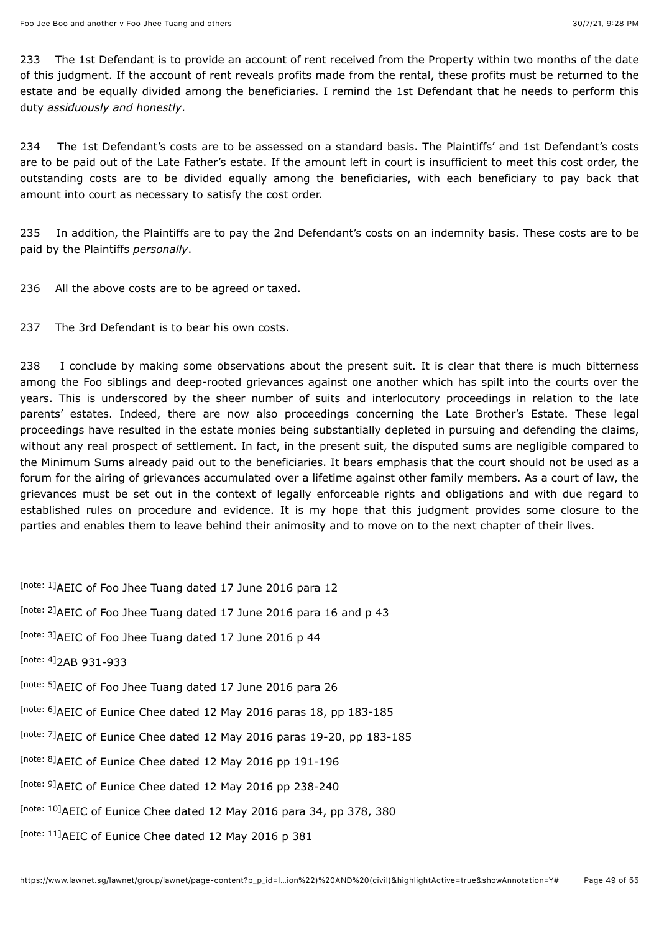233 The 1st Defendant is to provide an account of rent received from the Property within two months of the date of this judgment. If the account of rent reveals profits made from the rental, these profits must be returned to the estate and be equally divided among the beneficiaries. I remind the 1st Defendant that he needs to perform this duty *assiduously and honestly*.

234 The 1st Defendant's costs are to be assessed on a standard basis. The Plaintiffs' and 1st Defendant's costs are to be paid out of the Late Father's estate. If the amount left in court is insufficient to meet this cost order, the outstanding costs are to be divided equally among the beneficiaries, with each beneficiary to pay back that amount into court as necessary to satisfy the cost order.

235 In addition, the Plaintiffs are to pay the 2nd Defendant's costs on an indemnity basis. These costs are to be paid by the Plaintiffs *personally*.

236 All the above costs are to be agreed or taxed.

237 The 3rd Defendant is to bear his own costs.

238 I conclude by making some observations about the present suit. It is clear that there is much bitterness among the Foo siblings and deep-rooted grievances against one another which has spilt into the courts over the years. This is underscored by the sheer number of suits and interlocutory proceedings in relation to the late parents' estates. Indeed, there are now also proceedings concerning the Late Brother's Estate. These legal proceedings have resulted in the estate monies being substantially depleted in pursuing and defending the claims, without any real prospect of settlement. In fact, in the present suit, the disputed sums are negligible compared to the Minimum Sums already paid out to the beneficiaries. It bears emphasis that the court should not be used as a forum for the airing of grievances accumulated over a lifetime against other family members. As a court of law, the grievances must be set out in the context of legally enforceable rights and obligations and with due regard to established rules on procedure and evidence. It is my hope that this judgment provides some closure to the parties and enables them to leave behind their animosity and to move on to the next chapter of their lives.

<span id="page-48-10"></span><span id="page-48-9"></span><span id="page-48-8"></span><span id="page-48-7"></span><span id="page-48-6"></span><span id="page-48-5"></span><span id="page-48-4"></span><span id="page-48-3"></span><span id="page-48-2"></span><span id="page-48-1"></span><span id="page-48-0"></span>

| [note: 1] AEIC of Foo Jhee Tuang dated 17 June 2016 para 12             |
|-------------------------------------------------------------------------|
| [note: 2] AEIC of Foo Jhee Tuang dated 17 June 2016 para 16 and p 43    |
| [note: 3] AEIC of Foo Jhee Tuang dated 17 June 2016 p 44                |
| [note: 4] 2AB 931-933                                                   |
| [note: 5] AEIC of Foo Jhee Tuang dated 17 June 2016 para 26             |
| [note: 6] AEIC of Eunice Chee dated 12 May 2016 paras 18, pp 183-185    |
| [note: 7] AEIC of Eunice Chee dated 12 May 2016 paras 19-20, pp 183-185 |
| [note: 8] AEIC of Eunice Chee dated 12 May 2016 pp 191-196              |
| [note: 9] AEIC of Eunice Chee dated 12 May 2016 pp 238-240              |
| [note: 10] AEIC of Eunice Chee dated 12 May 2016 para 34, pp 378, 380   |
| [note: 11] AEIC of Eunice Chee dated 12 May 2016 p 381                  |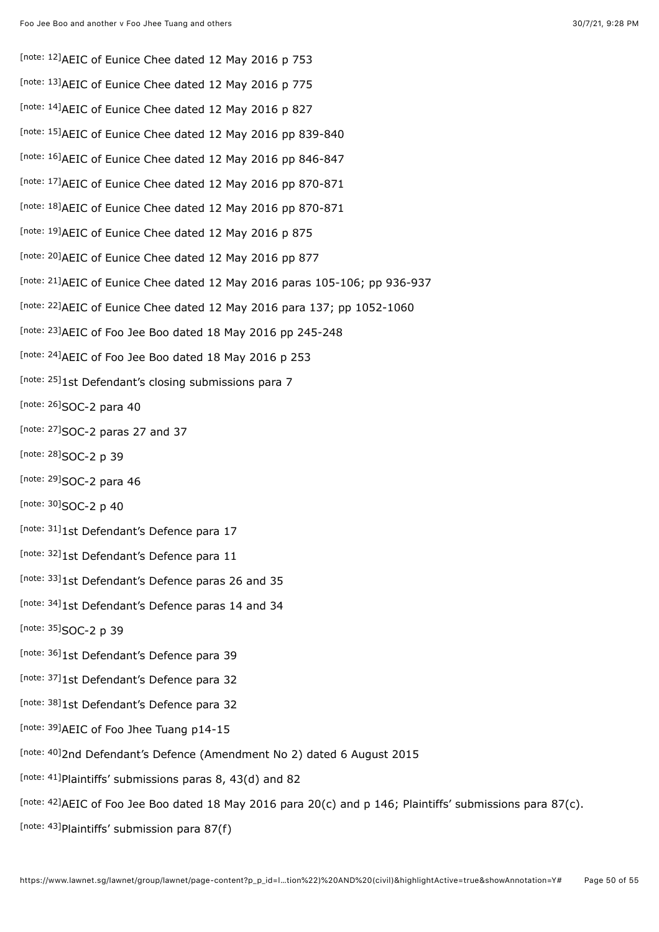<span id="page-49-31"></span><span id="page-49-30"></span><span id="page-49-29"></span><span id="page-49-28"></span><span id="page-49-27"></span><span id="page-49-26"></span><span id="page-49-25"></span><span id="page-49-24"></span><span id="page-49-23"></span><span id="page-49-22"></span><span id="page-49-21"></span><span id="page-49-20"></span><span id="page-49-19"></span><span id="page-49-18"></span><span id="page-49-17"></span><span id="page-49-16"></span><span id="page-49-15"></span><span id="page-49-14"></span><span id="page-49-13"></span><span id="page-49-12"></span><span id="page-49-11"></span><span id="page-49-10"></span><span id="page-49-9"></span><span id="page-49-8"></span><span id="page-49-7"></span><span id="page-49-6"></span><span id="page-49-5"></span><span id="page-49-4"></span><span id="page-49-3"></span><span id="page-49-2"></span><span id="page-49-1"></span><span id="page-49-0"></span>[\[note: 12\]](#page-5-2) AEIC of Eunice Chee dated 12 May 2016 p 753 [\[note: 13\]](#page-5-3) AEIC of Eunice Chee dated 12 May 2016 p 775 [\[note: 14\]](#page-5-4) AEIC of Eunice Chee dated 12 May 2016 p 827 [\[note: 15\]](#page-5-5) AEIC of Eunice Chee dated 12 May 2016 pp 839-840 [\[note: 16\]](#page-5-6) AEIC of Eunice Chee dated 12 May 2016 pp 846-847 [\[note: 17\]](#page-5-7) AEIC of Eunice Chee dated 12 May 2016 pp 870-871 [\[note: 18\]](#page-6-0) AEIC of Eunice Chee dated 12 May 2016 pp 870-871 [\[note: 19\]](#page-6-1) AEIC of Eunice Chee dated 12 May 2016 p 875 [\[note: 20\]](#page-6-2) AEIC of Eunice Chee dated 12 May 2016 pp 877 [\[note: 21\]](#page-6-3)AEIC of Eunice Chee dated 12 May 2016 paras 105-106; pp 936-937 [\[note: 22\]](#page-6-4) AEIC of Eunice Chee dated 12 May 2016 para 137; pp 1052-1060 [\[note: 23\]](#page-6-5) AEIC of Foo Jee Boo dated 18 May 2016 pp 245-248 [\[note: 24\]](#page-7-0) AEIC of Foo Jee Boo dated 18 May 2016 p 253 [\[note: 25\]](#page-11-0)1st Defendant's closing submissions para 7 [\[note: 26\]](#page-11-1)SOC-2 para 40 [note:  $27$ ]SOC-2 paras 27 and 37 [\[note: 28\]](#page-12-1)SOC-2 p 39 [\[note: 29\]](#page-13-0)SOC-2 para 46 [\[note: 30\]](#page-13-1)SOC-2 p 40 [\[note: 31\]](#page-14-0)1st Defendant's Defence para 17 [\[note: 32\]](#page-14-1)1st Defendant's Defence para 11 [\[note: 33\]](#page-14-2)1st Defendant's Defence paras 26 and 35 [\[note: 34\]](#page-14-3)1st Defendant's Defence paras 14 and 34 [\[note: 35\]](#page-14-4) SOC-2 p 39 [\[note: 36\]](#page-15-0)1st Defendant's Defence para 39 [\[note: 37\]](#page-15-1)1st Defendant's Defence para 32 [\[note: 38\]](#page-15-2)1st Defendant's Defence para 32 [\[note: 39\]](#page-15-3) AEIC of Foo Jhee Tuang p14-15 [\[note: 40\]](#page-16-0)2nd Defendant's Defence (Amendment No 2) dated 6 August 2015 [note:  $41$ ]Plaintiffs' submissions paras 8, 43(d) and 82 [\[note: 42\]](#page-19-1) AEIC of Foo Jee Boo dated 18 May 2016 para 20(c) and p 146; Plaintiffs' submissions para 87(c). [note:  $43$ ]Plaintiffs' submission para 87(f)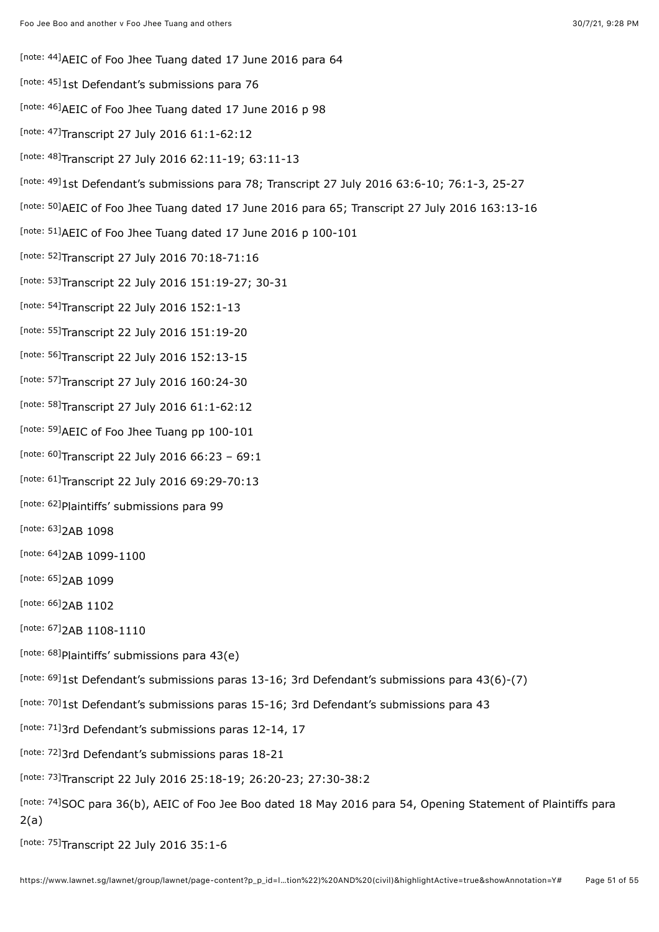- <span id="page-50-0"></span>[\[note: 44\]](#page-19-3) AEIC of Foo Jhee Tuang dated 17 June 2016 para 64
- <span id="page-50-1"></span>[\[note: 45\]](#page-20-0)1st Defendant's submissions para 76
- <span id="page-50-2"></span>[\[note: 46\]](#page-20-1) AEIC of Foo Jhee Tuang dated 17 June 2016 p 98
- <span id="page-50-3"></span>Inote: 47]Transcript 27 July 2016 61:1-62:12
- <span id="page-50-4"></span>[\[note: 48\]](#page-20-3)Transcript 27 July 2016 62:11-19; 63:11-13
- <span id="page-50-5"></span>Inote: 49]1st Defendant's submissions para 78; Transcript 27 July 2016 63:6-10; 76:1-3, 25-27
- <span id="page-50-6"></span><sup>[\[note: 50\]](#page-20-5)</sup>AEIC of Foo Jhee Tuang dated 17 June 2016 para 65; Transcript 27 July 2016 163:13-16
- <span id="page-50-7"></span>[\[note: 51\]](#page-20-6) AEIC of Foo Jhee Tuang dated 17 June 2016 p 100-101
- <span id="page-50-8"></span><sup>[\[note: 52\]](#page-21-0)</sup>Transcript 27 July 2016 70:18-71:16
- <span id="page-50-9"></span>Inote: 53]Transcript 22 July 2016 151:19-27; 30-31
- <span id="page-50-10"></span>[\[note: 54\]](#page-21-2)Transcript 22 July 2016 152:1-13
- <span id="page-50-11"></span>[\[note: 55\]](#page-21-3)Transcript 22 July 2016 151:19-20
- <span id="page-50-12"></span><sup>[\[note: 56\]](#page-21-4)</sup>Transcript 22 July 2016 152:13-15
- <span id="page-50-13"></span><sup>[\[note: 57\]](#page-21-5)</sup>Transcript 27 July 2016 160:24-30
- <span id="page-50-14"></span>[\[note: 58\]](#page-21-6)Transcript 27 July 2016 61:1-62:12
- <span id="page-50-15"></span>[\[note: 59\]](#page-22-0) AEIC of Foo Jhee Tuang pp 100-101
- <span id="page-50-16"></span> $[$ note: 60]Transcript 22 July 2016 66:23 - 69:1
- <span id="page-50-17"></span>[\[note: 61\]](#page-22-2)Transcript 22 July 2016 69:29-70:13
- <span id="page-50-18"></span>[\[note: 62\]](#page-22-3) Plaintiffs' submissions para 99
- <span id="page-50-19"></span>[\[note: 63\]](#page-23-0)<sub>2AB</sub> 1098
- <span id="page-50-20"></span>[\[note: 64\]](#page-23-1) 2AB 1099-1100
- <span id="page-50-21"></span>[\[note: 65\]](#page-23-2)<sub>2AB</sub> 1099
- <span id="page-50-22"></span>[\[note: 66\]](#page-23-3)<sub>2AB</sub> 1102
- <span id="page-50-23"></span>[\[note: 67\]](#page-23-4) 2AB 1108-1110
- <span id="page-50-24"></span>[\[note: 68\]](#page-23-5) Plaintiffs' submissions para 43(e)
- <span id="page-50-25"></span><sup>[\[note: 69\]](#page-23-6)<sub>1st</sub> Defendant's submissions paras 13-16; 3rd Defendant's submissions para 43(6)-(7)</sup>
- <span id="page-50-26"></span>[\[note: 70\]](#page-23-7)1st Defendant's submissions paras 15-16; 3rd Defendant's submissions para 43
- <span id="page-50-27"></span>[\[note: 71\]](#page-23-8)3rd Defendant's submissions paras 12-14, 17
- <span id="page-50-28"></span>[\[note: 72\]](#page-24-0)3rd Defendant's submissions paras 18-21
- <span id="page-50-29"></span>Inote: 73]Transcript 22 July 2016 25:18-19; 26:20-23; 27:30-38:2
- <span id="page-50-30"></span>[\[note: 74\]](#page-24-2)SOC para 36(b), AEIC of Foo Jee Boo dated 18 May 2016 para 54, Opening Statement of Plaintiffs para 2(a)
- <span id="page-50-32"></span><span id="page-50-31"></span><sup>[\[note: 75\]](#page-24-3)</sup>Transcript 22 July 2016 35:1-6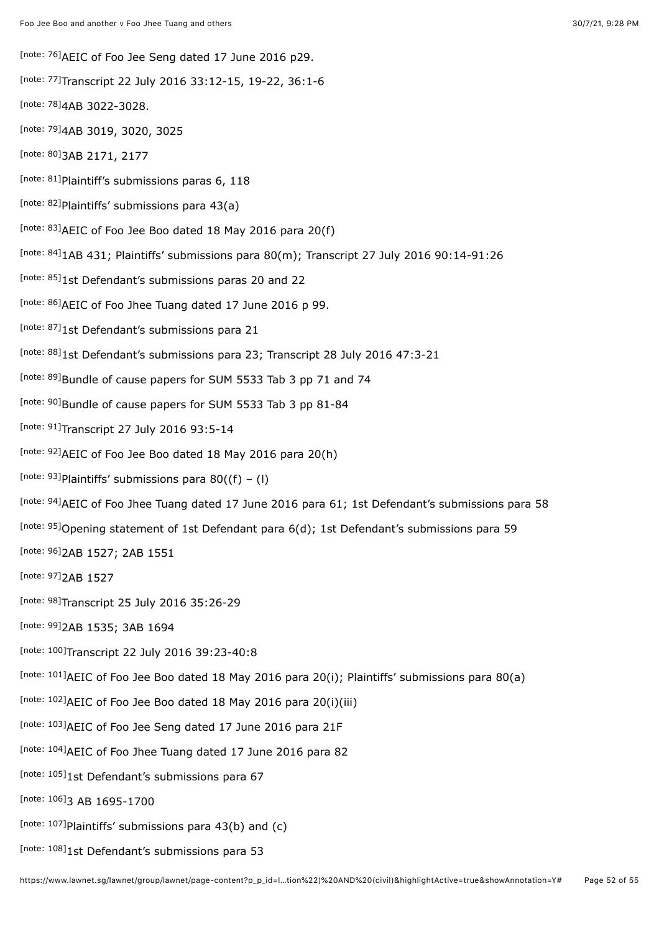[\[note: 76\]](#page-24-4) AEIC of Foo Jee Seng dated 17 June 2016 p29.

<span id="page-51-0"></span>Inote: 77]Transcript 22 July 2016 33:12-15, 19-22, 36:1-6

- <span id="page-51-1"></span>[\[note: 78\]](#page-24-6)4AB 3022-3028.
- <span id="page-51-2"></span>[\[note: 79\]](#page-24-7)4AB 3019, 3020, 3025
- <span id="page-51-3"></span>[\[note: 80\]](#page-24-8) 3AB 2171, 2177
- <span id="page-51-4"></span>[note:  $81$ ]Plaintiff's submissions paras 6, 118
- <span id="page-51-5"></span>[\[note: 82\]](#page-25-1) Plaintiffs' submissions para 43(a)
- <span id="page-51-6"></span>[note:  $83$ ]AEIC of Foo Jee Boo dated 18 May 2016 para 20(f)
- <span id="page-51-7"></span>[\[note: 84\]](#page-26-1)1AB 431; Plaintiffs' submissions para 80(m); Transcript 27 July 2016 90:14-91:26
- <span id="page-51-8"></span>[\[note: 85\]](#page-26-2)1st Defendant's submissions paras 20 and 22
- <span id="page-51-9"></span>[\[note: 86\]](#page-26-3) AEIC of Foo Jhee Tuang dated 17 June 2016 p 99.
- <span id="page-51-10"></span>[\[note: 87\]](#page-26-4)1st Defendant's submissions para 21
- <span id="page-51-11"></span><sup>[\[note: 88\]](#page-26-5)</sup>1st Defendant's submissions para 23; Transcript 28 July 2016 47:3-21
- <span id="page-51-12"></span>[\[note: 89\]](#page-26-6)Bundle of cause papers for SUM 5533 Tab 3 pp 71 and 74
- <span id="page-51-13"></span>[\[note: 90\]](#page-27-0)Bundle of cause papers for SUM 5533 Tab 3 pp 81-84
- <span id="page-51-14"></span><sup>[\[note: 91\]](#page-27-1)</sup>Transcript 27 July 2016 93:5-14
- <span id="page-51-15"></span>[\[note: 92\]](#page-27-2) AEIC of Foo Jee Boo dated 18 May 2016 para 20(h)
- <span id="page-51-16"></span>[note:  $93$ ]Plaintiffs' submissions para 80((f) – (l)
- <span id="page-51-17"></span>[\[note: 94\]](#page-27-4)AEIC of Foo Jhee Tuang dated 17 June 2016 para 61; 1st Defendant's submissions para 58
- <span id="page-51-18"></span>[\[note: 95\]](#page-27-5) Opening statement of 1st Defendant para 6(d); 1st Defendant's submissions para 59
- <span id="page-51-19"></span>[\[note: 96\]](#page-27-6) 2AB 1527; 2AB 1551
- <span id="page-51-20"></span>[\[note: 97\]](#page-27-7)<sub>2AB</sub> 1527
- <span id="page-51-21"></span><sup>[\[note: 98\]](#page-27-8)</sup>Transcript 25 July 2016 35:26-29
- <span id="page-51-22"></span>[\[note: 99\]](#page-28-0)2AB 1535; 3AB 1694
- <span id="page-51-23"></span>[\[note: 100\]](#page-28-1)Transcript 22 July 2016 39:23-40:8
- <span id="page-51-24"></span>[\[note: 101\]](#page-28-2)AEIC of Foo Jee Boo dated 18 May 2016 para 20(i); Plaintiffs' submissions para 80(a)
- <span id="page-51-25"></span>[note:  $102$ ]AEIC of Foo Jee Boo dated 18 May 2016 para 20(i)(iii)
- <span id="page-51-26"></span>[\[note: 103\]](#page-28-4) AEIC of Foo Jee Seng dated 17 June 2016 para 21F
- <span id="page-51-27"></span>[\[note: 104\]](#page-28-5) AEIC of Foo Jhee Tuang dated 17 June 2016 para 82
- <span id="page-51-28"></span>[\[note: 105\]](#page-28-6)1st Defendant's submissions para 67
- <span id="page-51-29"></span>[\[note: 106\]](#page-28-7)3 AB 1695-1700
- <span id="page-51-30"></span>[note:  $107$ ]Plaintiffs' submissions para 43(b) and (c)
- <span id="page-51-31"></span>[\[note: 108\]](#page-29-1)1st Defendant's submissions para 53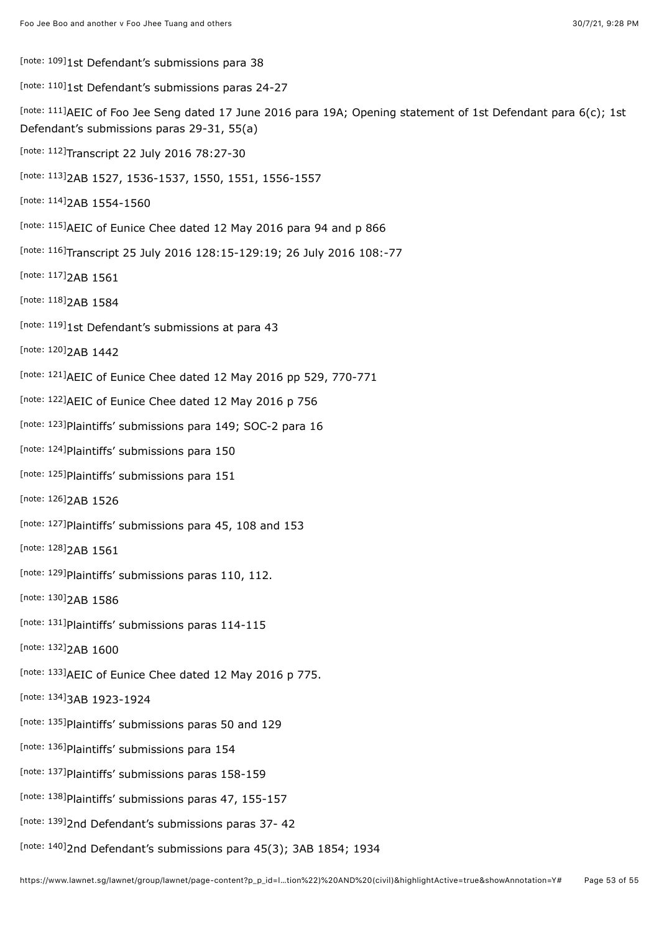<span id="page-52-0"></span>[\[note: 109\]](#page-29-2)1st Defendant's submissions para 38

<span id="page-52-1"></span>Inote: 110]1st Defendant's submissions paras 24-27

<span id="page-52-2"></span>[\[note: 111\]](#page-30-0)AEIC of Foo Jee Seng dated 17 June 2016 para 19A; Opening statement of 1st Defendant para 6(c); 1st Defendant's submissions paras 29-31, 55(a)

<span id="page-52-3"></span>Inote: 112] Transcript 22 July 2016 78:27-30

<span id="page-52-4"></span>[\[note: 113\]](#page-30-2) 2AB 1527, 1536-1537, 1550, 1551, 1556-1557

<span id="page-52-5"></span>[\[note: 114\]](#page-30-3) 2AB 1554-1560

<span id="page-52-6"></span>[\[note: 115\]](#page-30-4) AEIC of Eunice Chee dated 12 May 2016 para 94 and p 866

<span id="page-52-7"></span>Inote: 116]Transcript 25 July 2016 128:15-129:19; 26 July 2016 108:-77

<span id="page-52-8"></span>[\[note: 117\]](#page-31-0) 2AB 1561

<span id="page-52-9"></span>[\[note: 118\]](#page-31-1) 2AB 1584

<span id="page-52-10"></span>[\[note: 119\]](#page-32-0)1st Defendant's submissions at para 43

<span id="page-52-11"></span>[\[note: 120\]](#page-32-1) 2AB 1442

<span id="page-52-12"></span>[\[note: 121\]](#page-32-2) AEIC of Eunice Chee dated 12 May 2016 pp 529, 770-771

<span id="page-52-13"></span>[\[note: 122\]](#page-32-3) AEIC of Eunice Chee dated 12 May 2016 p 756

<span id="page-52-14"></span>[\[note: 123\]](#page-33-0) Plaintiffs' submissions para 149; SOC-2 para 16

<span id="page-52-15"></span>[\[note: 124\]](#page-33-1) Plaintiffs' submissions para 150

<span id="page-52-16"></span>[\[note: 125\]](#page-33-2) Plaintiffs' submissions para 151

<span id="page-52-17"></span>[\[note: 126\]](#page-33-3)<sub>2AB</sub> 1526

<span id="page-52-18"></span>[\[note: 127\]](#page-33-4) Plaintiffs' submissions para 45, 108 and 153

<span id="page-52-19"></span>[\[note: 128\]](#page-33-5) 2AB 1561

<span id="page-52-20"></span>[note:  $129$ ]Plaintiffs' submissions paras 110, 112.

<span id="page-52-21"></span>[\[note: 130\]](#page-33-7) 2AB 1586

<span id="page-52-22"></span>[\[note: 131\]](#page-33-8) Plaintiffs' submissions paras 114-115

<span id="page-52-23"></span>[\[note: 132\]](#page-33-9) 2AB 1600

<span id="page-52-24"></span>[\[note: 133\]](#page-34-0) AEIC of Eunice Chee dated 12 May 2016 p 775.

<span id="page-52-25"></span>[\[note: 134\]](#page-34-1) 3AB 1923-1924

<span id="page-52-26"></span>[\[note: 135\]](#page-34-2) Plaintiffs' submissions paras 50 and 129

<span id="page-52-27"></span>[\[note: 136\]](#page-34-3) Plaintiffs' submissions para 154

<span id="page-52-28"></span>[\[note: 137\]](#page-34-4) Plaintiffs' submissions paras 158-159

<span id="page-52-29"></span>[\[note: 138\]](#page-34-5) Plaintiffs' submissions paras 47, 155-157

<span id="page-52-30"></span><sup>[\[note: 139\]](#page-34-6)</sup>2nd Defendant's submissions paras 37- 42

<span id="page-52-31"></span>[note:  $140$ ]2nd Defendant's submissions para 45(3); 3AB 1854; 1934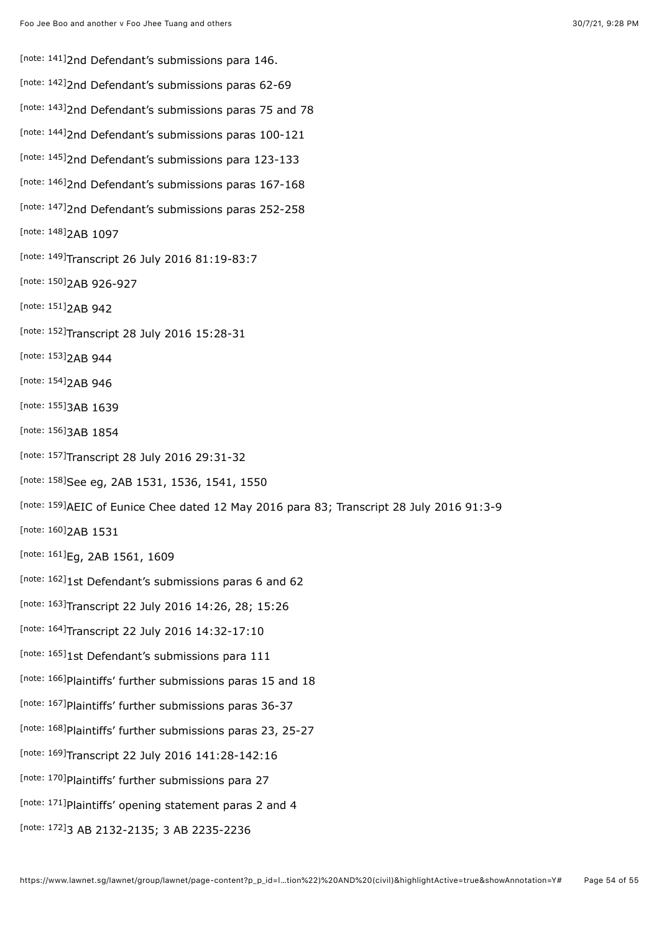<span id="page-53-31"></span><span id="page-53-30"></span><span id="page-53-29"></span><span id="page-53-28"></span><span id="page-53-27"></span><span id="page-53-26"></span><span id="page-53-25"></span><span id="page-53-24"></span><span id="page-53-23"></span><span id="page-53-22"></span><span id="page-53-21"></span><span id="page-53-20"></span><span id="page-53-19"></span><span id="page-53-18"></span><span id="page-53-17"></span><span id="page-53-16"></span><span id="page-53-15"></span><span id="page-53-14"></span><span id="page-53-13"></span><span id="page-53-12"></span><span id="page-53-11"></span><span id="page-53-10"></span><span id="page-53-9"></span><span id="page-53-8"></span><span id="page-53-7"></span><span id="page-53-6"></span><span id="page-53-5"></span><span id="page-53-4"></span><span id="page-53-3"></span><span id="page-53-2"></span><span id="page-53-1"></span><span id="page-53-0"></span>[\[note: 141\]](#page-34-8)2nd Defendant's submissions para 146. [\[note: 142\]](#page-34-9) 2nd Defendant's submissions paras 62-69 [\[note: 143\]](#page-35-0) 2nd Defendant's submissions paras 75 and 78 [\[note: 144\]](#page-35-1)2nd Defendant's submissions paras 100-121 <sup>[\[note: 145\]](#page-35-2)</sup>2nd Defendant's submissions para 123-133 [\[note: 146\]](#page-35-3) 2nd Defendant's submissions paras 167-168 [\[note: 147\]](#page-35-4) 2nd Defendant's submissions paras 252-258 [\[note: 148\]](#page-36-0)<sub>2AB</sub> 1097 <sup>[\[note: 149\]](#page-36-1)</sup>Transcript 26 July 2016 81:19-83:7 [\[note: 150\]](#page-36-2)<sub>2AB</sub> 926-927 [\[note: 151\]](#page-37-0) 2AB 942 [\[note: 152\]](#page-37-1)Transcript 28 July 2016 15:28-31 [\[note: 153\]](#page-37-2) 2AB 944 [\[note: 154\]](#page-38-0) 2AB 946 [\[note: 155\]](#page-38-1) 3AB 1639 [\[note: 156\]](#page-38-2) 3AB 1854 [\[note: 157\]](#page-39-0)Transcript 28 July 2016 29:31-32 [\[note: 158\]](#page-39-1)See eg, 2AB 1531, 1536, 1541, 1550 [\[note: 159\]](#page-39-2)AEIC of Eunice Chee dated 12 May 2016 para 83; Transcript 28 July 2016 91:3-9 [\[note: 160\]](#page-40-0) 2AB 1531 [\[note: 161\]](#page-40-1)<sub>Eg,</sub> 2AB 1561, 1609 [\[note: 162\]](#page-41-0)1st Defendant's submissions paras 6 and 62 [\[note: 163\]](#page-41-1)Transcript 22 July 2016 14:26, 28; 15:26 Inote: 164]Transcript 22 July 2016 14:32-17:10 [\[note: 165\]](#page-43-0)1st Defendant's submissions para 111 [\[note: 166\]](#page-43-1) Plaintiffs' further submissions paras 15 and 18 [\[note: 167\]](#page-43-2) Plaintiffs' further submissions paras 36-37 [\[note: 168\]](#page-43-3) Plaintiffs' further submissions paras 23, 25-27 [\[note: 169\]](#page-46-0)Transcript 22 July 2016 141:28-142:16 [\[note: 170\]](#page-46-1) Plaintiffs' further submissions para 27 [\[note: 171\]](#page-46-2) Plaintiffs' opening statement paras 2 and 4 3 AB 2132-2135; 3 AB 2235-2236 [\[note: 172\]](#page-46-3)